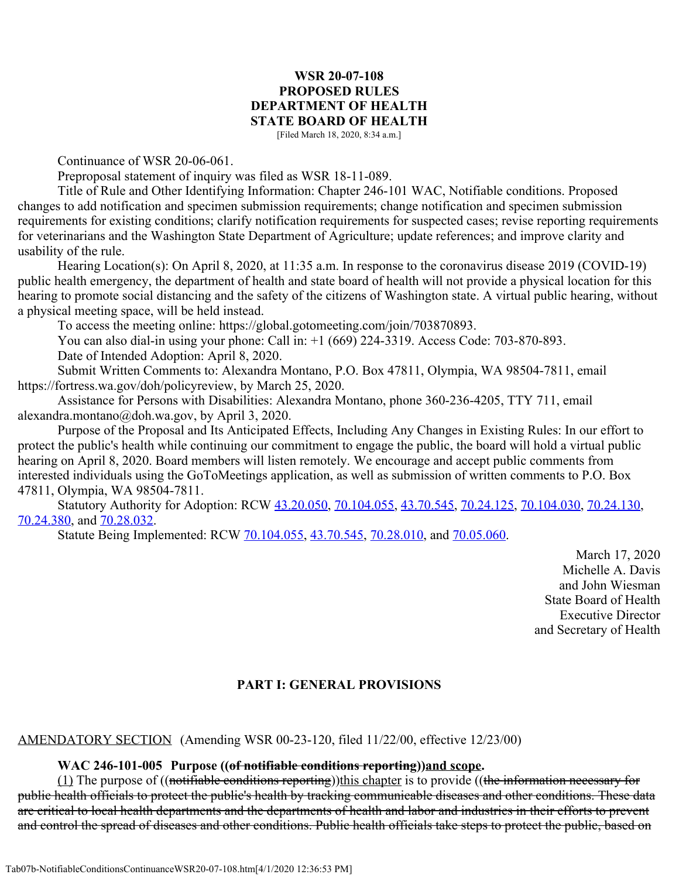### **WSR 20-07-108 PROPOSED RULES DEPARTMENT OF HEALTH STATE BOARD OF HEALTH**

[Filed March 18, 2020, 8:34 a.m.]

Continuance of WSR 20-06-061.

Preproposal statement of inquiry was filed as WSR 18-11-089.

Title of Rule and Other Identifying Information: Chapter 246-101 WAC, Notifiable conditions. Proposed changes to add notification and specimen submission requirements; change notification and specimen submission requirements for existing conditions; clarify notification requirements for suspected cases; revise reporting requirements for veterinarians and the Washington State Department of Agriculture; update references; and improve clarity and usability of the rule.

Hearing Location(s): On April 8, 2020, at 11:35 a.m. In response to the coronavirus disease 2019 (COVID-19) public health emergency, the department of health and state board of health will not provide a physical location for this hearing to promote social distancing and the safety of the citizens of Washington state. A virtual public hearing, without a physical meeting space, will be held instead.

To access the meeting online: https://global.gotomeeting.com/join/703870893.

You can also dial-in using your phone: Call in: +1 (669) 224-3319. Access Code: 703-870-893.

Date of Intended Adoption: April 8, 2020.

Submit Written Comments to: Alexandra Montano, P.O. Box 47811, Olympia, WA 98504-7811, email https://fortress.wa.gov/doh/policyreview, by March 25, 2020.

Assistance for Persons with Disabilities: Alexandra Montano, phone 360-236-4205, TTY 711, email alexandra.montano@doh.wa.gov, by April 3, 2020.

Purpose of the Proposal and Its Anticipated Effects, Including Any Changes in Existing Rules: In our effort to protect the public's health while continuing our commitment to engage the public, the board will hold a virtual public hearing on April 8, 2020. Board members will listen remotely. We encourage and accept public comments from interested individuals using the GoToMeetings application, as well as submission of written comments to P.O. Box 47811, Olympia, WA 98504-7811.

Statutory Authority for Adoption: RCW [43.20.050](http://app.leg.wa.gov/RCW/default.aspx?cite=43.20.050), [70.104.055](http://app.leg.wa.gov/RCW/default.aspx?cite=70.104.055), [43.70.545](http://app.leg.wa.gov/RCW/default.aspx?cite=43.70.545), [70.24.125](http://app.leg.wa.gov/RCW/default.aspx?cite=70.24.125), [70.104.030](http://app.leg.wa.gov/RCW/default.aspx?cite=70.104.030), [70.24.130](http://app.leg.wa.gov/RCW/default.aspx?cite=70.24.130), [70.24.380](http://app.leg.wa.gov/RCW/default.aspx?cite=70.24.380), and [70.28.032](http://app.leg.wa.gov/RCW/default.aspx?cite=70.28.032).

Statute Being Implemented: RCW [70.104.055](http://app.leg.wa.gov/RCW/default.aspx?cite=70.104.055), [43.70.545](http://app.leg.wa.gov/RCW/default.aspx?cite=43.70.545), [70.28.010](http://app.leg.wa.gov/RCW/default.aspx?cite=70.28.010), and [70.05.060](http://app.leg.wa.gov/RCW/default.aspx?cite=70.05.060).

March 17, 2020 Michelle A. Davis and John Wiesman State Board of Health Executive Director and Secretary of Health

#### **PART I: GENERAL PROVISIONS**

AMENDATORY SECTION (Amending WSR 00-23-120, filed 11/22/00, effective 12/23/00)

#### **WAC 246-101-005 Purpose ((of notifiable conditions reporting))and scope.**

 $(1)$  The purpose of ((notifiable conditions reporting))this chapter is to provide ((the information necessary for public health officials to protect the public's health by tracking communicable diseases and other conditions. These data are critical to local health departments and the departments of health and labor and industries in their efforts to prevent and control the spread of diseases and other conditions. Public health officials take steps to protect the public, based on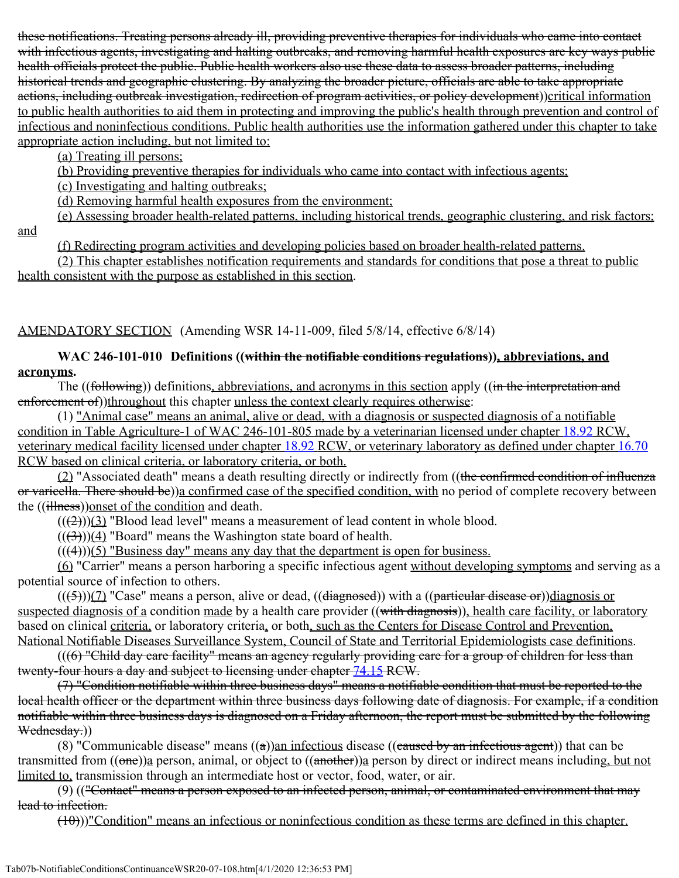these notifications. Treating persons already ill, providing preventive therapies for individuals who came into contact with infectious agents, investigating and halting outbreaks, and removing harmful health exposures are key ways public health officials protect the public. Public health workers also use these data to assess broader patterns, including historical trends and geographic clustering. By analyzing the broader picture, officials are able to take appropriate actions, including outbreak investigation, redirection of program activities, or policy development))critical information to public health authorities to aid them in protecting and improving the public's health through prevention and control of infectious and noninfectious conditions. Public health authorities use the information gathered under this chapter to take appropriate action including, but not limited to:

(a) Treating ill persons;

(b) Providing preventive therapies for individuals who came into contact with infectious agents;

(c) Investigating and halting outbreaks;

(d) Removing harmful health exposures from the environment;

(e) Assessing broader health-related patterns, including historical trends, geographic clustering, and risk factors; and

(f) Redirecting program activities and developing policies based on broader health-related patterns.

(2) This chapter establishes notification requirements and standards for conditions that pose a threat to public health consistent with the purpose as established in this section.

AMENDATORY SECTION (Amending WSR 14-11-009, filed 5/8/14, effective 6/8/14)

## **WAC 246-101-010 Definitions ((within the notifiable conditions regulations)), abbreviations, and acronyms.**

The ((following)) definitions, abbreviations, and acronyms in this section apply ((in the interpretation and enforcement of))throughout this chapter unless the context clearly requires otherwise:

(1) "Animal case" means an animal, alive or dead, with a diagnosis or suspected diagnosis of a notifiable condition in Table Agriculture-1 of WAC 246-101-805 made by a veterinarian licensed under chapter [18.92](http://app.leg.wa.gov/RCW/default.aspx?cite=18.92) RCW, veterinary medical facility licensed under chapter [18.92](http://app.leg.wa.gov/RCW/default.aspx?cite=18.92) RCW, or veterinary laboratory as defined under chapter [16.70](http://app.leg.wa.gov/RCW/default.aspx?cite=16.70) RCW based on clinical criteria, or laboratory criteria, or both.

(2) "Associated death" means a death resulting directly or indirectly from ((the confirmed condition of influenza or varicella. There should be))a confirmed case of the specified condition, with no period of complete recovery between the ((illness))onset of the condition and death.

 $((2))$ (3) "Blood lead level" means a measurement of lead content in whole blood.

 $((\langle 3 \rangle)(4)$  "Board" means the Washington state board of health.

 $(((4))$ (5) "Business day" means any day that the department is open for business.

(6) "Carrier" means a person harboring a specific infectious agent without developing symptoms and serving as a potential source of infection to others.

 $(((\frac{5}{2}))(7)$  "Case" means a person, alive or dead,  $((\frac{diagnosed}{})$  with a  $((\frac{particular disease or}{}))diagnosis or$ suspected diagnosis of a condition made by a health care provider ((<del>with diagnosis</del>)), health care facility, or laboratory based on clinical criteria, or laboratory criteria, or both, such as the Centers for Disease Control and Prevention, National Notifiable Diseases Surveillance System, Council of State and Territorial Epidemiologists case definitions.

 $(((6)$  "Child day care facility" means an agency regularly providing care for a group of children for less than twenty-four hours a day and subject to licensing under chapter [74.15](http://app.leg.wa.gov/RCW/default.aspx?cite=74.15) RCW.

(7) "Condition notifiable within three business days" means a notifiable condition that must be reported to the local health officer or the department within three business days following date of diagnosis. For example, if a condition notifiable within three business days is diagnosed on a Friday afternoon, the report must be submitted by the following Wednesday.)

(8) "Communicable disease" means  $((a))$ an infectious disease  $((caused by an infectious agent))$  that can be transmitted from  $((\text{one}))$ a person, animal, or object to  $((\text{another}))$ a person by direct or indirect means including, but not limited to, transmission through an intermediate host or vector, food, water, or air.

(9) (("Contact" means a person exposed to an infected person, animal, or contaminated environment that may lead to infection.

(10)))"Condition" means an infectious or noninfectious condition as these terms are defined in this chapter.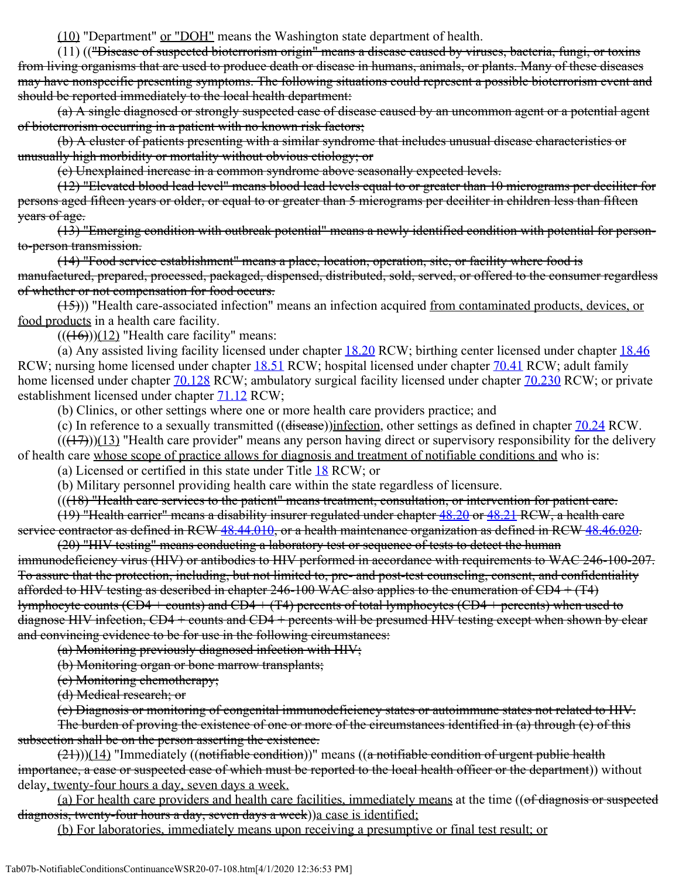(10) "Department" or "DOH" means the Washington state department of health.

(11) (("Disease of suspected bioterrorism origin" means a disease caused by viruses, bacteria, fungi, or toxins from living organisms that are used to produce death or disease in humans, animals, or plants. Many of these diseases may have nonspecific presenting symptoms. The following situations could represent a possible bioterrorism event and should be reported immediately to the local health department:

(a) A single diagnosed or strongly suspected case of disease caused by an uncommon agent or a potential agent of bioterrorism occurring in a patient with no known risk factors;

(b) A cluster of patients presenting with a similar syndrome that includes unusual disease characteristics or unusually high morbidity or mortality without obvious etiology; or

(c) Unexplained increase in a common syndrome above seasonally expected levels.

(12) "Elevated blood lead level" means blood lead levels equal to or greater than 10 micrograms per deciliter for persons aged fifteen years or older, or equal to or greater than 5 micrograms per deciliter in children less than fifteen years of age.

(13) "Emerging condition with outbreak potential" means a newly identified condition with potential for personto-person transmission.

(14) "Food service establishment" means a place, location, operation, site, or facility where food is manufactured, prepared, processed, packaged, dispensed, distributed, sold, served, or offered to the consumer regardless of whether or not compensation for food occurs.

(15))) "Health care-associated infection" means an infection acquired from contaminated products, devices, or food products in a health care facility.

 $((\text{(+6)})(12)$  "Health care facility" means:

(a) Any assisted living facility licensed under chapter  $18.20$  RCW; birthing center licensed under chapter  $18.46$ RCW; nursing home licensed under chapter [18.51](http://app.leg.wa.gov/RCW/default.aspx?cite=18.51) RCW; hospital licensed under chapter [70.41](http://app.leg.wa.gov/RCW/default.aspx?cite=70.41) RCW; adult family home licensed under chapter  $70.128$  RCW; ambulatory surgical facility licensed under chapter  $70.230$  RCW; or private establishment licensed under chapter **71.12** RCW;

(b) Clinics, or other settings where one or more health care providers practice; and

(c) In reference to a sexually transmitted ((disease))infection, other settings as defined in chapter [70.24](http://app.leg.wa.gov/RCW/default.aspx?cite=70.24) RCW.

 $((+7))$ (13) "Health care provider" means any person having direct or supervisory responsibility for the delivery of health care whose scope of practice allows for diagnosis and treatment of notifiable conditions and who is:

(a) Licensed or certified in this state under Title [18](http://app.leg.wa.gov/RCW/default.aspx?cite=18) RCW; or

(b) Military personnel providing health care within the state regardless of licensure.

 $((18)$  "Health care services to the patient" means treatment, consultation, or intervention for patient care.

(19) "Health carrier" means a disability insurer regulated under chapter [48.20](http://app.leg.wa.gov/RCW/default.aspx?cite=48.20) or [48.21](http://app.leg.wa.gov/RCW/default.aspx?cite=48.21) RCW, a health care service contractor as defined in RCW [48.44.010](http://app.leg.wa.gov/RCW/default.aspx?cite=48.44.010), or a health maintenance organization as defined in RCW [48.46.020](http://app.leg.wa.gov/RCW/default.aspx?cite=48.46.020).

(20) "HIV testing" means conducting a laboratory test or sequence of tests to detect the human immunodeficiency virus (HIV) or antibodies to HIV performed in accordance with requirements to WAC 246-100-207. To assure that the protection, including, but not limited to, pre- and post-test counseling, consent, and confidentiality afforded to HIV testing as described in chapter  $246-100$  WAC also applies to the enumeration of CD4  $+$  (T4) lymphocyte counts (CD4 + counts) and CD4 + (T4) percents of total lymphocytes (CD4 + percents) when used to diagnose HIV infection, CD4 + counts and CD4 + percents will be presumed HIV testing except when shown by clear and convincing evidence to be for use in the following circumstances:

(a) Monitoring previously diagnosed infection with HIV;

(b) Monitoring organ or bone marrow transplants;

(c) Monitoring chemotherapy;

(d) Medical research; or

(e) Diagnosis or monitoring of congenital immunodeficiency states or autoimmune states not related to HIV. The burden of proving the existence of one or more of the circumstances identified in (a) through (e) of this subsection shall be on the person asserting the existence.

 $(21))$ )(14) "Immediately ((notifiable condition))" means ((a notifiable condition of urgent public health importance, a case or suspected case of which must be reported to the local health officer or the department)) without delay, twenty-four hours a day, seven days a week.

(a) For health care providers and health care facilities, immediately means at the time ((of diagnosis or suspected diagnosis, twenty-four hours a day, seven days a week)) a case is identified;

(b) For laboratories, immediately means upon receiving a presumptive or final test result; or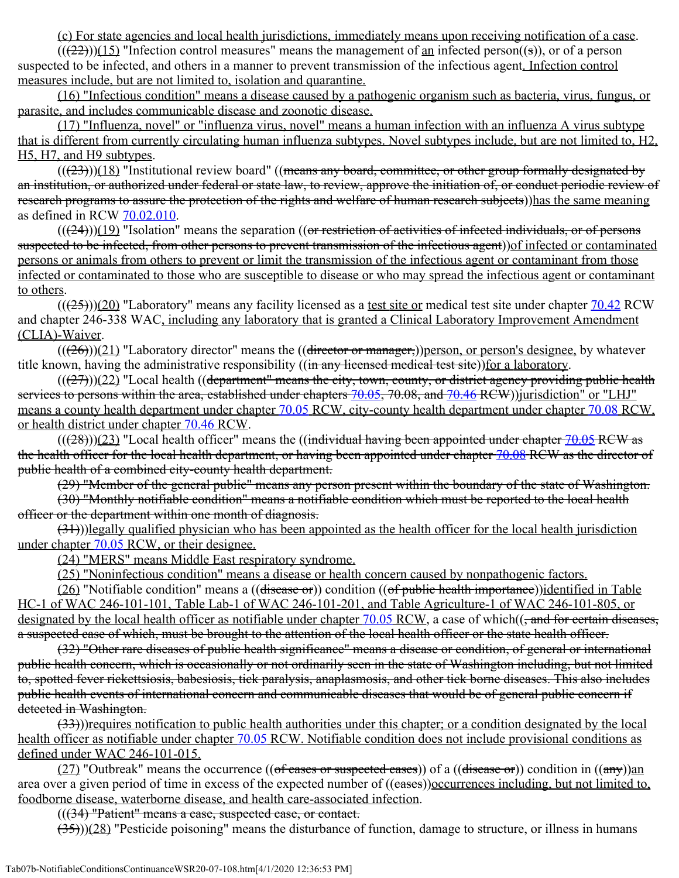(c) For state agencies and local health jurisdictions, immediately means upon receiving notification of a case.

 $((22))$ (15) "Infection control measures" means the management of an infected person((s)), or of a person suspected to be infected, and others in a manner to prevent transmission of the infectious agent. Infection control measures include, but are not limited to, isolation and quarantine.

(16) "Infectious condition" means a disease caused by a pathogenic organism such as bacteria, virus, fungus, or parasite, and includes communicable disease and zoonotic disease.

(17) "Influenza, novel" or "influenza virus, novel" means a human infection with an influenza A virus subtype that is different from currently circulating human influenza subtypes. Novel subtypes include, but are not limited to, H2, H5, H7, and H9 subtypes.

 $((23))$ (18) "Institutional review board" ((means any board, committee, or other group formally designated by an institution, or authorized under federal or state law, to review, approve the initiation of, or conduct periodic review of research programs to assure the protection of the rights and welfare of human research subjects))has the same meaning as defined in RCW [70.02.010.](http://app.leg.wa.gov/RCW/default.aspx?cite=70.02.010)

 $((24))$ (19) "Isolation" means the separation ((or restriction of activities of infected individuals, or of persons suspected to be infected, from other persons to prevent transmission of the infectious agent)) of infected or contaminated persons or animals from others to prevent or limit the transmission of the infectious agent or contaminant from those infected or contaminated to those who are susceptible to disease or who may spread the infectious agent or contaminant to others.

 $((25))$ (20) "Laboratory" means any facility licensed as a test site or medical test site under chapter [70.42](http://app.leg.wa.gov/RCW/default.aspx?cite=70.42) RCW and chapter 246-338 WAC, including any laboratory that is granted a Clinical Laboratory Improvement Amendment (CLIA)-Waiver.

 $((26))$ (21) "Laboratory director" means the ((director or manager,))person, or person's designee, by whatever title known, having the administrative responsibility ((in any licensed medical test site)) for a laboratory.

 $((27))$  $(22)$  "Local health ((department" means the city, town, county, or district agency providing public health services to persons within the area, established under chapters [70.05](http://app.leg.wa.gov/RCW/default.aspx?cite=70.05), 70.08, and [70.46](http://app.leg.wa.gov/RCW/default.aspx?cite=70.46) RCW))jurisdiction" or "LHJ" means a county health department under chapter [70.05](http://app.leg.wa.gov/RCW/default.aspx?cite=70.05) RCW, city-county health department under chapter [70.08](http://app.leg.wa.gov/RCW/default.aspx?cite=70.08) RCW, or health district under chapter [70.46](http://app.leg.wa.gov/RCW/default.aspx?cite=70.46) RCW.

 $((28))$  $(23)$  "Local health officer" means the ((individual having been appointed under chapter [70.05](http://app.leg.wa.gov/RCW/default.aspx?cite=70.05) RCW as the health officer for the local health department, or having been appointed under chapter [70.08](http://app.leg.wa.gov/RCW/default.aspx?cite=70.08) RCW as the director of public health of a combined city-county health department.

(29) "Member of the general public" means any person present within the boundary of the state of Washington.

(30) "Monthly notifiable condition" means a notifiable condition which must be reported to the local health officer or the department within one month of diagnosis.

 $(31)$ ))legally qualified physician who has been appointed as the health officer for the local health jurisdiction under chapter [70.05](http://app.leg.wa.gov/RCW/default.aspx?cite=70.05) RCW, or their designee.

(24) "MERS" means Middle East respiratory syndrome.

(25) "Noninfectious condition" means a disease or health concern caused by nonpathogenic factors.

(26) "Notifiable condition" means a ((disease or)) condition ((of public health importance)) identified in Table HC-1 of WAC 246-101-101, Table Lab-1 of WAC 246-101-201, and Table Agriculture-1 of WAC 246-101-805, or designated by the local health officer as notifiable under chapter [70.05](http://app.leg.wa.gov/RCW/default.aspx?cite=70.05) RCW, a case of which((, and for certain diseases, a suspected case of which, must be brought to the attention of the local health officer or the state health officer.

(32) "Other rare diseases of public health significance" means a disease or condition, of general or international public health concern, which is occasionally or not ordinarily seen in the state of Washington including, but not limited to, spotted fever rickettsiosis, babesiosis, tick paralysis, anaplasmosis, and other tick borne diseases. This also includes public health events of international concern and communicable diseases that would be of general public concern if detected in Washington.

 $(33)$ ))requires notification to public health authorities under this chapter; or a condition designated by the local health officer as notifiable under chapter [70.05](http://app.leg.wa.gov/RCW/default.aspx?cite=70.05) RCW. Notifiable condition does not include provisional conditions as defined under WAC 246-101-015.

(27) "Outbreak" means the occurrence ((of cases or suspected cases)) of a ((disease or)) condition in  $((a\eta y))$ an area over a given period of time in excess of the expected number of ((eases))occurrences including, but not limited to, foodborne disease, waterborne disease, and health care-associated infection.

 $(((34)$  "Patient" means a case, suspected case, or contact.

 $(35)$ )(28) "Pesticide poisoning" means the disturbance of function, damage to structure, or illness in humans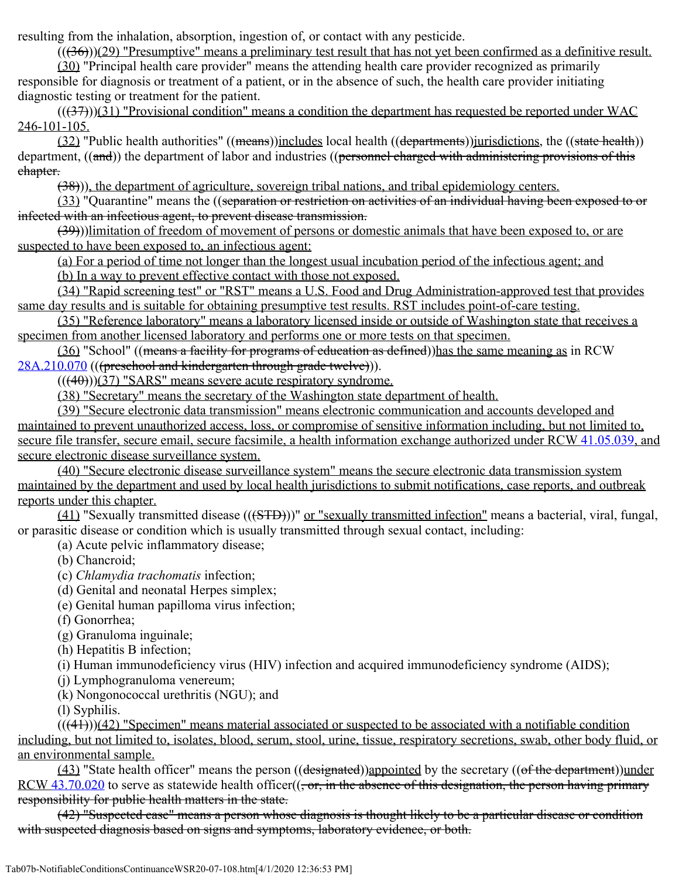resulting from the inhalation, absorption, ingestion of, or contact with any pesticide.

 $((36))$  $(29)$  "Presumptive" means a preliminary test result that has not yet been confirmed as a definitive result.

(30) "Principal health care provider" means the attending health care provider recognized as primarily responsible for diagnosis or treatment of a patient, or in the absence of such, the health care provider initiating diagnostic testing or treatment for the patient.

 $((37))$ (31) "Provisional condition" means a condition the department has requested be reported under WAC 246-101-105.

(32) "Public health authorities" ((means))includes local health ((departments))jurisdictions, the ((state health)) department, ((and)) the department of labor and industries ((personnel charged with administering provisions of this chapter.

(38))), the department of agriculture, sovereign tribal nations, and tribal epidemiology centers.

(33) "Quarantine" means the ((separation or restriction on activities of an individual having been exposed to or infected with an infectious agent, to prevent disease transmission.

(39)))limitation of freedom of movement of persons or domestic animals that have been exposed to, or are suspected to have been exposed to, an infectious agent:

(a) For a period of time not longer than the longest usual incubation period of the infectious agent; and

(b) In a way to prevent effective contact with those not exposed.

(34) "Rapid screening test" or "RST" means a U.S. Food and Drug Administration-approved test that provides same day results and is suitable for obtaining presumptive test results. RST includes point-of-care testing.

(35) "Reference laboratory" means a laboratory licensed inside or outside of Washington state that receives a specimen from another licensed laboratory and performs one or more tests on that specimen.

(36) "School" ((means a facility for programs of education as defined))has the same meaning as in RCW [28A.210.070](http://app.leg.wa.gov/RCW/default.aspx?cite=28A.210.070) (((preschool and kindergarten through grade twelve))).

 $((40))$  $(37)$  "SARS" means severe acute respiratory syndrome.

(38) "Secretary" means the secretary of the Washington state department of health.

(39) "Secure electronic data transmission" means electronic communication and accounts developed and maintained to prevent unauthorized access, loss, or compromise of sensitive information including, but not limited to, secure file transfer, secure email, secure facsimile, a health information exchange authorized under RCW [41.05.039](http://app.leg.wa.gov/RCW/default.aspx?cite=41.05.039), and secure electronic disease surveillance system.

(40) "Secure electronic disease surveillance system" means the secure electronic data transmission system maintained by the department and used by local health jurisdictions to submit notifications, case reports, and outbreak reports under this chapter.

(41) "Sexually transmitted disease (((STD)))" or "sexually transmitted infection" means a bacterial, viral, fungal, or parasitic disease or condition which is usually transmitted through sexual contact, including:

(a) Acute pelvic inflammatory disease;

(b) Chancroid;

(c) *Chlamydia trachomatis* infection;

- (d) Genital and neonatal Herpes simplex;
- (e) Genital human papilloma virus infection;
- (f) Gonorrhea;

(g) Granuloma inguinale;

(h) Hepatitis B infection;

(i) Human immunodeficiency virus (HIV) infection and acquired immunodeficiency syndrome (AIDS);

(j) Lymphogranuloma venereum;

(k) Nongonococcal urethritis (NGU); and

(l) Syphilis.

 $(((41)))(42)$  "Specimen" means material associated or suspected to be associated with a notifiable condition including, but not limited to, isolates, blood, serum, stool, urine, tissue, respiratory secretions, swab, other body fluid, or an environmental sample.

 $(43)$  "State health officer" means the person  $((\text{designated}))$ appointed by the secretary  $((\text{of the department}))$ under RCW  $43.70.020$  to serve as statewide health officer( $(-\sigma r, \text{ in the absence of this designation},$  the person having primary responsibility for public health matters in the state.

(42) "Suspected case" means a person whose diagnosis is thought likely to be a particular disease or condition with suspected diagnosis based on signs and symptoms, laboratory evidence, or both.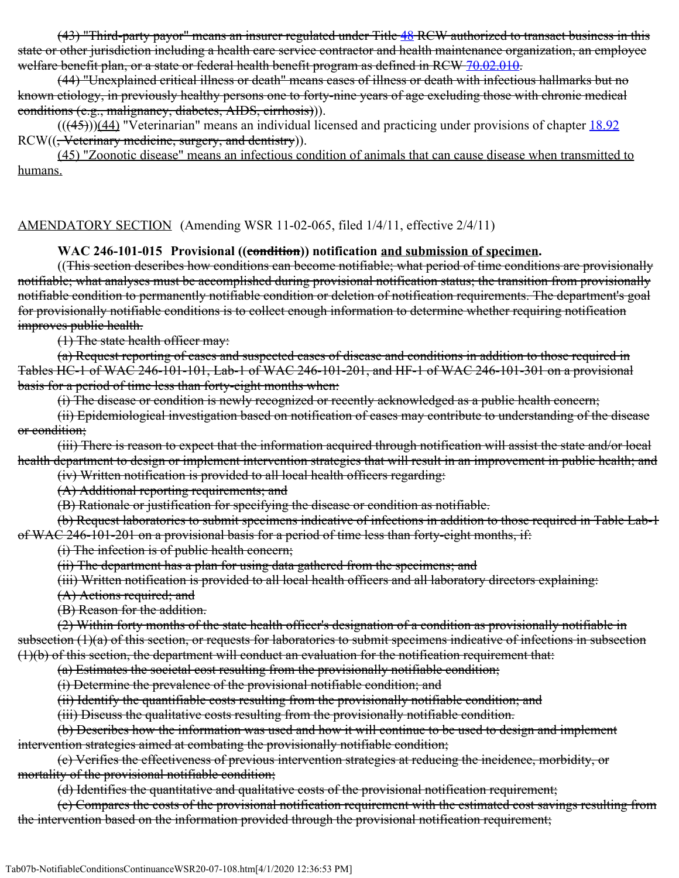(43) "Third-party payor" means an insurer regulated under Title [48](http://app.leg.wa.gov/RCW/default.aspx?cite=48) RCW authorized to transact business in this state or other jurisdiction including a health care service contractor and health maintenance organization, an employee welfare benefit plan, or a state or federal health benefit program as defined in RCW [70.02.010](http://app.leg.wa.gov/RCW/default.aspx?cite=70.02.010).

(44) "Unexplained critical illness or death" means cases of illness or death with infectious hallmarks but no known etiology, in previously healthy persons one to forty-nine years of age excluding those with chronic medical conditions (e.g., malignancy, diabetes, AIDS, cirrhosis))).

 $((\frac{(45)}{12})$  "Veterinarian" means an individual licensed and practicing under provisions of chapter  $18.92$ RCW((<del>, Veterinary medicine, surgery, and dentistry</del>)).

(45) "Zoonotic disease" means an infectious condition of animals that can cause disease when transmitted to humans.

#### AMENDATORY SECTION (Amending WSR 11-02-065, filed 1/4/11, effective 2/4/11)

#### WAC 246-101-015 Provisional ((condition)) notification and submission of specimen.

((This section describes how conditions can become notifiable; what period of time conditions are provisionally notifiable; what analyses must be accomplished during provisional notification status; the transition from provisionally notifiable condition to permanently notifiable condition or deletion of notification requirements. The department's goal for provisionally notifiable conditions is to collect enough information to determine whether requiring notification improves public health.

(1) The state health officer may:

(a) Request reporting of cases and suspected cases of disease and conditions in addition to those required in Tables HC-1 of WAC 246-101-101, Lab-1 of WAC 246-101-201, and HF-1 of WAC 246-101-301 on a provisional basis for a period of time less than forty-eight months when:

(i) The disease or condition is newly recognized or recently acknowledged as a public health concern;

(ii) Epidemiological investigation based on notification of cases may contribute to understanding of the disease or condition;

(iii) There is reason to expect that the information aequired through notification will assist the state and/or local health department to design or implement intervention strategies that will result in an improvement in public health; and

(iv) Written notification is provided to all local health officers regarding:

(A) Additional reporting requirements; and

(B) Rationale or justification for specifying the disease or condition as notifiable.

(b) Request laboratories to submit specimens indicative of infections in addition to those required in Table Lab-1 of WAC 246-101-201 on a provisional basis for a period of time less than forty-eight months, if:

(i) The infection is of public health concern;

(ii) The department has a plan for using data gathered from the specimens; and

(iii) Written notification is provided to all local health officers and all laboratory directors explaining:

(A) Actions required; and

(B) Reason for the addition.

(2) Within forty months of the state health officer's designation of a condition as provisionally notifiable in subsection (1)(a) of this section, or requests for laboratories to submit specimens indicative of infections in subsection (1)(b) of this section, the department will conduct an evaluation for the notification requirement that:

(a) Estimates the societal cost resulting from the provisionally notifiable condition;

(i) Determine the prevalence of the provisional notifiable condition; and

(ii) Identify the quantifiable costs resulting from the provisionally notifiable condition; and

(iii) Discuss the qualitative costs resulting from the provisionally notifiable condition.

(b) Describes how the information was used and how it will continue to be used to design and implement intervention strategies aimed at combating the provisionally notifiable condition;

(c) Verifies the effectiveness of previous intervention strategies at reducing the incidence, morbidity, or mortality of the provisional notifiable condition;

(d) Identifies the quantitative and qualitative costs of the provisional notification requirement;

(e) Compares the costs of the provisional notification requirement with the estimated cost savings resulting from the intervention based on the information provided through the provisional notification requirement;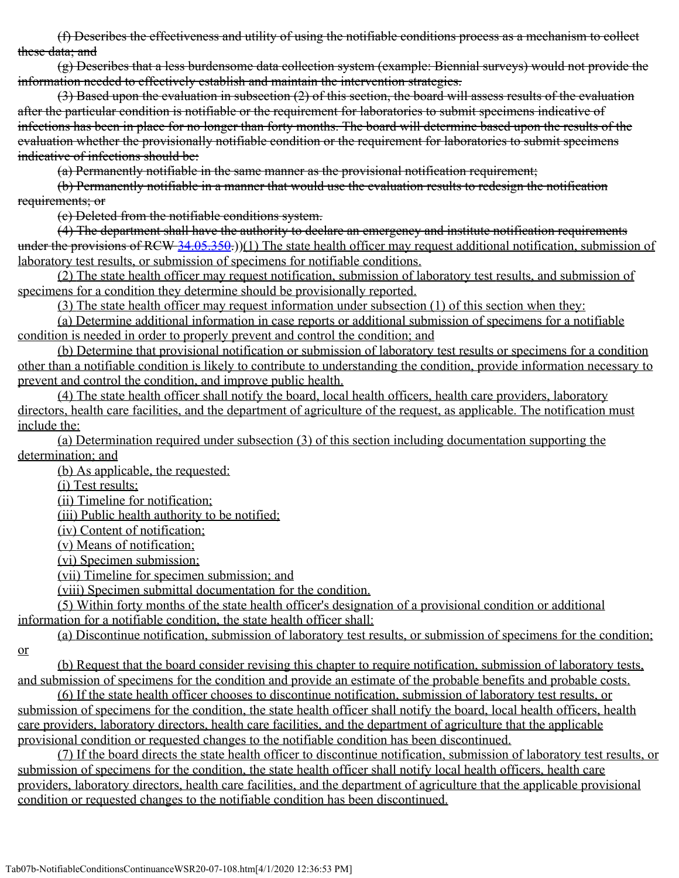(f) Describes the effectiveness and utility of using the notifiable conditions process as a mechanism to collect these data; and

(g) Describes that a less burdensome data collection system (example: Biennial surveys) would not provide the information needed to effectively establish and maintain the intervention strategies.

(3) Based upon the evaluation in subsection (2) of this section, the board will assess results of the evaluation after the particular condition is notifiable or the requirement for laboratories to submit specimens indicative of infections has been in place for no longer than forty months. The board will determine based upon the results of the evaluation whether the provisionally notifiable condition or the requirement for laboratories to submit specimens indicative of infections should be:

(a) Permanently notifiable in the same manner as the provisional notification requirement;

(b) Permanently notifiable in a manner that would use the evaluation results to redesign the notification requirements; or

(c) Deleted from the notifiable conditions system.

(4) The department shall have the authority to declare an emergency and institute notification requirements under the provisions of RCW [34.05.350](http://app.leg.wa.gov/RCW/default.aspx?cite=34.05.350).))(1) The state health officer may request additional notification, submission of laboratory test results, or submission of specimens for notifiable conditions.

(2) The state health officer may request notification, submission of laboratory test results, and submission of specimens for a condition they determine should be provisionally reported.

(3) The state health officer may request information under subsection (1) of this section when they:

(a) Determine additional information in case reports or additional submission of specimens for a notifiable condition is needed in order to properly prevent and control the condition; and

(b) Determine that provisional notification or submission of laboratory test results or specimens for a condition other than a notifiable condition is likely to contribute to understanding the condition, provide information necessary to prevent and control the condition, and improve public health.

(4) The state health officer shall notify the board, local health officers, health care providers, laboratory directors, health care facilities, and the department of agriculture of the request, as applicable. The notification must include the:

(a) Determination required under subsection (3) of this section including documentation supporting the determination; and

(b) As applicable, the requested:

(i) Test results;

(ii) Timeline for notification;

(iii) Public health authority to be notified;

(iv) Content of notification;

(v) Means of notification;

(vi) Specimen submission;

(vii) Timeline for specimen submission; and

(viii) Specimen submittal documentation for the condition.

(5) Within forty months of the state health officer's designation of a provisional condition or additional information for a notifiable condition, the state health officer shall:

(a) Discontinue notification, submission of laboratory test results, or submission of specimens for the condition;

or

(b) Request that the board consider revising this chapter to require notification, submission of laboratory tests, and submission of specimens for the condition and provide an estimate of the probable benefits and probable costs.

(6) If the state health officer chooses to discontinue notification, submission of laboratory test results, or submission of specimens for the condition, the state health officer shall notify the board, local health officers, health care providers, laboratory directors, health care facilities, and the department of agriculture that the applicable provisional condition or requested changes to the notifiable condition has been discontinued.

(7) If the board directs the state health officer to discontinue notification, submission of laboratory test results, or submission of specimens for the condition, the state health officer shall notify local health officers, health care providers, laboratory directors, health care facilities, and the department of agriculture that the applicable provisional condition or requested changes to the notifiable condition has been discontinued.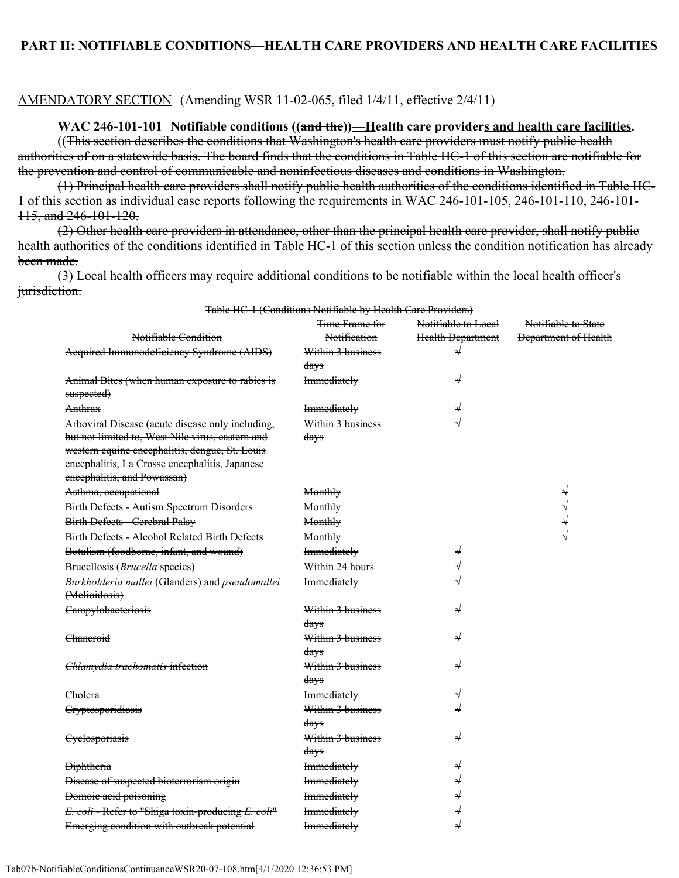#### AMENDATORY SECTION (Amending WSR 11-02-065, filed 1/4/11, effective 2/4/11)

#### **WAC 246-101-101 Notifiable conditions ((and the))—Health care providers and health care facilities.**

((This section describes the conditions that Washington's health care providers must notify public health authorities of on a statewide basis. The board finds that the conditions in Table HC-1 of this section are notifiable for the prevention and control of communicable and noninfectious diseases and conditions in Washington.

(1) Principal health care providers shall notify public health authorities of the conditions identified in Table HC-1 of this section as individual case reports following the requirements in WAC 246-101-105, 246-101-110, 246-101- 115, and 246-101-120.

(2) Other health care providers in attendance, other than the principal health care provider, shall notify public health authorities of the conditions identified in Table HC-1 of this section unless the condition notification has already been made.

(3) Local health officers may require additional conditions to be notifiable within the local health officer's jurisdiction.

|                                                    | Table HC-I (Conditions inourtable by Health Cale Hoviders)<br>Time Frame for | Notifiable to Local      | Notifiable to State         |
|----------------------------------------------------|------------------------------------------------------------------------------|--------------------------|-----------------------------|
| Notifiable Condition                               | Notification                                                                 | <b>Health Department</b> | <b>Department of Health</b> |
| Acquired Immunodeficiency Syndrome (AIDS)          | Within 3 business                                                            | $\rightarrow$            |                             |
|                                                    | days                                                                         |                          |                             |
| Animal Bites (when human exposure to rabies is     | <b>Immediately</b>                                                           | N                        |                             |
| suspected)                                         |                                                                              |                          |                             |
| Anthrax                                            | <b>Immediately</b>                                                           | N                        |                             |
| Arboviral Disease (acute disease only including,   | Within 3 business                                                            | ⇃                        |                             |
| but not limited to, West Nile virus, eastern and   | days                                                                         |                          |                             |
| western equine encephalitis, dengue, St. Louis     |                                                                              |                          |                             |
| encephalitis, La Crosse encephalitis, Japanese     |                                                                              |                          |                             |
| encephalitis, and Powassan)                        |                                                                              |                          |                             |
| Asthma, occupational                               | Monthly                                                                      |                          | N                           |
| Birth Defects - Autism Spectrum Disorders          | Monthly                                                                      |                          | N                           |
| <b>Birth Defects - Cerebral Palsy</b>              | Monthly                                                                      |                          | $\downarrow$                |
| Birth Defects - Alcohol Related Birth Defects      | Monthly                                                                      |                          | N                           |
| Botulism (foodborne, infant, and wound)            | <b>Immediately</b>                                                           | N                        |                             |
| Brueellosis (Brucella species)                     | Within 24 hours                                                              | N                        |                             |
| Burkholderia mallei (Glanders) and pseudomallei    | <b>Immediately</b>                                                           | ⇃                        |                             |
| (Melioidosis)                                      |                                                                              |                          |                             |
| Campylobacteriosis                                 | Within 3 business                                                            | N                        |                             |
|                                                    | days                                                                         |                          |                             |
| <del>Chaneroid</del>                               | Within 3 business                                                            | N                        |                             |
|                                                    | days                                                                         |                          |                             |
| Chlamydia trachomatis infection                    | Within 3 business                                                            | N                        |                             |
|                                                    | days                                                                         |                          |                             |
| <del>Cholera</del>                                 | <b>Immediately</b>                                                           | N                        |                             |
| Cryptosporidiosis                                  | Within 3 business                                                            | N                        |                             |
|                                                    | days                                                                         |                          |                             |
| Cyclosporiasis                                     | Within 3 business                                                            | N                        |                             |
|                                                    | days                                                                         |                          |                             |
| <b>Diphtheria</b>                                  | <b>Immediately</b>                                                           | N                        |                             |
| Disease of suspected bioterrorism origin           | <b>Immediately</b>                                                           | N                        |                             |
| Domoie acid poisoning                              | <b>Immediately</b>                                                           | N                        |                             |
| E. coli - Refer to "Shiga toxin-producing E. coli" | <b>Immediately</b>                                                           | N                        |                             |
| Emerging condition with outbreak potential         | <b>Immediately</b>                                                           | N                        |                             |

Table HC-1 (Conditions Notifiable by Health Care Providers)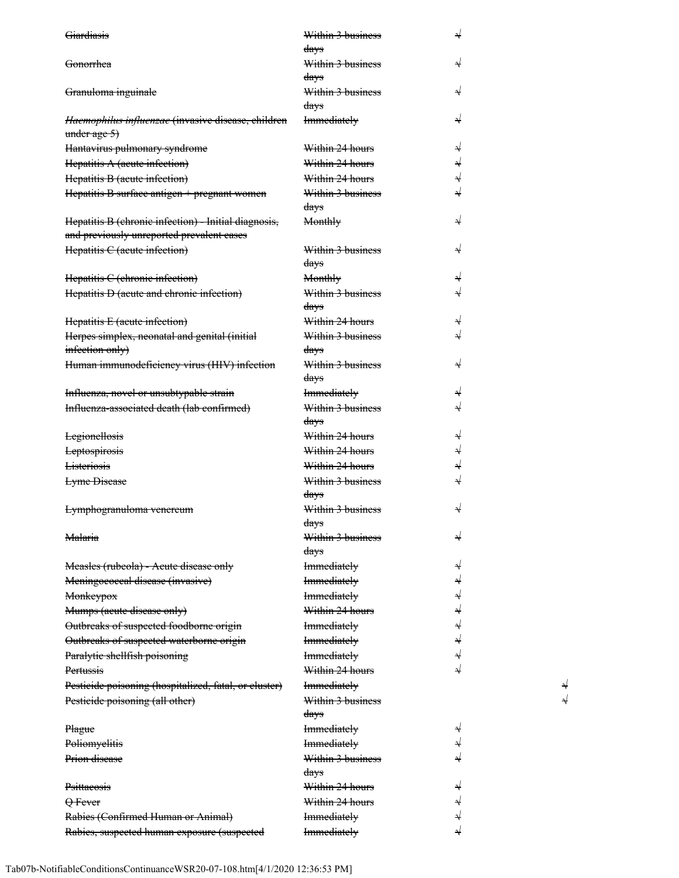| Giardiasis                                            | Within 3 business  | N |
|-------------------------------------------------------|--------------------|---|
|                                                       | days               |   |
| Gonorrhea                                             | Within 3 business  |   |
|                                                       | days               |   |
| Granuloma inguinale                                   | Within 3 business  |   |
|                                                       | days               |   |
| Haemophilus influenzae (invasive disease, children    | <b>Immediately</b> |   |
| under age 5)                                          |                    |   |
| Hantavirus pulmonary syndrome                         | Within 24 hours    |   |
| Hepatitis A (acute infection)                         | Within 24 hours    | √ |
| Hepatitis B (acute infection)                         | Within 24 hours    |   |
| Hepatitis B surface antigen + pregnant women          | Within 3 business  |   |
|                                                       | days               |   |
| Hepatitis B (chronic infection) - Initial diagnosis,  | Monthly            |   |
| and previously unreported prevalent cases             |                    |   |
| Hepatitis C (acute infection)                         | Within 3 business  |   |
|                                                       | days               |   |
| Hepatitis C (chronic infection)                       | Monthly            |   |
| Hepatitis D (acute and chronic infection)             | Within 3 business  |   |
|                                                       | days               |   |
| Hepatitis E (acute infection)                         | Within 24 hours    |   |
| Herpes simplex, neonatal and genital (initial         | Within 3 business  |   |
| infection only)                                       | days               |   |
| Human immunodeficiency virus (HIV) infection          | Within 3 business  |   |
|                                                       | days               |   |
| Influenza, novel or unsubtypable strain               | <b>Immediately</b> | N |
| Influenza-associated death (lab confirmed)            | Within 3 business  |   |
|                                                       | days               |   |
| <b>Legionellosis</b>                                  | Within 24 hours    | N |
| <b>Leptospirosis</b>                                  | Within 24 hours    | ⇃ |
| <b>Listeriosis</b>                                    | Within 24 hours    | √ |
| <b>Lyme</b> Disease                                   | Within 3 business  |   |
|                                                       | days               |   |
| <del>Lymphogranuloma venereum</del>                   | Within 3 business  |   |
|                                                       | davs               |   |
| <del>Malaria</del>                                    | Within 3 business  |   |
|                                                       | days               |   |
| Measles (rubeola) - Acute disease only                | <b>Immediately</b> |   |
| Meningoeoeeal disease (invasive)                      | <b>Immediately</b> |   |
| <b>Monkeypox</b>                                      | <b>Immediately</b> | √ |
| Mumps (acute disease only)                            | Within 24 hours    |   |
| Outbreaks of suspected foodborne origin               | <b>Immediately</b> |   |
| Outbreaks of suspected waterborne origin              | <b>Immediately</b> |   |
|                                                       | Immediately        |   |
| Paralytic shellfish poisoning                         | Within 24 hours    |   |
| Pertussis                                             |                    |   |
| Pesticide poisoning (hospitalized, fatal, or cluster) | <b>Immediately</b> |   |
| Pesticide poisoning (all other)                       | Within 3 business  |   |
|                                                       | days               |   |
| Plague                                                | <b>Immediately</b> |   |
| Poliomyelitis                                         | <b>Immediately</b> |   |
| Prion disease                                         | Within 3 business  |   |
|                                                       | days               |   |
| Psittacosis                                           | Within 24 hours    |   |
| Q Fever                                               | Within 24 hours    |   |
| Rabies (Confirmed Human or Animal)                    | <b>Immediately</b> |   |
| Rabies, suspected human exposure (suspected           | <b>Immediately</b> |   |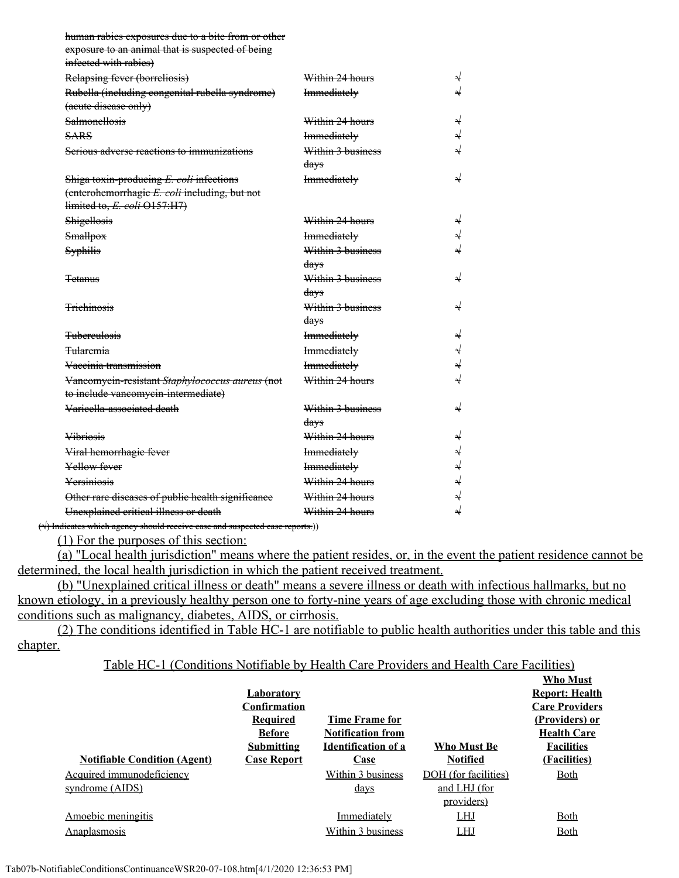| human rabies exposures due to a bite from or other |                    |                          |
|----------------------------------------------------|--------------------|--------------------------|
| exposure to an animal that is suspected of being   |                    |                          |
| infected with rabies)                              |                    |                          |
| Relapsing fever (borreliosis)                      | Within 24 hours    | $\overline{\mathcal{X}}$ |
| Rubella (including congenital rubella syndrome)    | <b>Immediately</b> |                          |
| (acute disease only)                               |                    |                          |
| <b>Salmonellosis</b>                               | Within 24 hours    |                          |
| <b>SARS</b>                                        | <b>Immediately</b> | ⇃                        |
| Serious adverse reactions to immunizations         | Within 3 business  |                          |
|                                                    | days               |                          |
| Shiga toxin-producing E. coli infections           | <b>Immediately</b> |                          |
| (enterohemorrhagie E. coli including, but not      |                    |                          |
| limited to, E. coli O157:H7)                       |                    |                          |
| Shigellosis                                        | Within 24 hours    | N                        |
| Smallpox                                           | <b>Immediately</b> | ↵                        |
| Syphilis                                           | Within 3 business  |                          |
|                                                    | days               |                          |
| <del>Tetanus</del>                                 | Within 3 business  |                          |
|                                                    | days               |                          |
| <b>Trichinosis</b>                                 | Within 3 business  | N                        |
|                                                    | days               |                          |
| <b>Tuberculosis</b>                                | <b>Immediately</b> |                          |
| <del>Tularemia</del>                               | <b>Immediately</b> | ⇃                        |
| Vaccinia transmission                              | <b>Immediately</b> | √                        |
| Vancomycin-resistant Staphylococcus aureus (not    | Within 24 hours    |                          |
| to include vancomycin-intermediate)                |                    |                          |
| Varieella-associated death                         | Within 3 business  | ↵                        |
|                                                    | days               |                          |
| <b>Vibriosis</b>                                   | Within 24 hours    | N                        |
| Viral hemorrhagie fever                            | <b>Immediately</b> |                          |
| Yellow fever                                       | <b>Immediately</b> | $\downarrow$             |
| Yersiniosis                                        | Within 24 hours    |                          |
| Other rare diseases of public health significance  | Within 24 hours    |                          |
| Unexplained critical illness or death              | Within 24 hours    | $\downarrow$             |

 $(\forall)$  Indicates which agency should receive case and suspected case reports.))

(1) For the purposes of this section:

(a) "Local health jurisdiction" means where the patient resides, or, in the event the patient residence cannot be determined, the local health jurisdiction in which the patient received treatment.

(b) "Unexplained critical illness or death" means a severe illness or death with infectious hallmarks, but no known etiology, in a previously healthy person one to forty-nine years of age excluding those with chronic medical conditions such as malignancy, diabetes, AIDS, or cirrhosis.

(2) The conditions identified in Table HC-1 are notifiable to public health authorities under this table and this chapter.

Table HC-1 (Conditions Notifiable by Health Care Providers and Health Care Facilities)

|                                     |                     |                            |                      | <b>Who Must</b>       |
|-------------------------------------|---------------------|----------------------------|----------------------|-----------------------|
|                                     | <u>Laboratory</u>   |                            |                      | <b>Report: Health</b> |
|                                     | <b>Confirmation</b> |                            |                      | <b>Care Providers</b> |
|                                     | <b>Required</b>     | Time Frame for             |                      | (Providers) or        |
|                                     | <b>Before</b>       | <b>Notification from</b>   |                      | <b>Health Care</b>    |
|                                     | <b>Submitting</b>   | <b>Identification of a</b> | Who Must Be          | <b>Facilities</b>     |
| <b>Notifiable Condition (Agent)</b> | <b>Case Report</b>  | Case                       | <b>Notified</b>      | (Facilities)          |
| Acquired immunodeficiency           |                     | Within 3 business          | DOH (for facilities) | <u>Both</u>           |
| syndrome (AIDS)                     |                     | <u>days</u>                | and LHJ (for         |                       |
|                                     |                     |                            | providers)           |                       |
| Amoebic meningitis                  |                     | Immediately                | <b>LHJ</b>           | Both                  |
| Anaplasmosis                        |                     | Within 3 business          | <b>LHJ</b>           | <b>Both</b>           |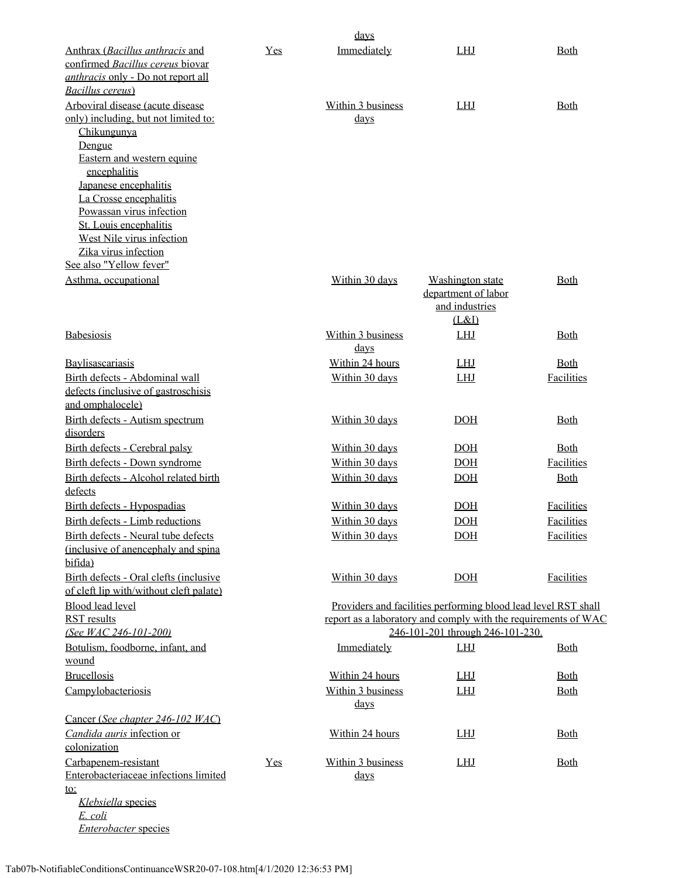|                                                             |     | days              |                                                                |             |
|-------------------------------------------------------------|-----|-------------------|----------------------------------------------------------------|-------------|
| Anthrax (Bacillus anthracis and                             | Yes | Immediately       | <b>LHJ</b>                                                     | <b>Both</b> |
| confirmed Bacillus cereus biovar                            |     |                   |                                                                |             |
| anthracis only - Do not report all                          |     |                   |                                                                |             |
| Bacillus cereus)                                            |     |                   |                                                                |             |
| Arboviral disease (acute disease                            |     | Within 3 business | <b>LHJ</b>                                                     | <b>Both</b> |
| only) including, but not limited to:                        |     | <u>days</u>       |                                                                |             |
| Chikungunya                                                 |     |                   |                                                                |             |
| Dengue<br>Eastern and western equine                        |     |                   |                                                                |             |
| encephalitis                                                |     |                   |                                                                |             |
| Japanese encephalitis                                       |     |                   |                                                                |             |
| La Crosse encephalitis                                      |     |                   |                                                                |             |
| Powassan virus infection                                    |     |                   |                                                                |             |
| St. Louis encephalitis                                      |     |                   |                                                                |             |
| West Nile virus infection                                   |     |                   |                                                                |             |
| Zika virus infection                                        |     |                   |                                                                |             |
| See also "Yellow fever"                                     |     |                   |                                                                |             |
| Asthma, occupational                                        |     | Within 30 days    | Washington state                                               | <b>Both</b> |
|                                                             |     |                   | department of labor<br>and industries                          |             |
|                                                             |     |                   | (L&I)                                                          |             |
| Babesiosis                                                  |     | Within 3 business | <b>LHJ</b>                                                     | Both        |
|                                                             |     | <u>days</u>       |                                                                |             |
| <b>Baylisascariasis</b>                                     |     | Within 24 hours   | <b>LHJ</b>                                                     | <b>Both</b> |
| Birth defects - Abdominal wall                              |     | Within 30 days    | LHJ                                                            | Facilities  |
| defects (inclusive of gastroschisis                         |     |                   |                                                                |             |
| and omphalocele)                                            |     |                   |                                                                |             |
| Birth defects - Autism spectrum                             |     | Within 30 days    | <b>DOH</b>                                                     | <b>Both</b> |
| disorders                                                   |     |                   |                                                                |             |
| Birth defects - Cerebral palsy                              |     | Within 30 days    | DOH                                                            | <b>Both</b> |
| Birth defects - Down syndrome                               |     | Within 30 days    | DOH                                                            | Facilities  |
| Birth defects - Alcohol related birth                       |     | Within 30 days    | DOH                                                            | <b>Both</b> |
| defects                                                     |     |                   |                                                                |             |
| Birth defects - Hypospadias                                 |     | Within 30 days    | DOH                                                            | Facilities  |
| Birth defects - Limb reductions                             |     | Within 30 days    | <b>DOH</b>                                                     | Facilities  |
| Birth defects - Neural tube defects                         |     | Within 30 days    | DOH                                                            | Facilities  |
| (inclusive of anencephaly and spina                         |     |                   |                                                                |             |
| bifida)                                                     |     |                   |                                                                |             |
| Birth defects - Oral clefts (inclusive                      |     | Within 30 days    | DOH                                                            | Facilities  |
| of cleft lip with/without cleft palate)<br>Blood lead level |     |                   | Providers and facilities performing blood lead level RST shall |             |
| <b>RST</b> results                                          |     |                   | report as a laboratory and comply with the requirements of WAC |             |
| (See WAC 246-101-200)                                       |     |                   | 246-101-201 through 246-101-230.                               |             |
| Botulism, foodborne, infant, and                            |     | Immediately       | <b>LHJ</b>                                                     | <b>Both</b> |
| wound                                                       |     |                   |                                                                |             |
| <b>Brucellosis</b>                                          |     | Within 24 hours   | <b>LHJ</b>                                                     | <b>Both</b> |
| Campylobacteriosis                                          |     | Within 3 business | <b>LHJ</b>                                                     | Both        |
|                                                             |     | <u>days</u>       |                                                                |             |
| Cancer (See chapter 246-102 WAC)                            |     |                   |                                                                |             |
| Candida auris infection or                                  |     | Within 24 hours   | <b>LHJ</b>                                                     | <b>Both</b> |
| colonization                                                |     |                   |                                                                |             |
| Carbapenem-resistant                                        | Yes | Within 3 business | LHJ                                                            | <b>Both</b> |
| Enterobacteriaceae infections limited                       |     | <u>days</u>       |                                                                |             |
| <u>to:</u><br>Klebsiella species                            |     |                   |                                                                |             |
| E. coli                                                     |     |                   |                                                                |             |

*Enterobacter* species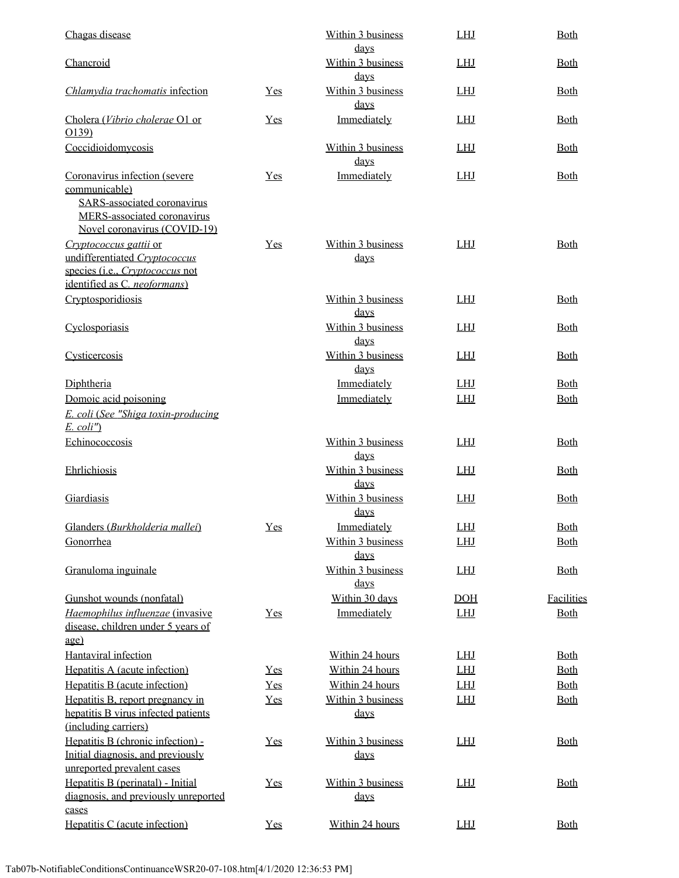| Chagas disease                                                                                                                               |       | Within 3 business<br>days        | <b>LHJ</b> | Both        |
|----------------------------------------------------------------------------------------------------------------------------------------------|-------|----------------------------------|------------|-------------|
| Chancroid                                                                                                                                    |       | Within 3 business<br><u>days</u> | <b>LHJ</b> | <b>Both</b> |
| Chlamydia trachomatis infection                                                                                                              | $Yes$ | Within 3 business<br>days        | <b>LHJ</b> | <b>Both</b> |
| Cholera (Vibrio cholerae O1 or<br>O(139)                                                                                                     | Yes   | Immediately                      | <b>LHJ</b> | <b>Both</b> |
| Coccidioidomycosis                                                                                                                           |       | Within 3 business<br>days        | <b>LHJ</b> | <b>Both</b> |
| Coronavirus infection (severe<br>communicable)<br>SARS-associated coronavirus<br>MERS-associated coronavirus<br>Novel coronavirus (COVID-19) | $Yes$ | Immediately                      | <b>LHJ</b> | <b>Both</b> |
| Cryptococcus gattii or<br>undifferentiated Cryptococcus<br>species (i.e., Cryptococcus not<br>identified as C. neoformans)                   | $Yes$ | Within 3 business<br><u>days</u> | <b>LHJ</b> | <b>Both</b> |
| Cryptosporidiosis                                                                                                                            |       | Within 3 business<br><u>days</u> | <b>LHJ</b> | <b>Both</b> |
| Cyclosporiasis                                                                                                                               |       | Within 3 business<br>days        | <b>LHJ</b> | <b>Both</b> |
| Cysticercosis                                                                                                                                |       | Within 3 business<br><u>days</u> | <b>LHJ</b> | <b>Both</b> |
| Diphtheria                                                                                                                                   |       | Immediately                      | <b>LHJ</b> | <b>Both</b> |
| Domoic acid poisoning                                                                                                                        |       | Immediately                      | <b>LHJ</b> | <b>Both</b> |
| E. coli (See "Shiga toxin-producing<br>$E.$ coli")                                                                                           |       |                                  |            |             |
| Echinococcosis                                                                                                                               |       | Within 3 business<br><u>days</u> | <b>LHJ</b> | <b>Both</b> |
| Ehrlichiosis                                                                                                                                 |       | Within 3 business<br><u>days</u> | <b>LHJ</b> | Both        |
| Giardiasis                                                                                                                                   |       | Within 3 business<br><u>days</u> | <b>LHJ</b> | <b>Both</b> |
| Glanders (Burkholderia mallei)                                                                                                               | Yes   | Immediately                      | LHJ        | Both        |
| Gonorrhea                                                                                                                                    |       | Within 3 business<br>days        | <b>LHJ</b> | <b>Both</b> |
| Granuloma inguinale                                                                                                                          |       | Within 3 business<br>days        | <b>LHJ</b> | <b>Both</b> |
| Gunshot wounds (nonfatal)                                                                                                                    |       | Within 30 days                   | DOH        | Facilities  |
| Haemophilus influenzae (invasive                                                                                                             | $Yes$ | Immediately                      | <b>LHJ</b> | <b>Both</b> |
| disease, children under 5 years of                                                                                                           |       |                                  |            |             |
| age)                                                                                                                                         |       |                                  |            |             |
| Hantaviral infection                                                                                                                         |       | Within 24 hours                  | <b>LHJ</b> | <u>Both</u> |
| Hepatitis A (acute infection)                                                                                                                | $Yes$ | Within 24 hours                  | <b>LHJ</b> | <u>Both</u> |
| Hepatitis B (acute infection)                                                                                                                | $Yes$ | Within 24 hours                  | <b>LHJ</b> | <b>Both</b> |
| Hepatitis B, report pregnancy in<br>hepatitis B virus infected patients                                                                      | Yes   | Within 3 business<br><u>days</u> | <b>LHJ</b> | <b>Both</b> |
| (including carriers)<br>Hepatitis B (chronic infection) -<br>Initial diagnosis, and previously<br>unreported prevalent cases                 | Yes   | Within 3 business<br><u>days</u> | <b>LHJ</b> | <b>Both</b> |
| Hepatitis B (perinatal) - Initial<br>diagnosis, and previously unreported                                                                    | Yes   | Within 3 business<br><u>days</u> | <b>LHJ</b> | <b>Both</b> |
| cases<br>Hepatitis C (acute infection)                                                                                                       | Yes   | Within 24 hours                  | <b>LHJ</b> | <u>Both</u> |
|                                                                                                                                              |       |                                  |            |             |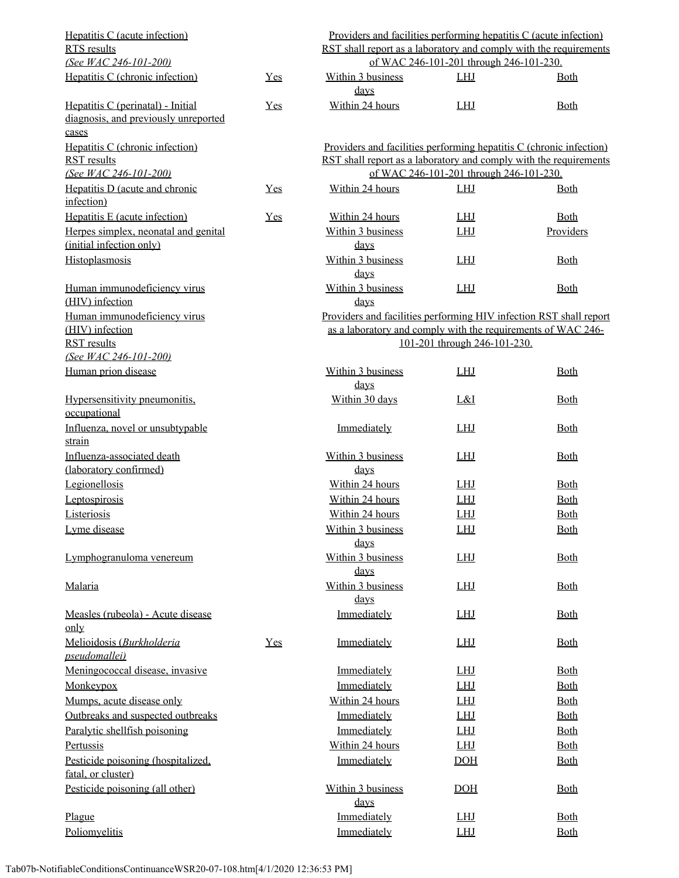| Hepatitis C (acute infection)<br>RTS results                                       |       | <u>Providers and facilities performing hepatitis C (acute infection)</u><br>RST shall report as a laboratory and comply with the requirements |                                         |             |  |
|------------------------------------------------------------------------------------|-------|-----------------------------------------------------------------------------------------------------------------------------------------------|-----------------------------------------|-------------|--|
| (See WAC 246-101-200)                                                              |       | of WAC 246-101-201 through 246-101-230.                                                                                                       |                                         |             |  |
| Hepatitis C (chronic infection)                                                    | Yes   | Within 3 business<br>$_{\rm days}$                                                                                                            | <b>LHJ</b>                              | <b>Both</b> |  |
| Hepatitis C (perinatal) - Initial<br>diagnosis, and previously unreported<br>cases | $Yes$ | Within 24 hours                                                                                                                               | <b>LHJ</b>                              | Both        |  |
| Hepatitis C (chronic infection)                                                    |       | Providers and facilities performing hepatitis C (chronic infection)                                                                           |                                         |             |  |
| <b>RST</b> results                                                                 |       | RST shall report as a laboratory and comply with the requirements                                                                             |                                         |             |  |
| (See WAC 246-101-200)                                                              |       |                                                                                                                                               | of WAC 246-101-201 through 246-101-230. |             |  |
| Hepatitis D (acute and chronic<br>infection)                                       | Yes   | Within 24 hours                                                                                                                               | <b>LHJ</b>                              | <b>Both</b> |  |
| Hepatitis E (acute infection)                                                      | Yes   | Within 24 hours                                                                                                                               | <b>LHJ</b>                              | <b>Both</b> |  |
| Herpes simplex, neonatal and genital                                               |       | Within 3 business                                                                                                                             | <b>LHJ</b>                              | Providers   |  |
| (initial infection only)                                                           |       | $\frac{days}{9}$                                                                                                                              |                                         |             |  |
| Histoplasmosis                                                                     |       | Within 3 business<br>$_{\rm days}$                                                                                                            | <b>LHJ</b>                              | <b>Both</b> |  |
| Human immunodeficiency virus<br>(HIV) infection                                    |       | Within 3 business<br>$_{\rm days}$                                                                                                            | <b>LHJ</b>                              | <b>Both</b> |  |
| Human immunodeficiency virus<br>(HIV) infection                                    |       | Providers and facilities performing HIV infection RST shall report<br>as a laboratory and comply with the requirements of WAC 246-            |                                         |             |  |
| <b>RST</b> results<br>(See WAC 246-101-200)                                        |       |                                                                                                                                               | 101-201 through 246-101-230.            |             |  |
| Human prion disease                                                                |       | Within 3 business<br>$_{\rm days}$                                                                                                            | <b>LHJ</b>                              | <b>Both</b> |  |
| Hypersensitivity pneumonitis.<br>occupational                                      |       | Within 30 days                                                                                                                                | L&I                                     | <b>Both</b> |  |
| Influenza, novel or unsubtypable<br>strain                                         |       | Immediately                                                                                                                                   | <b>LHJ</b>                              | <b>Both</b> |  |
| Influenza-associated death<br>(laboratory confirmed)                               |       | Within 3 business<br>$_{\rm days}$                                                                                                            | <b>LHJ</b>                              | <b>Both</b> |  |
| Legionellosis                                                                      |       | Within 24 hours                                                                                                                               | <b>LHJ</b>                              | <b>Both</b> |  |
| Leptospirosis                                                                      |       | Within 24 hours                                                                                                                               | <b>LHJ</b>                              | <b>Both</b> |  |
| Listeriosis                                                                        |       | Within 24 hours                                                                                                                               | <b>LHJ</b>                              | <b>Both</b> |  |
| Lyme disease                                                                       |       | Within 3 business                                                                                                                             | LHJ                                     | <b>Both</b> |  |
|                                                                                    |       | <u>days</u>                                                                                                                                   |                                         |             |  |
| Lymphogranuloma venereum                                                           |       | Within 3 business<br>$\frac{days}{9}$                                                                                                         | <b>LHJ</b>                              | <b>Both</b> |  |
| Malaria                                                                            |       | Within 3 business<br>$\frac{days}{9}$                                                                                                         | <b>LHJ</b>                              | <b>Both</b> |  |
| Measles (rubeola) - Acute disease<br>$_{\text{only}}$                              |       | Immediately                                                                                                                                   | <b>LHJ</b>                              | <b>Both</b> |  |
| Melioidosis (Burkholderia<br><i>pseudomallei</i> )                                 | Yes   | Immediately                                                                                                                                   | <b>LHJ</b>                              | <b>Both</b> |  |
| Meningococcal disease, invasive                                                    |       | Immediately                                                                                                                                   | <b>LHJ</b>                              | <b>Both</b> |  |
| Monkeypox                                                                          |       | Immediately                                                                                                                                   | <b>LHJ</b>                              | <b>Both</b> |  |
| Mumps, acute disease only                                                          |       | Within 24 hours                                                                                                                               | <b>LHJ</b>                              | <u>Both</u> |  |
| Outbreaks and suspected outbreaks                                                  |       | Immediately                                                                                                                                   | <b>LHJ</b>                              | <b>Both</b> |  |
| Paralytic shellfish poisoning                                                      |       | Immediately                                                                                                                                   | <b>LHJ</b>                              | <b>Both</b> |  |
| Pertussis                                                                          |       | Within 24 hours                                                                                                                               | <b>LHJ</b>                              | <b>Both</b> |  |
| Pesticide poisoning (hospitalized,<br>fatal, or cluster)                           |       | Immediately                                                                                                                                   | DOH                                     | <b>Both</b> |  |
| Pesticide poisoning (all other)                                                    |       | Within 3 business<br>$\frac{days}{9}$                                                                                                         | DOH                                     | <b>Both</b> |  |
| Plague                                                                             |       | Immediately                                                                                                                                   | <b>LHJ</b>                              | <b>Both</b> |  |
| Poliomyelitis                                                                      |       | Immediately                                                                                                                                   | <b>LHJ</b>                              | <b>Both</b> |  |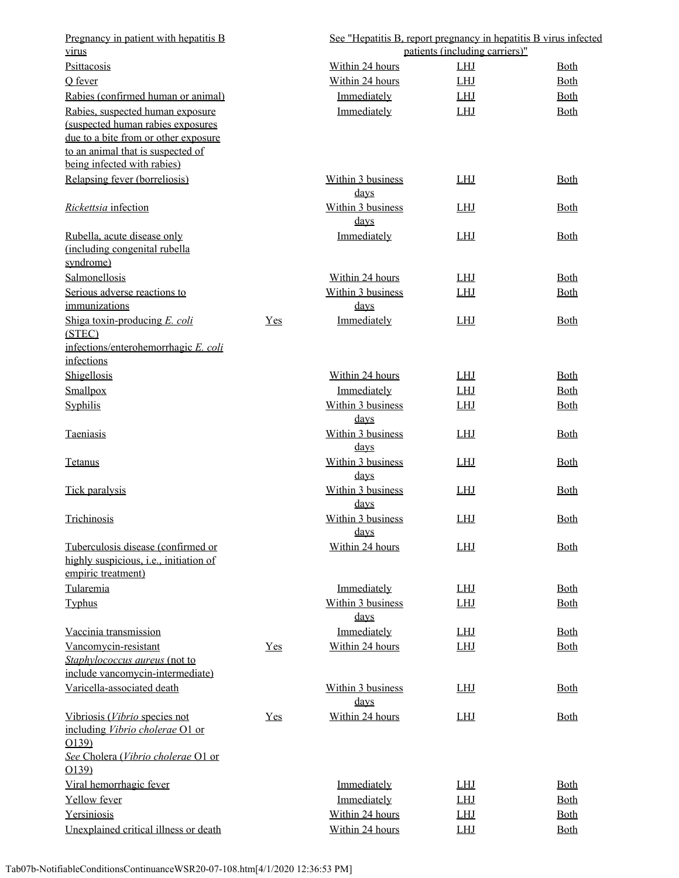| Pregnancy in patient with hepatitis B<br>virus                               |     | See "Hepatitis B, report pregnancy in hepatitis B virus infected | patients (including carriers)" |             |
|------------------------------------------------------------------------------|-----|------------------------------------------------------------------|--------------------------------|-------------|
| Psittacosis                                                                  |     | Within 24 hours                                                  | <b>LHJ</b>                     | <b>Both</b> |
| O fever                                                                      |     | Within 24 hours                                                  | <b>LHJ</b>                     | <b>Both</b> |
|                                                                              |     | Immediately                                                      |                                |             |
| Rabies (confirmed human or animal)<br>Rabies, suspected human exposure       |     |                                                                  | <u>LHJ</u><br><b>LHJ</b>       | <u>Both</u> |
| (suspected human rabies exposures                                            |     | Immediately                                                      |                                | <b>Both</b> |
| due to a bite from or other exposure                                         |     |                                                                  |                                |             |
| to an animal that is suspected of                                            |     |                                                                  |                                |             |
| being infected with rabies)                                                  |     |                                                                  |                                |             |
| Relapsing fever (borreliosis)                                                |     | Within 3 business<br>$_{\rm days}$                               | <b>LHJ</b>                     | <b>Both</b> |
| Rickettsia infection                                                         |     | Within 3 business<br>$\frac{days}{9}$                            | <b>LHJ</b>                     | <b>Both</b> |
| Rubella, acute disease only                                                  |     | Immediately                                                      | <b>LHJ</b>                     | <b>Both</b> |
| (including congenital rubella                                                |     |                                                                  |                                |             |
| syndrome)                                                                    |     |                                                                  |                                |             |
| Salmonellosis                                                                |     | Within 24 hours                                                  | <b>LHJ</b>                     | <b>Both</b> |
| Serious adverse reactions to                                                 |     | Within 3 business                                                | <b>LHJ</b>                     | <b>Both</b> |
| immunizations                                                                |     | days                                                             |                                |             |
| Shiga toxin-producing E. coli<br>(STEC)                                      | Yes | Immediately                                                      | <b>LHJ</b>                     | <b>Both</b> |
| infections/enterohemorrhagic E. coli                                         |     |                                                                  |                                |             |
| infections                                                                   |     |                                                                  |                                |             |
| Shigellosis                                                                  |     | Within 24 hours                                                  | <b>LHJ</b>                     | <u>Both</u> |
| Smallpox                                                                     |     | Immediately                                                      | <b>LHJ</b>                     | <b>Both</b> |
| Syphilis                                                                     |     | Within 3 business<br>$_{\rm days}$                               | <b>LHJ</b>                     | <b>Both</b> |
| Taeniasis                                                                    |     | Within 3 business<br><u>days</u>                                 | <b>LHJ</b>                     | <b>Both</b> |
| <b>Tetanus</b>                                                               |     | Within 3 business<br><u>days</u>                                 | <b>LHJ</b>                     | <b>Both</b> |
| Tick paralysis                                                               |     | Within 3 business<br>$_{\rm days}$                               | <b>LHJ</b>                     | <b>Both</b> |
| Trichinosis                                                                  |     | Within 3 business<br>days                                        | <u>LHJ</u>                     | <b>Both</b> |
| Tuberculosis disease (confirmed or<br>highly suspicious, i.e., initiation of |     | Within 24 hours                                                  | <b>LHJ</b>                     | <b>Both</b> |
| empiric treatment)                                                           |     |                                                                  |                                |             |
| Tularemia                                                                    |     | Immediately                                                      | <u>LHJ</u>                     | <b>Both</b> |
| Typhus                                                                       |     | Within 3 business<br>$_{\rm days}$                               | <b>LHJ</b>                     | <b>Both</b> |
| Vaccinia transmission                                                        |     | Immediately                                                      | <b>LHJ</b>                     | <b>Both</b> |
| Vancomycin-resistant                                                         | Yes | Within 24 hours                                                  | <b>LHJ</b>                     | <b>Both</b> |
| Staphylococcus aureus (not to                                                |     |                                                                  |                                |             |
| include vancomycin-intermediate)                                             |     |                                                                  |                                |             |
| Varicella-associated death                                                   |     | Within 3 business<br>days                                        | <b>LHJ</b>                     | <b>Both</b> |
| Vibriosis (Vibrio species not<br>including Vibrio cholerae O1 or<br>O(139)   | Yes | Within 24 hours                                                  | <b>LHJ</b>                     | <b>Both</b> |
| See Cholera (Vibrio cholerae O1 or<br>0139                                   |     |                                                                  |                                |             |
| Viral hemorrhagic fever                                                      |     | Immediately                                                      | <b>LHJ</b>                     | <b>Both</b> |
| Yellow fever                                                                 |     | Immediately                                                      | <b>LHJ</b>                     | <u>Both</u> |
| Yersiniosis                                                                  |     | Within 24 hours                                                  | LHJ                            | <u>Both</u> |
| Unexplained critical illness or death                                        |     | Within 24 hours                                                  | <b>LHJ</b>                     | <b>Both</b> |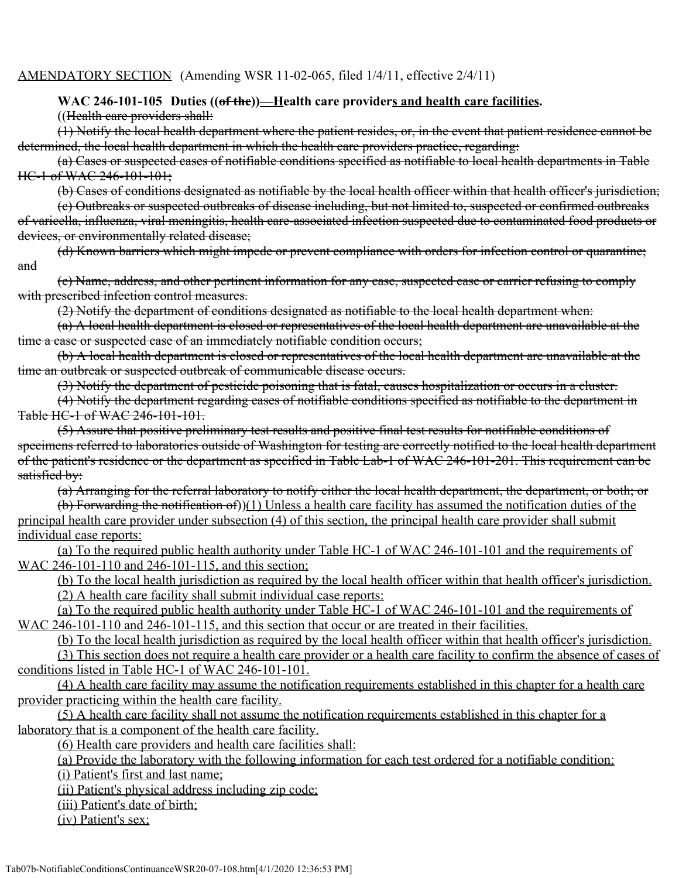#### AMENDATORY SECTION (Amending WSR 11-02-065, filed 1/4/11, effective 2/4/11)

#### WAC 246-101-105 Duties ((of the))—Health care providers and health care facilities.

((Health care providers shall:

(1) Notify the local health department where the patient resides, or, in the event that patient residence cannot be determined, the local health department in which the health care providers practice, regarding:

(a) Cases or suspected cases of notifiable conditions specified as notifiable to local health departments in Table HC-1 of WAC 246-101-101;

(b) Cases of conditions designated as notifiable by the local health officer within that health officer's jurisdiction;

(c) Outbreaks or suspected outbreaks of disease including, but not limited to, suspected or confirmed outbreaks of varicella, influenza, viral meningitis, health care-associated infection suspected due to contaminated food products or devices, or environmentally related disease;

(d) Known barriers which might impede or prevent compliance with orders for infection control or quarantine; and

(e) Name, address, and other pertinent information for any case, suspected case or carrier refusing to comply with prescribed infection control measures.

(2) Notify the department of conditions designated as notifiable to the local health department when:

(a) A local health department is closed or representatives of the local health department are unavailable at the time a case or suspected case of an immediately notifiable condition occurs;

(b) A local health department is closed or representatives of the local health department are unavailable at the time an outbreak or suspected outbreak of communicable disease occurs.

(3) Notify the department of pesticide poisoning that is fatal, causes hospitalization or occurs in a cluster.

(4) Notify the department regarding cases of notifiable conditions specified as notifiable to the department in Table HC-1 of WAC 246-101-101.

(5) Assure that positive preliminary test results and positive final test results for notifiable conditions of specimens referred to laboratories outside of Washington for testing are correctly notified to the local health department of the patient's residence or the department as specified in Table Lab-1 of WAC 246-101-201. This requirement can be satisfied by:

(a) Arranging for the referral laboratory to notify either the local health department, the department, or both; or

(b) Forwarding the notification of))(1) Unless a health care facility has assumed the notification duties of the principal health care provider under subsection (4) of this section, the principal health care provider shall submit individual case reports:

(a) To the required public health authority under Table HC-1 of WAC 246-101-101 and the requirements of WAC 246-101-110 and 246-101-115, and this section;

(b) To the local health jurisdiction as required by the local health officer within that health officer's jurisdiction. (2) A health care facility shall submit individual case reports:

(a) To the required public health authority under Table HC-1 of WAC 246-101-101 and the requirements of WAC 246-101-110 and 246-101-115, and this section that occur or are treated in their facilities.

(b) To the local health jurisdiction as required by the local health officer within that health officer's jurisdiction.

(3) This section does not require a health care provider or a health care facility to confirm the absence of cases of conditions listed in Table HC-1 of WAC 246-101-101.

(4) A health care facility may assume the notification requirements established in this chapter for a health care provider practicing within the health care facility.

(5) A health care facility shall not assume the notification requirements established in this chapter for a laboratory that is a component of the health care facility.

(6) Health care providers and health care facilities shall:

(a) Provide the laboratory with the following information for each test ordered for a notifiable condition:

(i) Patient's first and last name;

(ii) Patient's physical address including zip code;

(iii) Patient's date of birth;

(iv) Patient's sex;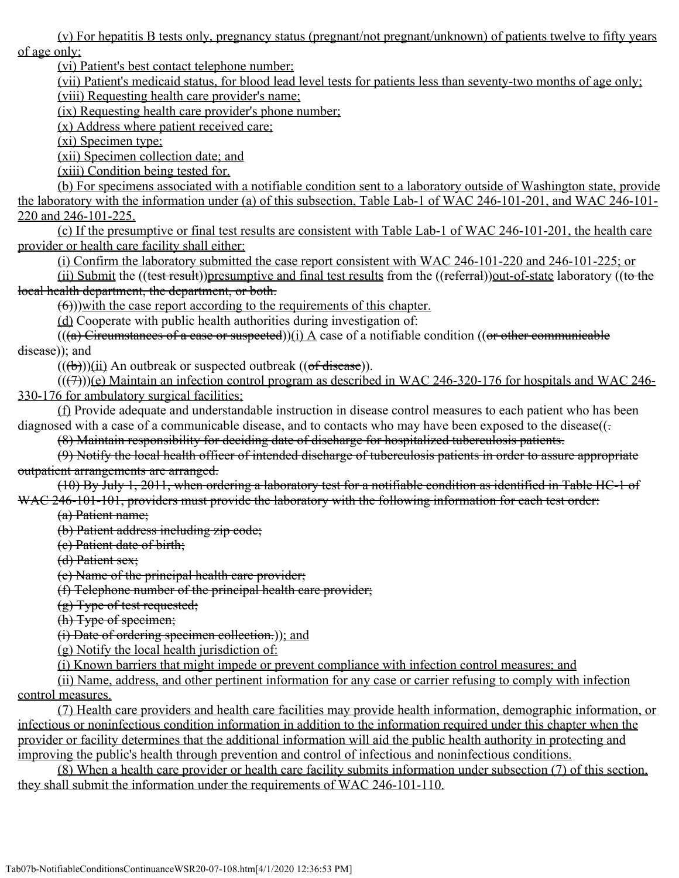(v) For hepatitis B tests only, pregnancy status (pregnant/not pregnant/unknown) of patients twelve to fifty years of age only;

(vi) Patient's best contact telephone number;

(vii) Patient's medicaid status, for blood lead level tests for patients less than seventy-two months of age only; (viii) Requesting health care provider's name;

(ix) Requesting health care provider's phone number;

(x) Address where patient received care;

(xi) Specimen type;

(xii) Specimen collection date; and

(xiii) Condition being tested for.

(b) For specimens associated with a notifiable condition sent to a laboratory outside of Washington state, provide the laboratory with the information under (a) of this subsection, Table Lab-1 of WAC 246-101-201, and WAC 246-101- 220 and 246-101-225.

(c) If the presumptive or final test results are consistent with Table Lab-1 of WAC 246-101-201, the health care provider or health care facility shall either:

(i) Confirm the laboratory submitted the case report consistent with WAC 246-101-220 and 246-101-225; or

(ii) Submit the ((test result))presumptive and final test results from the ((referral))out-of-state laboratory ((to the local health department, the department, or both.

(6)))with the case report according to the requirements of this chapter.

(d) Cooperate with public health authorities during investigation of:

 $((a)$  Circumstances of a case or suspected))(i) A case of a notifiable condition ((or other communicable disease)); and

 $((\theta))$ (ii) An outbreak or suspected outbreak (( $\theta$ f disease)).

 $(( (7)))(e)$  Maintain an infection control program as described in WAC 246-320-176 for hospitals and WAC 246-330-176 for ambulatory surgical facilities;

(f) Provide adequate and understandable instruction in disease control measures to each patient who has been diagnosed with a case of a communicable disease, and to contacts who may have been exposed to the disease( $($ .

(8) Maintain responsibility for deciding date of discharge for hospitalized tuberculosis patients.

(9) Notify the local health officer of intended discharge of tuberculosis patients in order to assure appropriate outpatient arrangements are arranged.

(10) By July 1, 2011, when ordering a laboratory test for a notifiable condition as identified in Table HC-1 of WAC 246-101-101, providers must provide the laboratory with the following information for each test order:

(a) Patient name;

(b) Patient address including zip code;

(c) Patient date of birth;

(d) Patient sex;

(e) Name of the principal health care provider;

(f) Telephone number of the principal health care provider;

(g) Type of test requested;

(h) Type of specimen;

(i) Date of ordering specimen collection.)); and

(g) Notify the local health jurisdiction of:

(i) Known barriers that might impede or prevent compliance with infection control measures; and

(ii) Name, address, and other pertinent information for any case or carrier refusing to comply with infection control measures.

(7) Health care providers and health care facilities may provide health information, demographic information, or infectious or noninfectious condition information in addition to the information required under this chapter when the provider or facility determines that the additional information will aid the public health authority in protecting and improving the public's health through prevention and control of infectious and noninfectious conditions.

(8) When a health care provider or health care facility submits information under subsection (7) of this section, they shall submit the information under the requirements of WAC 246-101-110.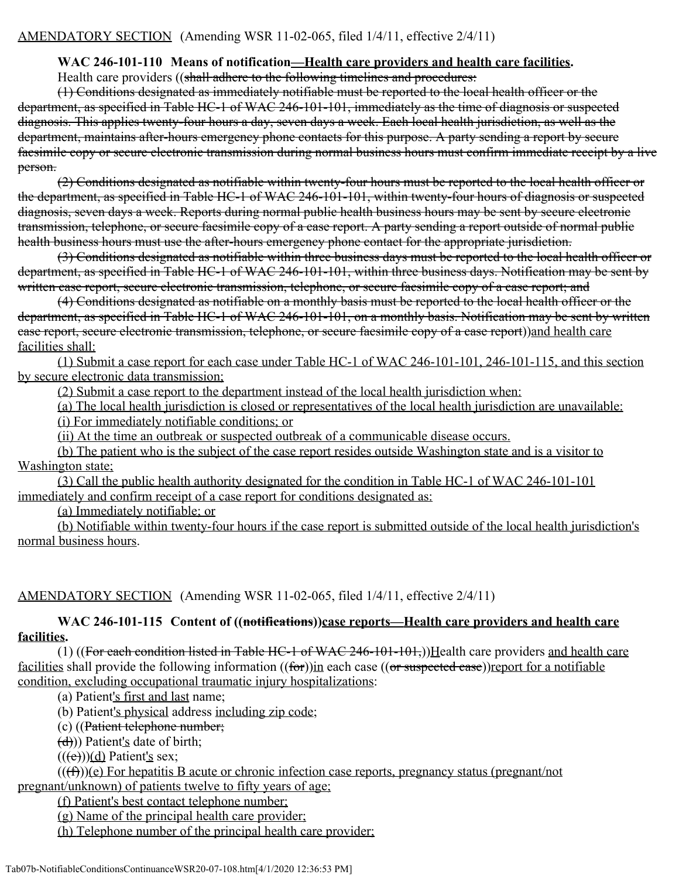### **WAC 246-101-110 Means of notification—Health care providers and health care facilities.**

Health care providers ((shall adhere to the following timelines and procedures:

(1) Conditions designated as immediately notifiable must be reported to the local health officer or the department, as specified in Table HC-1 of WAC 246-101-101, immediately as the time of diagnosis or suspected diagnosis. This applies twenty-four hours a day, seven days a week. Each local health jurisdiction, as well as the department, maintains after-hours emergency phone contacts for this purpose. A party sending a report by secure facsimile copy or secure electronic transmission during normal business hours must confirm immediate receipt by a live person.

(2) Conditions designated as notifiable within twenty-four hours must be reported to the local health officer or the department, as specified in Table HC-1 of WAC 246-101-101, within twenty-four hours of diagnosis or suspected diagnosis, seven days a week. Reports during normal public health business hours may be sent by secure electronic transmission, telephone, or secure facsimile copy of a case report. A party sending a report outside of normal public health business hours must use the after-hours emergency phone contact for the appropriate jurisdiction.

(3) Conditions designated as notifiable within three business days must be reported to the local health officer or department, as specified in Table HC-1 of WAC 246-101-101, within three business days. Notification may be sent by written case report, secure electronic transmission, telephone, or secure facsimile copy of a case report; and

(4) Conditions designated as notifiable on a monthly basis must be reported to the local health officer or the department, as specified in Table HC-1 of WAC 246-101-101, on a monthly basis. Notification may be sent by written case report, secure electronic transmission, telephone, or secure facsimile copy of a case report))and health care facilities shall:

(1) Submit a case report for each case under Table HC-1 of WAC 246-101-101, 246-101-115, and this section by secure electronic data transmission;

(2) Submit a case report to the department instead of the local health jurisdiction when:

(a) The local health jurisdiction is closed or representatives of the local health jurisdiction are unavailable:

(i) For immediately notifiable conditions; or

(ii) At the time an outbreak or suspected outbreak of a communicable disease occurs.

(b) The patient who is the subject of the case report resides outside Washington state and is a visitor to Washington state;

(3) Call the public health authority designated for the condition in Table HC-1 of WAC 246-101-101 immediately and confirm receipt of a case report for conditions designated as:

(a) Immediately notifiable; or

(b) Notifiable within twenty-four hours if the case report is submitted outside of the local health jurisdiction's normal business hours.

AMENDATORY SECTION (Amending WSR 11-02-065, filed 1/4/11, effective 2/4/11)

**WAC 246-101-115 Content of ((notifications))case reports—Health care providers and health care facilities.**

(1) ((For each condition listed in Table HC-1 of WAC 246-101-101,))Health care providers and health care facilities shall provide the following information ((for))in each case ((or suspected case))report for a notifiable condition, excluding occupational traumatic injury hospitalizations:

(a) Patient's first and last name;

(b) Patient's physical address including zip code;

(c) ((Patient telephone number;

 $(d)$ )) Patient's date of birth;

 $((e))$ (d) Patient's sex;

 $((\text{f})))$ (e) For hepatitis B acute or chronic infection case reports, pregnancy status (pregnant/not pregnant/unknown) of patients twelve to fifty years of age;

(f) Patient's best contact telephone number;

(g) Name of the principal health care provider;

(h) Telephone number of the principal health care provider;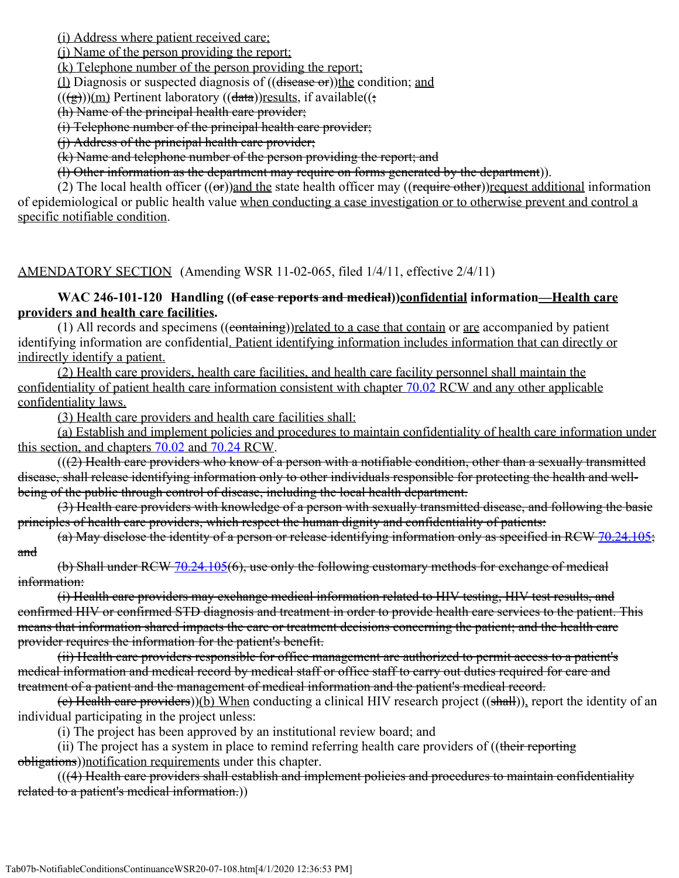(i) Address where patient received care;

(j) Name of the person providing the report;

(k) Telephone number of the person providing the report;

 $(1)$  Diagnosis or suspected diagnosis of  $((disease or))$ the condition; and

 $((\frac{1}{(g)}))$ (m) Pertinent laboratory  $((\frac{data}{r})$ results, if available( $(\frac{1}{r})$ 

(h) Name of the principal health care provider;

(i) Telephone number of the principal health care provider;

(i) Address of the principal health care provider;

(k) Name and telephone number of the person providing the report; and

(l) Other information as the department may require on forms generated by the department)).

(2) The local health officer  $((\sigma r))$  and the state health officer may  $((\dot{r}$  equire other)) request additional information of epidemiological or public health value when conducting a case investigation or to otherwise prevent and control a specific notifiable condition.

# AMENDATORY SECTION (Amending WSR 11-02-065, filed 1/4/11, effective 2/4/11)

### **WAC 246-101-120 Handling ((of case reports and medical))confidential information—Health care providers and health care facilities.**

(1) All records and specimens  $((\overline{\text{containing}}))$ related to a case that contain or are accompanied by patient identifying information are confidential. Patient identifying information includes information that can directly or indirectly identify a patient.

(2) Health care providers, health care facilities, and health care facility personnel shall maintain the confidentiality of patient health care information consistent with chapter [70.02](http://app.leg.wa.gov/RCW/default.aspx?cite=70.02) RCW and any other applicable confidentiality laws.

(3) Health care providers and health care facilities shall:

(a) Establish and implement policies and procedures to maintain confidentiality of health care information under this section, and chapters [70.02](http://app.leg.wa.gov/RCW/default.aspx?cite=70.02) and [70.24](http://app.leg.wa.gov/RCW/default.aspx?cite=70.24) RCW.

 $((2)$  Health care providers who know of a person with a notifiable condition, other than a sexually transmitted disease, shall release identifying information only to other individuals responsible for protecting the health and wellbeing of the public through control of disease, including the local health department.

(3) Health care providers with knowledge of a person with sexually transmitted disease, and following the basic principles of health care providers, which respect the human dignity and confidentiality of patients:

(a) May disclose the identity of a person or release identifying information only as specified in RCW [70.24.105;](http://app.leg.wa.gov/RCW/default.aspx?cite=70.24.105) and

(b) Shall under RCW [70.24.105](http://app.leg.wa.gov/RCW/default.aspx?cite=70.24.105)(6), use only the following customary methods for exchange of medical information:

(i) Health care providers may exchange medical information related to HIV testing, HIV test results, and confirmed HIV or confirmed STD diagnosis and treatment in order to provide health care services to the patient. This means that information shared impacts the care or treatment decisions concerning the patient; and the health care provider requires the information for the patient's benefit.

(ii) Health care providers responsible for office management are authorized to permit access to a patient's medical information and medical record by medical staff or office staff to carry out duties required for care and treatment of a patient and the management of medical information and the patient's medical record.

(c) Health care providers))(b) When conducting a clinical HIV research project ((shall)), report the identity of an individual participating in the project unless:

(i) The project has been approved by an institutional review board; and

(ii) The project has a system in place to remind referring health care providers of ((their reporting obligations))notification requirements under this chapter.

(((4) Health care providers shall establish and implement policies and procedures to maintain confidentiality related to a patient's medical information.))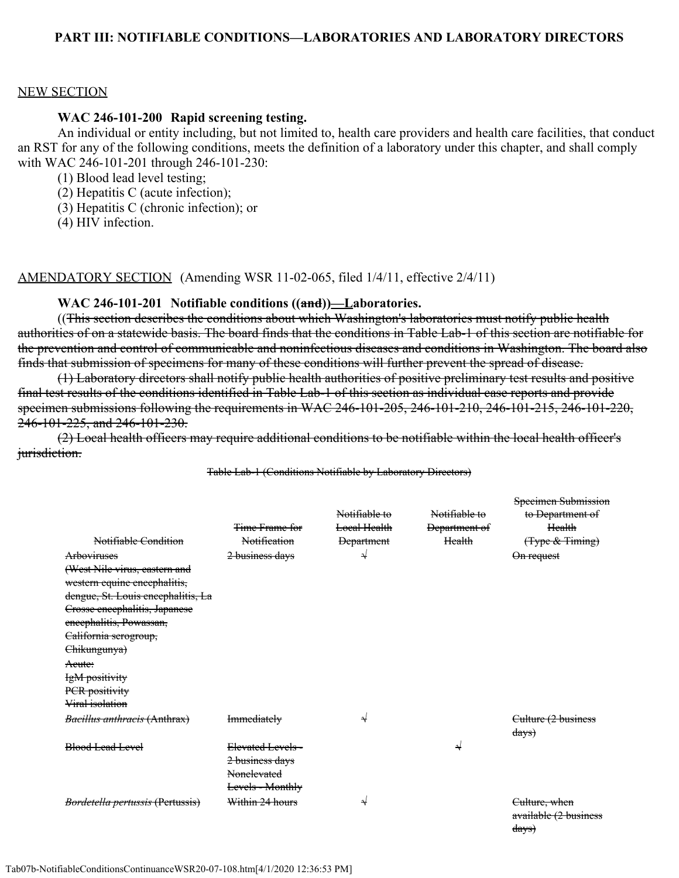#### **PART III: NOTIFIABLE CONDITIONS—LABORATORIES AND LABORATORY DIRECTORS**

#### NEW SECTION

#### **WAC 246-101-200 Rapid screening testing.**

An individual or entity including, but not limited to, health care providers and health care facilities, that conduct an RST for any of the following conditions, meets the definition of a laboratory under this chapter, and shall comply with WAC 246-101-201 through 246-101-230:

(1) Blood lead level testing;

- (2) Hepatitis C (acute infection);
- (3) Hepatitis C (chronic infection); or
- (4) HIV infection.

AMENDATORY SECTION (Amending WSR 11-02-065, filed 1/4/11, effective 2/4/11)

#### **WAC 246-101-201 Notifiable conditions ((and))—Laboratories.**

((This section describes the conditions about which Washington's laboratories must notify public health authorities of on a statewide basis. The board finds that the conditions in Table Lab-1 of this section are notifiable for the prevention and control of communicable and noninfectious diseases and conditions in Washington. The board also finds that submission of specimens for many of these conditions will further prevent the spread of disease.

(1) Laboratory directors shall notify public health authorities of positive preliminary test results and positive final test results of the conditions identified in Table Lab-1 of this section as individual case reports and provide specimen submissions following the requirements in WAC 246-101-205, 246-101-210, 246-101-215, 246-101-220, 246-101-225, and 246-101-230.

(2) Local health officers may require additional conditions to be notifiable within the local health officer's *jurisdiction.* 

#### Table Lab-1 (Conditions Notifiable by Laboratory Directors)

| Notifiable Condition               | <b>Time Frame for</b><br>Notification | Notifiable to<br>Local Health<br><b>Department</b> | Notifiable to<br>Department of<br>Health | <b>Specimen Submission</b><br>to Department of<br>Health<br>(Type & Timing) |
|------------------------------------|---------------------------------------|----------------------------------------------------|------------------------------------------|-----------------------------------------------------------------------------|
| Arboviruses                        | 2 business days                       | N                                                  |                                          | $\Theta$ n request                                                          |
| (West Nile virus, eastern and      |                                       |                                                    |                                          |                                                                             |
| western equine encephalitis,       |                                       |                                                    |                                          |                                                                             |
| dengue, St. Louis encephalitis, La |                                       |                                                    |                                          |                                                                             |
| Crosse encephalitis, Japanese      |                                       |                                                    |                                          |                                                                             |
| eneephalitis, Powassan,            |                                       |                                                    |                                          |                                                                             |
| California scrogroup,              |                                       |                                                    |                                          |                                                                             |
| Chikungunya)                       |                                       |                                                    |                                          |                                                                             |
| Aeute:                             |                                       |                                                    |                                          |                                                                             |
| IgM positivity                     |                                       |                                                    |                                          |                                                                             |
| PCR positivity                     |                                       |                                                    |                                          |                                                                             |
| Viral isolation                    |                                       |                                                    |                                          |                                                                             |
| Bacillus anthracis (Anthrax)       | <b>Immediately</b>                    | N                                                  |                                          | Culture (2 business                                                         |
|                                    |                                       |                                                    |                                          | $\frac{days}{3}$                                                            |
| Blood Lead Level                   | Elevated Levels -                     |                                                    | N                                        |                                                                             |
|                                    | 2 business days                       |                                                    |                                          |                                                                             |
|                                    | Nonelevated                           |                                                    |                                          |                                                                             |
|                                    | <b>Levels - Monthly</b>               |                                                    |                                          |                                                                             |
| Bordetella pertussis (Pertussis)   | Within 24 hours                       | N                                                  |                                          | <del>Culture, when</del>                                                    |
|                                    |                                       |                                                    |                                          | available (2 business                                                       |

days)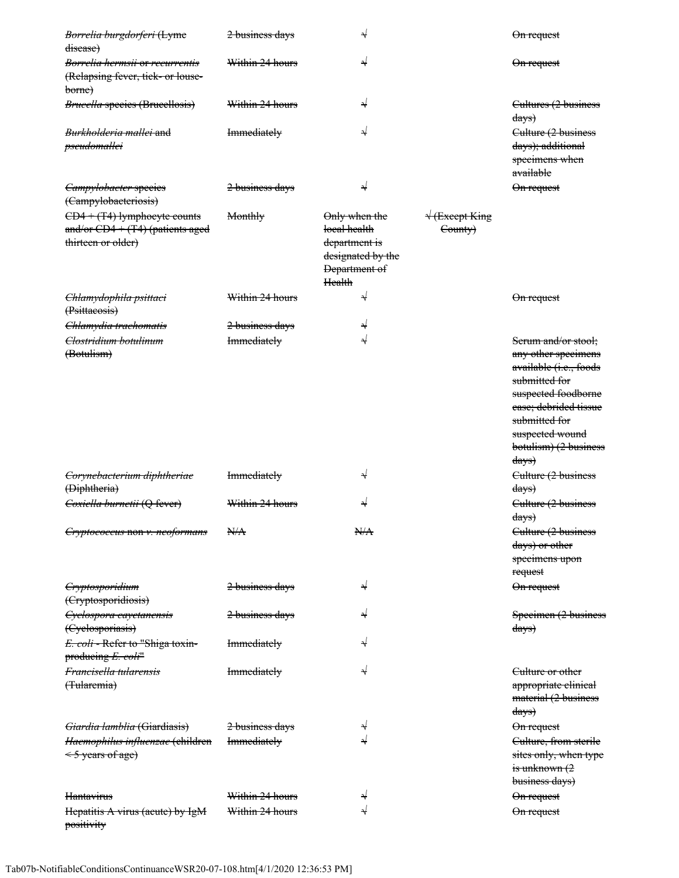| Borrelia burgdorferi (Lyme<br>disease)                                                    | 2 business days            | N                                                                                              |                                             | On request                                                                                                                                                                                                             |
|-------------------------------------------------------------------------------------------|----------------------------|------------------------------------------------------------------------------------------------|---------------------------------------------|------------------------------------------------------------------------------------------------------------------------------------------------------------------------------------------------------------------------|
| <del>Borrelia hermsii or recurrentis</del><br>(Relapsing fever, tick- or louse-<br>borne) | Within 24 hours            | N                                                                                              |                                             | On request                                                                                                                                                                                                             |
| <b>Brucella species (Brucellosis)</b>                                                     | Within 24 hours            | N                                                                                              |                                             | Cultures (2 business<br>$\frac{days}{9}$                                                                                                                                                                               |
| Burkholderia mallei and<br>pseudomallei                                                   | <b>Immediately</b>         |                                                                                                |                                             | Culture (2 business<br>days); additional<br>specimens when<br>available                                                                                                                                                |
| Campylobacter species<br>(Campylobacteriosis)                                             | <del>2 business days</del> | N                                                                                              |                                             | On request                                                                                                                                                                                                             |
| CD4 + (T4) lymphocyte counts<br>and/or CD4 + (T4) (patients aged<br>thirteen or older)    | Monthly                    | Only when the<br>local health<br>department is<br>designated by the<br>Department of<br>Health | $\sqrt{\frac{1}{2}}$ Except King<br>County) |                                                                                                                                                                                                                        |
| Chlamydophila psittaci<br>(Psittacosis)                                                   | Within 24 hours            | N                                                                                              |                                             | On request                                                                                                                                                                                                             |
| Chlamydia trachomatis                                                                     | <del>2 business days</del> | N                                                                                              |                                             |                                                                                                                                                                                                                        |
| <del>Clostridium botulinum</del><br>(Botulism)                                            | <b>Immediately</b>         | N                                                                                              |                                             | Serum and/or stool;<br>any other specimens<br>available (i.e., foods<br>submitted for<br>suspected foodborne<br>ease; debrided tissue<br>submitted for<br>suspected wound<br>botulism) (2 business<br><del>days)</del> |
| Corynebacterium diphtheriae<br>(Diphtheria)                                               | <b>Immediately</b>         | N                                                                                              |                                             | Culture (2 business<br><del>days)</del>                                                                                                                                                                                |
| Coxiella burnetii (Q fever)                                                               | Within 24 hours            | N                                                                                              |                                             | Culture (2 business<br>$\frac{days}{9}$                                                                                                                                                                                |
| Cryptococcus non v. neoformans                                                            | N/A                        | N/A                                                                                            |                                             | Culture (2 business<br>days) or other<br>specimens upon<br>request                                                                                                                                                     |
| Cryptosporidium<br>(Cryptosporidiosis)                                                    | <del>2 business days</del> | N                                                                                              |                                             | On request                                                                                                                                                                                                             |
| Cyclospora cayetanensis<br>(Cyclosporiasis)                                               | <del>2 business days</del> | N                                                                                              |                                             | Specimen (2 business<br>$\frac{days}{9}$                                                                                                                                                                               |
| E. coli - Refer to "Shiga toxin-<br>producing E. coli"                                    | <b>Immediately</b>         | N                                                                                              |                                             |                                                                                                                                                                                                                        |
| Francisella tularensis<br>(Tularemia)                                                     | <b>Immediately</b>         | N                                                                                              |                                             | Culture or other<br>appropriate elinical<br>material (2 business<br>days)                                                                                                                                              |
| Giardia lamblia (Giardiasis)                                                              | <del>2 business days</del> | N                                                                                              |                                             | On request                                                                                                                                                                                                             |
| Haemophilus influenzae (children<br>< 5 years of age)                                     | <b>Immediately</b>         | N                                                                                              |                                             | Culture, from sterile<br>sites only, when type<br>$\frac{1}{18}$ unknown $(2)$<br>business days)                                                                                                                       |
| Hantavirus                                                                                | Within 24 hours            | N                                                                                              |                                             | On request                                                                                                                                                                                                             |
| Hepatitis A virus (acute) by IgM<br>positivity                                            | Within 24 hours            | N                                                                                              |                                             | On request                                                                                                                                                                                                             |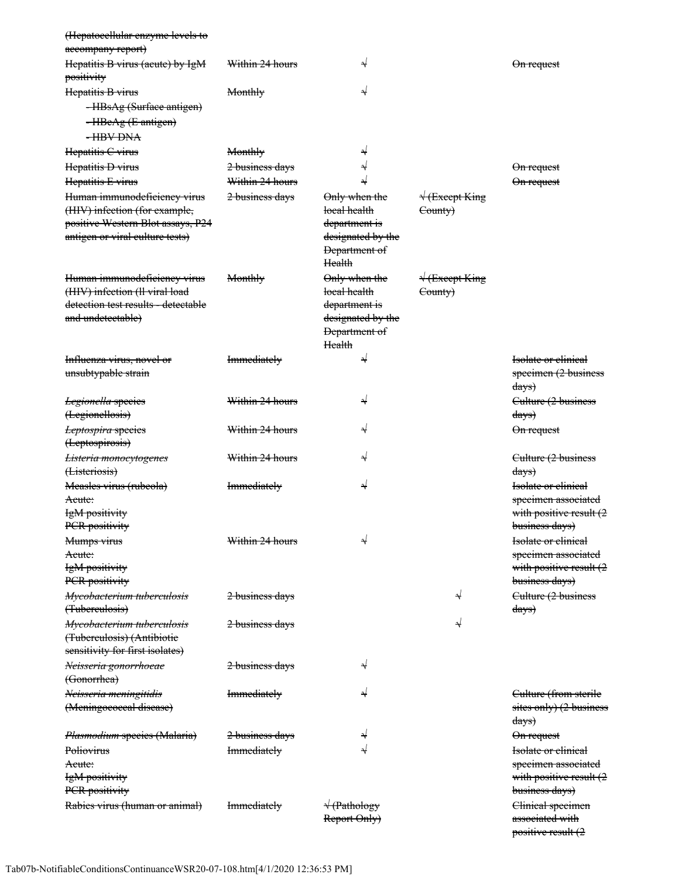| (Hepatoeellular enzyme levels to                         |                            |                             |                                   |                               |
|----------------------------------------------------------|----------------------------|-----------------------------|-----------------------------------|-------------------------------|
| aecompany report)                                        |                            |                             |                                   |                               |
| Hepatitis B virus (acute) by IgM                         | Within 24 hours            | N                           |                                   | <del>On request</del>         |
| positivity                                               |                            |                             |                                   |                               |
| Hepatitis B virus                                        | Monthly                    | N                           |                                   |                               |
| -HBsAg (Surface antigen)                                 |                            |                             |                                   |                               |
| -HBeAg (E antigen)                                       |                            |                             |                                   |                               |
| -HBV DNA                                                 |                            |                             |                                   |                               |
| Hepatitis C virus                                        | Monthly                    | N                           |                                   |                               |
| Hepatitis D virus                                        | <del>2 business days</del> | N                           |                                   | On request                    |
| Hepatitis E virus                                        | Within 24 hours            |                             |                                   | <del>On request</del>         |
| Human immunodeficiency virus                             | <del>2 business days</del> | Only when the               | $\sqrt{\text{Except King}}$       |                               |
| (HIV) infection (for example,                            |                            | loeal health                | County)                           |                               |
| positive Western Blot assays, P24                        |                            | <del>department is</del>    |                                   |                               |
| antigen or viral culture tests)                          |                            | designated by the           |                                   |                               |
|                                                          |                            | <b>Department of</b>        |                                   |                               |
|                                                          |                            | <b>Health</b>               |                                   |                               |
| Human immunodeficiency virus                             | Monthly                    | Only when the               | $\sqrt{\frac{1}{2}}$ (Except King |                               |
| (HIV) infection (ll viral load                           |                            | local health                | County)                           |                               |
| detection test results - detectable                      |                            | department is               |                                   |                               |
| and undetectable)                                        |                            | designated by the           |                                   |                               |
|                                                          |                            | Department of               |                                   |                               |
|                                                          |                            | Health                      |                                   |                               |
| <del>Influenza virus, novel or</del>                     | <b>Immediately</b>         | N                           |                                   | <b>Isolate or clinical</b>    |
| unsubtypable strain                                      |                            |                             |                                   | specimen (2 business          |
|                                                          |                            |                             |                                   | $\frac{days}{9}$              |
| Legionella species                                       | Within 24 hours            | N                           |                                   | Culture (2 business           |
| (Legionellosis)                                          |                            |                             |                                   | days)                         |
| Leptospira species                                       | Within 24 hours            | N                           |                                   | On request                    |
| (Leptospirosis)                                          |                            |                             |                                   |                               |
| <del>Listeria monocytogenes</del>                        | Within 24 hours            | N                           |                                   | Culture (2 business           |
| (Listeriosis)                                            |                            |                             |                                   | $\frac{days}{3}$              |
| Measles virus (rubeola)                                  | <b>Immediately</b>         | N                           |                                   | Isolate or clinical           |
| <del>Acute:</del>                                        |                            |                             |                                   | specimen associated           |
| IgM positivity                                           |                            |                             |                                   | with positive result (2       |
| PCR positivity                                           |                            |                             |                                   | business days)                |
| Mumps virus                                              | Within 24 hours            | N                           |                                   | Isolate or clinical           |
| Acute:                                                   |                            |                             |                                   | specimen associated           |
| IgM positivity                                           |                            |                             |                                   | with positive result (2       |
| PCR positivity                                           |                            |                             |                                   | business days)                |
| Mycobacterium tuberculosis<br>(Tubereulosis)             | <del>2 business days</del> |                             | N                                 | Culture (2 business           |
|                                                          |                            |                             |                                   | $\frac{days}{9}$              |
| Mycobacterium tuberculosis<br>(Tubereulosis) (Antibiotie | <del>2 business days</del> |                             | N                                 |                               |
| sensitivity for first isolates)                          |                            |                             |                                   |                               |
| <del>Neisseria gonorrhoeae</del>                         | <del>2 business days</del> | N                           |                                   |                               |
| (Gonorrhea)                                              |                            |                             |                                   |                               |
| <del>Neisseria meningitidis</del>                        | <b>Immediately</b>         | N                           |                                   | Culture (from sterile         |
| (Meningoeoceal disease)                                  |                            |                             |                                   | sites only) (2 business       |
|                                                          |                            |                             |                                   | days)                         |
| Plasmodium species (Malaria)                             | <del>2 business days</del> |                             |                                   | On request                    |
| Poliovirus                                               | <b>Immediately</b>         | N                           |                                   | <b>Isolate or clinical</b>    |
| <del>Acute:</del>                                        |                            |                             |                                   | specimen associated           |
| IgM positivity                                           |                            |                             |                                   | with positive result $(2)$    |
| PCR positivity                                           |                            |                             |                                   | business days)                |
| Rabies virus (human or animal)                           | <b>Immediately</b>         | $\sqrt{\text{(Pathology)}}$ |                                   | Clinical specimen             |
|                                                          |                            | Report Only)                |                                   | associated with               |
|                                                          |                            |                             |                                   | <del>positive result (2</del> |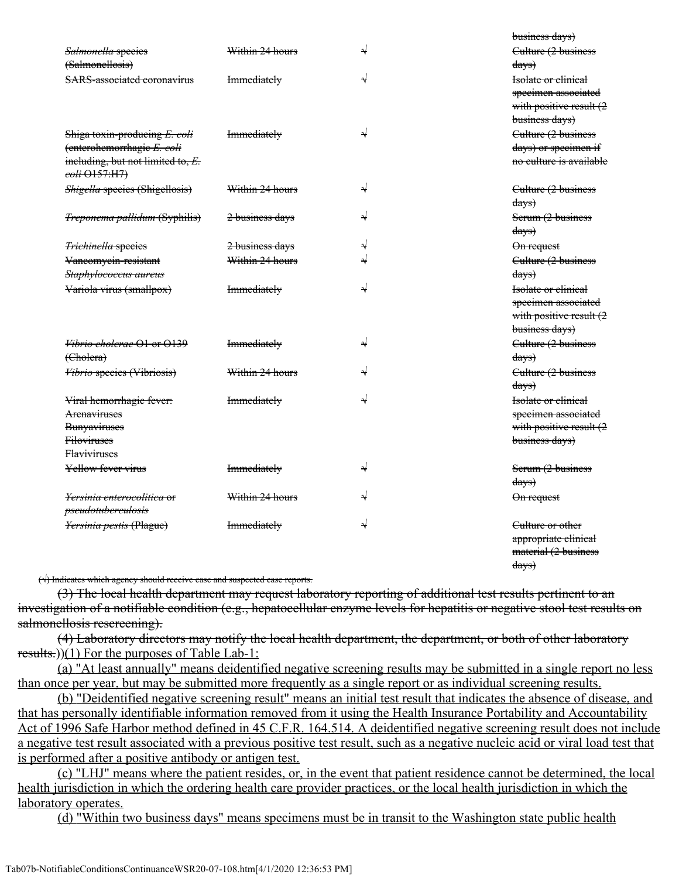|                                             |                    |   | business days)             |
|---------------------------------------------|--------------------|---|----------------------------|
| Salmonella species                          | Within 24 hours    | N | Culture (2 business        |
| (Salmonellosis)                             |                    |   | $\frac{days}{3}$           |
| <b>SARS-associated coronavirus</b>          | <b>Immediately</b> | ⇃ | <b>Isolate or clinical</b> |
|                                             |                    |   | specimen associated        |
|                                             |                    |   | with positive result (2    |
|                                             |                    |   | business days)             |
| Shiga toxin-producing E. coli               | <b>Immediately</b> | ↵ | Culture (2 business        |
| (enterohemorrhagie E. coli                  |                    |   | days) or specimen if       |
| including, but not limited to, E.           |                    |   | no culture is available    |
| coli $\Theta$ 157:H7)                       |                    |   |                            |
| Shigella species (Shigellosis)              | Within 24 hours    | ⇃ | Culture (2 business        |
|                                             |                    |   | <del>days)</del>           |
| <i><b>Treponema pallidum (Syphilis)</b></i> | 2 business days    | N | Serum (2 business          |
|                                             |                    |   | $\frac{days}{9}$           |
| <b>Trichinella</b> species                  | 2 business days    | N | $on request$               |
| Vancomycin-resistant                        | Within 24 hours    |   | Culture (2 business        |
| Staphylococcus aureus                       |                    |   | $\frac{days}{x}$           |
| Variola virus (smallpox)                    | <b>Immediately</b> | N | Isolate or clinical        |
|                                             |                    |   | specimen associated        |
|                                             |                    |   | with positive result (2    |
|                                             |                    |   | business days)             |
| <del>Vibrio cholerae O1 or O139</del>       | <b>Immediately</b> | D | Culture (2 business        |
| (Cholera)                                   |                    |   | <del>days)</del>           |
| <b>Vibrio species (Vibriosis)</b>           | Within 24 hours    | N | Culture (2 business        |
|                                             |                    |   | $\frac{days}{3}$           |
| Viral hemorrhagie fever:                    | <b>Immediately</b> | N | Isolate or clinical        |
| Arenaviruses                                |                    |   | specimen associated        |
| <b>Bunyaviruses</b>                         |                    |   | with positive result (2    |
| <b>Filoviruses</b>                          |                    |   | business days)             |
| <b>Flaviviruses</b>                         |                    |   |                            |
| Yellow fever virus                          | <b>Immediately</b> | D | Serum (2 business          |
|                                             |                    |   | $\frac{days}{3}$           |
| <i>Yersinia enterocolitica</i> or           | Within 24 hours    | N | On request                 |
| pseudotuberculosis                          |                    |   |                            |
| Yersinia pestis (Plague)                    | <b>Immediately</b> | N | Culture or other           |
|                                             |                    |   | appropriate clinical       |
|                                             |                    |   | material (2 business       |
|                                             |                    |   | <del>days)</del>           |

(√) Indicates which agency should receive case and suspected case reports.

(3) The local health department may request laboratory reporting of additional test results pertinent to an investigation of a notifiable condition (e.g., hepatocellular enzyme levels for hepatitis or negative stool test results on salmonellosis resereening).

(4) Laboratory directors may notify the local health department, the department, or both of other laboratory results.))(1) For the purposes of Table Lab-1:

(a) "At least annually" means deidentified negative screening results may be submitted in a single report no less than once per year, but may be submitted more frequently as a single report or as individual screening results.

(b) "Deidentified negative screening result" means an initial test result that indicates the absence of disease, and that has personally identifiable information removed from it using the Health Insurance Portability and Accountability Act of 1996 Safe Harbor method defined in 45 C.F.R. 164.514. A deidentified negative screening result does not include a negative test result associated with a previous positive test result, such as a negative nucleic acid or viral load test that is performed after a positive antibody or antigen test.

(c) "LHJ" means where the patient resides, or, in the event that patient residence cannot be determined, the local health jurisdiction in which the ordering health care provider practices, or the local health jurisdiction in which the laboratory operates.

(d) "Within two business days" means specimens must be in transit to the Washington state public health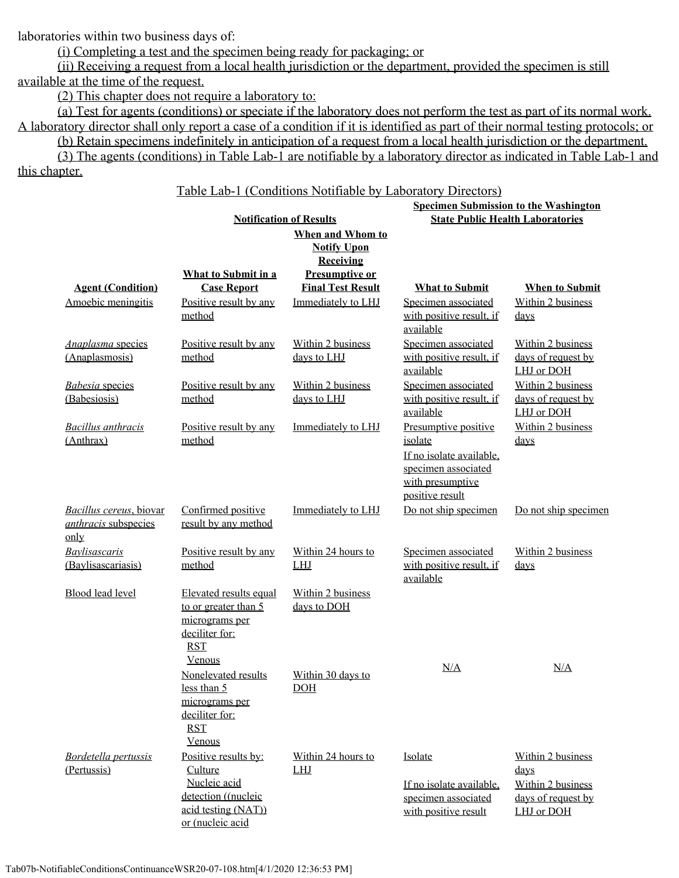laboratories within two business days of:

(i) Completing a test and the specimen being ready for packaging; or

(ii) Receiving a request from a local health jurisdiction or the department, provided the specimen is still available at the time of the request.

(2) This chapter does not require a laboratory to:

(a) Test for agents (conditions) or speciate if the laboratory does not perform the test as part of its normal work. A laboratory director shall only report a case of a condition if it is identified as part of their normal testing protocols; or

(b) Retain specimens indefinitely in anticipation of a request from a local health jurisdiction or the department. (3) The agents (conditions) in Table Lab-1 are notifiable by a laboratory director as indicated in Table Lab-1 and

this chapter.

Table Lab-1 (Conditions Notifiable by Laboratory Directors)

|                                                                |                                                                                                                   |                                                            | <b>Specimen Submission to the Washington</b>                                                                              |                                                                                             |
|----------------------------------------------------------------|-------------------------------------------------------------------------------------------------------------------|------------------------------------------------------------|---------------------------------------------------------------------------------------------------------------------------|---------------------------------------------------------------------------------------------|
|                                                                |                                                                                                                   | <b>Notification of Results</b>                             |                                                                                                                           | <b>State Public Health Laboratories</b>                                                     |
|                                                                |                                                                                                                   | When and Whom to<br><b>Notify Upon</b><br><b>Receiving</b> |                                                                                                                           |                                                                                             |
|                                                                | <b>What to Submit in a</b>                                                                                        | <b>Presumptive or</b><br><b>Final Test Result</b>          |                                                                                                                           |                                                                                             |
| <b>Agent (Condition)</b><br>Amoebic meningitis                 | <b>Case Report</b><br>Positive result by any<br>method                                                            | Immediately to LHJ                                         | <b>What to Submit</b><br>Specimen associated<br>with positive result, if<br>available                                     | <b>When to Submit</b><br>Within 2 business<br>$_{\rm days}$                                 |
| <b>Anaplasma</b> species<br>(Anaplasmosis)                     | Positive result by any<br>method                                                                                  | Within 2 business<br>days to LHJ                           | Specimen associated<br>with positive result, if<br>available                                                              | Within 2 business<br>days of request by<br>LHJ or DOH                                       |
| <b>Babesia</b> species<br>(Babesiosis)                         | Positive result by any<br>method                                                                                  | Within 2 business<br>days to LHJ                           | Specimen associated<br>with positive result, if<br>available                                                              | Within 2 business<br>days of request by<br>LHJ or DOH                                       |
| <b>Bacillus</b> anthracis<br>(Anthrax)                         | Positive result by any<br>method                                                                                  | Immediately to LHJ                                         | Presumptive positive<br>isolate<br>If no isolate available,<br>specimen associated<br>with presumptive<br>positive result | Within 2 business<br>days                                                                   |
| Bacillus cereus, biovar<br><i>anthracis</i> subspecies<br>only | Confirmed positive<br>result by any method                                                                        | Immediately to LHJ                                         | Do not ship specimen                                                                                                      | Do not ship specimen                                                                        |
| Baylisascaris<br>(Baylisascariasis)                            | Positive result by any<br>method                                                                                  | Within 24 hours to<br><b>LHJ</b>                           | Specimen associated<br>with positive result, if<br>available                                                              | Within 2 business<br>$_{\rm days}$                                                          |
| <b>Blood lead level</b>                                        | Elevated results equal<br>to or greater than 5<br>micrograms per<br>deciliter for:<br><b>RST</b><br>Venous        | Within 2 business<br>days to DOH                           |                                                                                                                           |                                                                                             |
|                                                                | Nonelevated results<br>less than 5<br>micrograms per<br>deciliter for:<br><b>RST</b><br>Venous                    | Within 30 days to<br>DOH                                   | N/A                                                                                                                       | N/A                                                                                         |
| <b>Bordetella pertussis</b><br>(Pertussis)                     | Positive results by:<br>Culture<br>Nucleic acid<br>detection ((nucleic<br>acid testing (NAT))<br>or (nucleic acid | Within 24 hours to<br><b>LHJ</b>                           | Isolate<br>If no isolate available,<br>specimen associated<br>with positive result                                        | Within 2 business<br>$_{\rm days}$<br>Within 2 business<br>days of request by<br>LHJ or DOH |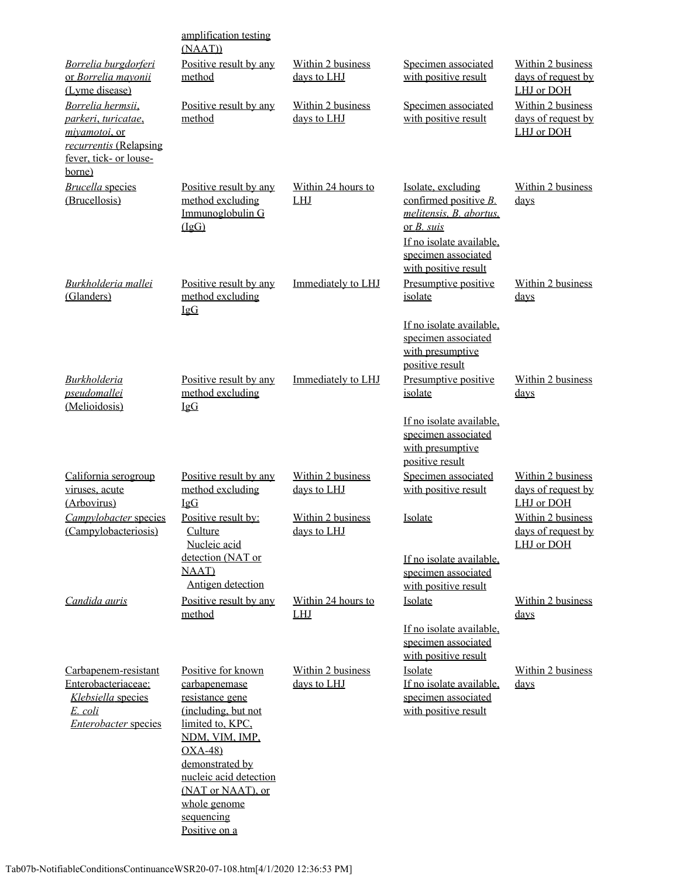|                                                                                                                                 | amplification testing                                                                                                                                                                                             |                                  |                                                                                                                                                                   |                                                       |
|---------------------------------------------------------------------------------------------------------------------------------|-------------------------------------------------------------------------------------------------------------------------------------------------------------------------------------------------------------------|----------------------------------|-------------------------------------------------------------------------------------------------------------------------------------------------------------------|-------------------------------------------------------|
| Borrelia burgdorferi                                                                                                            | (NAAT))<br>Positive result by any                                                                                                                                                                                 | Within 2 business                | Specimen associated                                                                                                                                               | Within 2 business                                     |
| or Borrelia mayonii<br>(Lyme disease)                                                                                           | method                                                                                                                                                                                                            | days to LHJ                      | with positive result                                                                                                                                              | days of request by<br>LHJ or DOH                      |
| Borrelia hermsii,<br>parkeri, turicatae,<br><i>mivamotoi</i> , or<br>recurrentis (Relapsing<br>fever, tick- or louse-<br>borne) | Positive result by any<br>method                                                                                                                                                                                  | Within 2 business<br>days to LHJ | Specimen associated<br>with positive result                                                                                                                       | Within 2 business<br>days of request by<br>LHJ or DOH |
| <b>Brucella</b> species<br>(Brucellosis)                                                                                        | Positive result by any<br>method excluding<br>Immunoglobulin G<br>(IgG)                                                                                                                                           | Within 24 hours to<br><b>LHJ</b> | Isolate, excluding<br>confirmed positive B.<br>melitensis, B. abortus,<br>or $B. suis$<br>If no isolate available,<br>specimen associated<br>with positive result | Within 2 business<br>days                             |
| Burkholderia mallei<br>(Glanders)                                                                                               | Positive result by any<br>method excluding<br>IgG                                                                                                                                                                 | Immediately to LHJ               | Presumptive positive<br>isolate                                                                                                                                   | Within 2 business<br>days                             |
|                                                                                                                                 |                                                                                                                                                                                                                   |                                  | If no isolate available,<br>specimen associated<br>with presumptive<br>positive result                                                                            |                                                       |
| <b>Burkholderia</b><br><i>pseudomallei</i><br>(Melioidosis)                                                                     | Positive result by any<br>method excluding<br>$I \nsubseteq G$                                                                                                                                                    | Immediately to LHJ               | Presumptive positive<br>isolate                                                                                                                                   | Within 2 business<br>days                             |
|                                                                                                                                 |                                                                                                                                                                                                                   |                                  | If no isolate available,<br>specimen associated<br>with presumptive<br>positive result                                                                            |                                                       |
| California serogroup<br>viruses, acute<br>(Arbovirus)                                                                           | Positive result by any<br>method excluding<br>IgG                                                                                                                                                                 | Within 2 business<br>days to LHJ | Specimen associated<br>with positive result                                                                                                                       | Within 2 business<br>days of request by<br>LHJ or DOH |
| Campylobacter species<br>(Campylobacteriosis)                                                                                   | Positive result by:<br><b>Culture</b><br>Nucleic acid                                                                                                                                                             | Within 2 business<br>days to LHJ | Isolate                                                                                                                                                           | Within 2 business<br>days of request by<br>LHJ or DOH |
|                                                                                                                                 | detection (NAT or<br><b>NAAT</b> )<br>Antigen detection                                                                                                                                                           |                                  | If no isolate available,<br>specimen associated<br>with positive result                                                                                           |                                                       |
| Candida auris                                                                                                                   | Positive result by any<br>method                                                                                                                                                                                  | Within 24 hours to<br><b>LHJ</b> | Isolate                                                                                                                                                           | Within 2 business<br>days                             |
|                                                                                                                                 |                                                                                                                                                                                                                   |                                  | If no isolate available,<br>specimen associated<br>with positive result                                                                                           |                                                       |
| Carbapenem-resistant<br>Enterobacteriaceae:<br>Klebsiella species<br>E. coli<br><b>Enterobacter species</b>                     | Positive for known<br>carbapenemase<br>resistance gene<br>(including, but not<br>limited to, KPC,<br>NDM, VIM, IMP,<br>$OXA-48$<br>demonstrated by<br>nucleic acid detection<br>(NAT or NAAT), or<br>whole genome | Within 2 business<br>days to LHJ | Isolate<br>If no isolate available,<br>specimen associated<br>with positive result                                                                                | Within 2 business<br>days                             |
|                                                                                                                                 | sequencing<br>Positive on a                                                                                                                                                                                       |                                  |                                                                                                                                                                   |                                                       |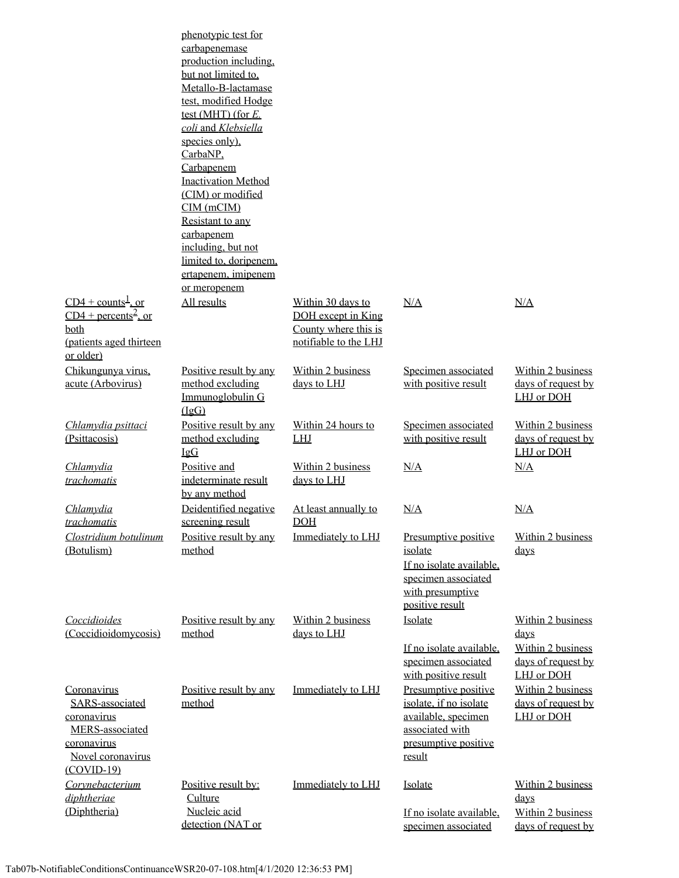|                                                                                                                              | phenotypic test for<br>carbapenemase<br>production including.<br>but not limited to.<br>Metallo-B-lactamase<br>test, modified Hodge<br>test (MHT) (for $E$ .<br>coli and Klebsiella<br>species only).<br>CarbaNP.<br>Carbapenem<br><b>Inactivation Method</b><br>(CIM) or modified<br>$CIM$ (mCIM)<br>Resistant to any<br>carbapenem<br>including, but not<br>limited to, doripenem,<br>ertapenem, imipenem<br>or meropenem |                                                                                          |                                                                                                                            |                                                                                           |
|------------------------------------------------------------------------------------------------------------------------------|-----------------------------------------------------------------------------------------------------------------------------------------------------------------------------------------------------------------------------------------------------------------------------------------------------------------------------------------------------------------------------------------------------------------------------|------------------------------------------------------------------------------------------|----------------------------------------------------------------------------------------------------------------------------|-------------------------------------------------------------------------------------------|
| $CD4 + \text{counts}^{\frac{1}{2}}$ , or<br>$CD4 + percents2$ , or<br>both<br>(patients aged thirteen<br>or older)           | All results                                                                                                                                                                                                                                                                                                                                                                                                                 | Within 30 days to<br>DOH except in King<br>County where this is<br>notifiable to the LHJ | N/A                                                                                                                        | N/A                                                                                       |
| Chikungunya virus.<br>acute (Arbovirus)                                                                                      | Positive result by any<br>method excluding<br>Immunoglobulin G<br>(IgG)                                                                                                                                                                                                                                                                                                                                                     | Within 2 business<br>days to LHJ                                                         | Specimen associated<br>with positive result                                                                                | Within 2 business<br>days of request by<br>LHJ or DOH                                     |
| Chlamydia psittaci<br>(Psittacosis)                                                                                          | Positive result by any<br>method excluding<br>IgG                                                                                                                                                                                                                                                                                                                                                                           | Within 24 hours to<br>LHJ                                                                | Specimen associated<br>with positive result                                                                                | Within 2 business<br>days of request by<br>LHJ or DOH                                     |
| Chlamydia<br>trachomatis                                                                                                     | Positive and<br>indeterminate result<br>by any method                                                                                                                                                                                                                                                                                                                                                                       | Within 2 business<br>days to LHJ                                                         | N/A                                                                                                                        | N/A                                                                                       |
| Chlamydia<br>trachomatis                                                                                                     | Deidentified negative<br>screening result                                                                                                                                                                                                                                                                                                                                                                                   | At least annually to<br><b>DOH</b>                                                       | N/A                                                                                                                        | N/A                                                                                       |
| Clostridium botulinum<br>(Botulism)                                                                                          | Positive result by any<br>method                                                                                                                                                                                                                                                                                                                                                                                            | Immediately to LHJ                                                                       | Presumptive positive<br>isolate<br>If no isolate available.<br>specimen associated<br>with presumptive<br>positive result  | Within 2 business<br>$\frac{days}{9}$                                                     |
| Coccidioides<br>(Coccidioidomycosis)                                                                                         | Positive result by any<br>method                                                                                                                                                                                                                                                                                                                                                                                            | Within 2 business<br>days to LHJ                                                         | Isolate<br>If no isolate available.<br>specimen associated<br>with positive result                                         | Within 2 business<br><u>days</u><br>Within 2 business<br>days of request by<br>LHJ or DOH |
| Coronavirus<br>SARS-associated<br>coronavirus<br><b>MERS</b> -associated<br>coronavirus<br>Novel coronavirus<br>$(COVID-19)$ | Positive result by any<br>method                                                                                                                                                                                                                                                                                                                                                                                            | Immediately to LHJ                                                                       | Presumptive positive<br>isolate, if no isolate<br>available, specimen<br>associated with<br>presumptive positive<br>result | Within 2 business<br>days of request by<br>LHJ or DOH                                     |
| Corynebacterium<br>diphtheriae<br>(Diphtheria)                                                                               | Positive result by:<br>Culture<br>Nucleic acid<br>detection (NAT or                                                                                                                                                                                                                                                                                                                                                         | Immediately to LHJ                                                                       | Isolate<br>If no isolate available.<br>specimen associated                                                                 | Within 2 business<br>$\frac{days}{9}$<br>Within 2 business<br>days of request by          |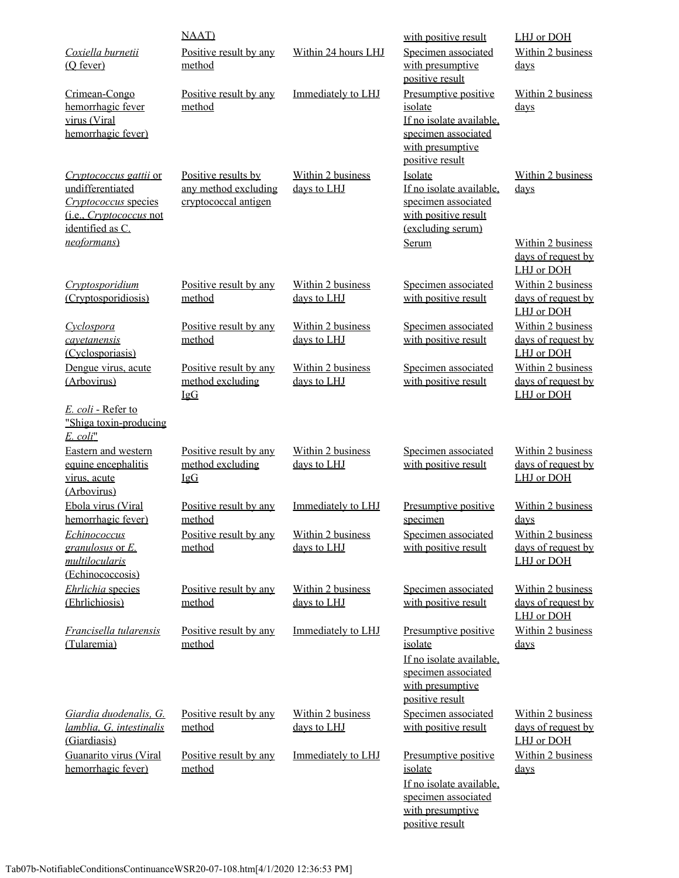|                                                                                                                                         | <b>NAAT</b> )                                                       |                                         | with positive result                                                                                                      | LHJ or DOH                                            |
|-----------------------------------------------------------------------------------------------------------------------------------------|---------------------------------------------------------------------|-----------------------------------------|---------------------------------------------------------------------------------------------------------------------------|-------------------------------------------------------|
| Coxiella burnetii<br>(O fever)                                                                                                          | Positive result by any<br>method                                    | Within 24 hours LHJ                     | Specimen associated<br>with presumptive<br>positive result                                                                | Within 2 business<br>days                             |
| Crimean-Congo<br>hemorrhagic fever<br>virus (Viral<br>hemorrhagic fever)                                                                | Positive result by any<br>method                                    | Immediately to LHJ                      | Presumptive positive<br>isolate<br>If no isolate available,<br>specimen associated<br>with presumptive<br>positive result | Within 2 business<br>days                             |
| Cryptococcus gattii or<br>undifferentiated<br>Cryptococcus species<br>(i.e., <i>Cryptococcus</i> not<br>identified as C.<br>neoformans) | Positive results by<br>any method excluding<br>cryptococcal antigen | <b>Within 2 business</b><br>days to LHJ | Isolate<br>If no isolate available,<br>specimen associated<br>with positive result<br>(excluding serum)<br>Serum          | Within 2 business<br>days<br>Within 2 business        |
|                                                                                                                                         |                                                                     |                                         |                                                                                                                           | days of request by<br>LHJ or DOH                      |
| Cryptosporidium<br>(Cryptosporidiosis)                                                                                                  | Positive result by any<br>method                                    | Within 2 business<br>days to LHJ        | Specimen associated<br>with positive result                                                                               | Within 2 business<br>days of request by<br>LHJ or DOH |
| Cyclospora<br>cayetanensis<br>(Cyclosporiasis)                                                                                          | Positive result by any<br>method                                    | Within 2 business<br>days to LHJ        | Specimen associated<br>with positive result                                                                               | Within 2 business<br>days of request by<br>LHJ or DOH |
| Dengue virus, acute<br>(Arbovirus)                                                                                                      | Positive result by any<br>method excluding<br><b>IgG</b>            | Within 2 business<br>days to LHJ        | Specimen associated<br>with positive result                                                                               | Within 2 business<br>days of request by<br>LHJ or DOH |
| E. coli - Refer to<br>"Shiga toxin-producing<br>E. coli"                                                                                |                                                                     |                                         |                                                                                                                           |                                                       |
| Eastern and western<br>equine encephalitis<br>virus, acute<br>(Arbovirus)                                                               | Positive result by any<br>method excluding<br><b>IgG</b>            | Within 2 business<br>days to LHJ        | Specimen associated<br>with positive result                                                                               | Within 2 business<br>days of request by<br>LHJ or DOH |
| Ebola virus (Viral<br>hemorrhagic fever)                                                                                                | Positive result by any<br>method                                    | Immediately to LHJ                      | Presumptive positive<br>specimen                                                                                          | Within 2 business<br><u>days</u>                      |
| Echinococcus<br>$granulosus$ or $E$ .<br>multilocularis<br>(Echinococcosis)                                                             | Positive result by any<br>method                                    | Within 2 business<br>days to LHJ        | Specimen associated<br>with positive result                                                                               | Within 2 business<br>days of request by<br>LHJ or DOH |
| Ehrlichia species<br>(Ehrlichiosis)                                                                                                     | Positive result by any<br>method                                    | Within 2 business<br>days to LHJ        | Specimen associated<br>with positive result                                                                               | Within 2 business<br>days of request by<br>LHJ or DOH |
| Francisella tularensis<br>(Tularemia)                                                                                                   | Positive result by any<br>method                                    | Immediately to LHJ                      | Presumptive positive<br>isolate<br>If no isolate available,<br>specimen associated<br>with presumptive                    | Within 2 business<br>days                             |
| Giardia duodenalis, G.<br>lamblia, G. intestinalis<br>(Giardiasis)                                                                      | Positive result by any<br>method                                    | Within 2 business<br>days to LHJ        | positive result<br>Specimen associated<br>with positive result                                                            | Within 2 business<br>days of request by<br>LHJ or DOH |
| Guanarito virus (Viral<br>hemorrhagic fever)                                                                                            | Positive result by any<br>method                                    | Immediately to LHJ                      | Presumptive positive<br>isolate<br>If no isolate available.<br>specimen associated<br>with presumptive<br>positive result | Within 2 business<br>days                             |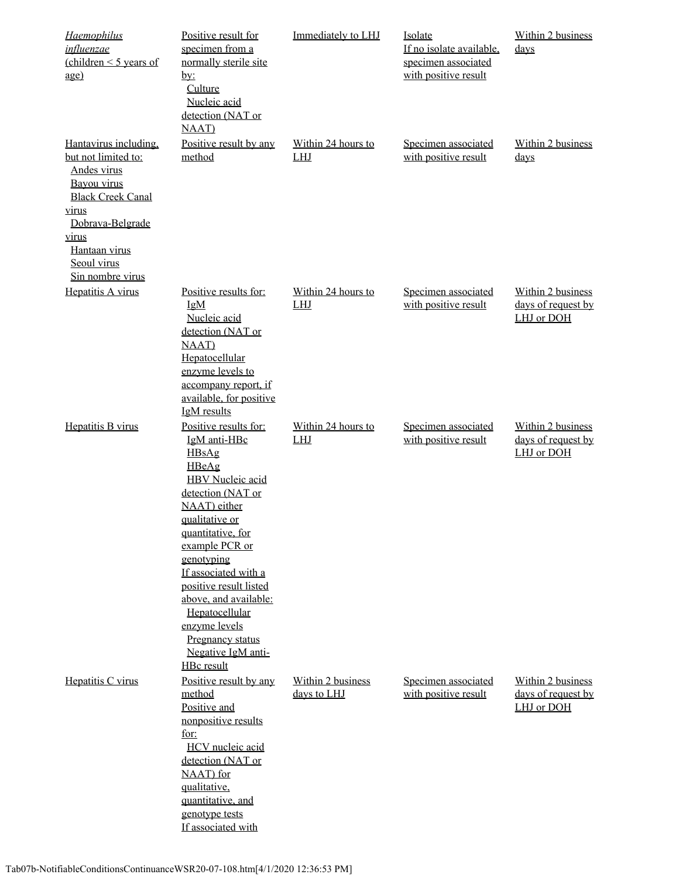| <b>Haemophilus</b><br>influenzae<br>(children $\leq$ 5 years of<br>age)                                                                                                                          | Positive result for<br>specimen from a<br>normally sterile site<br>$\underline{by:}$<br>Culture<br>Nucleic acid<br>detection (NAT or<br><b>NAAT</b> )                                                                                                                                                                                                                       | Immediately to LHJ               | Isolate<br>If no isolate available,<br>specimen associated<br>with positive result | Within 2 business<br>$_{\rm days}$                    |
|--------------------------------------------------------------------------------------------------------------------------------------------------------------------------------------------------|-----------------------------------------------------------------------------------------------------------------------------------------------------------------------------------------------------------------------------------------------------------------------------------------------------------------------------------------------------------------------------|----------------------------------|------------------------------------------------------------------------------------|-------------------------------------------------------|
| Hantavirus including.<br>but not limited to:<br>Andes virus<br>Bayou virus<br><b>Black Creek Canal</b><br>virus<br>Dobrava-Belgrade<br>virus<br>Hantaan virus<br>Seoul virus<br>Sin nombre virus | Positive result by any<br>method                                                                                                                                                                                                                                                                                                                                            | Within 24 hours to<br><b>LHJ</b> | Specimen associated<br>with positive result                                        | Within 2 business<br>days                             |
| Hepatitis A virus                                                                                                                                                                                | Positive results for:<br>IgM<br>Nucleic acid<br>detection (NAT or<br><b>NAAT</b> )<br>Hepatocellular<br>enzyme levels to<br>accompany report, if<br>available, for positive<br><b>IgM</b> results                                                                                                                                                                           | Within 24 hours to<br><b>LHJ</b> | Specimen associated<br>with positive result                                        | Within 2 business<br>days of request by<br>LHJ or DOH |
| Hepatitis B virus                                                                                                                                                                                | Positive results for:<br>IgM anti-HBc<br>HBsAg<br>HBeAg<br><b>HBV</b> Nucleic acid<br>detection (NAT or<br>NAAT) either<br>qualitative or<br>quantitative, for<br>example PCR or<br>genotyping<br>If associated with a<br>positive result listed<br>above, and available:<br>Hepatocellular<br>enzyme levels<br>Pregnancy status<br>Negative IgM anti-<br><b>HBc</b> result | Within 24 hours to<br>LHJ        | Specimen associated<br>with positive result                                        | Within 2 business<br>days of request by<br>LHJ or DOH |
| Hepatitis C virus                                                                                                                                                                                | Positive result by any<br>method<br>Positive and<br>nonpositive results<br>for:<br>HCV nucleic acid<br>detection (NAT or<br>NAAT) for<br>qualitative,<br>quantitative, and<br>genotype tests<br>If associated with                                                                                                                                                          | Within 2 business<br>days to LHJ | Specimen associated<br>with positive result                                        | Within 2 business<br>days of request by<br>LHJ or DOH |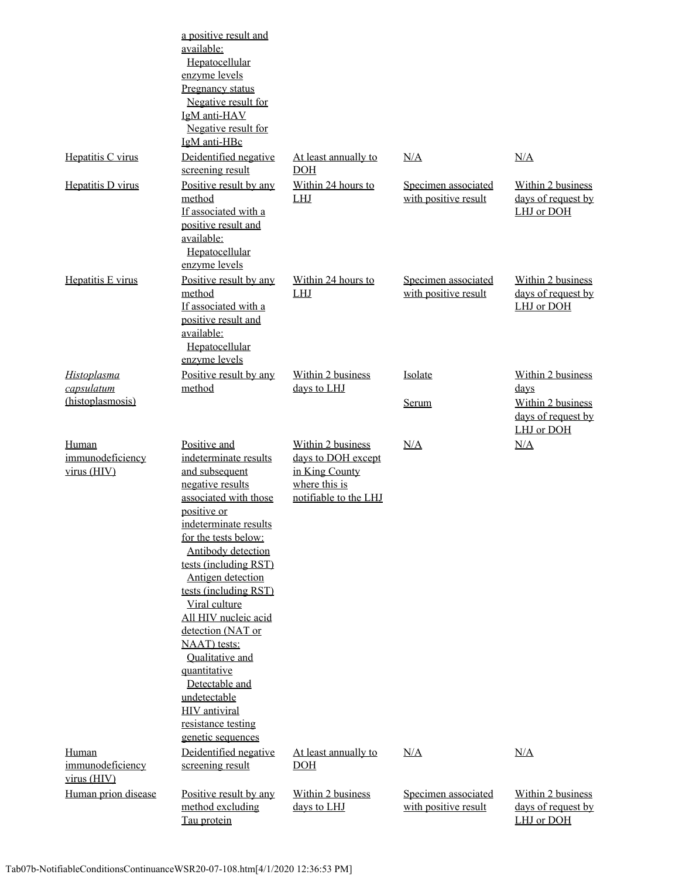|                                          | a positive result and<br>available:<br>Hepatocellular<br>enzyme levels<br>Pregnancy status<br>Negative result for<br>IgM anti-HAV<br>Negative result for<br>IgM anti-HBc                                                                                                                                                                                                                                                                                                                       |                                                                                                     |                                             |                                                               |
|------------------------------------------|------------------------------------------------------------------------------------------------------------------------------------------------------------------------------------------------------------------------------------------------------------------------------------------------------------------------------------------------------------------------------------------------------------------------------------------------------------------------------------------------|-----------------------------------------------------------------------------------------------------|---------------------------------------------|---------------------------------------------------------------|
| Hepatitis C virus                        | Deidentified negative<br>screening result                                                                                                                                                                                                                                                                                                                                                                                                                                                      | At least annually to<br>DOH                                                                         | N/A                                         | N/A                                                           |
| Hepatitis D virus                        | Positive result by any<br>method<br>If associated with a<br>positive result and<br>available:<br>Hepatocellular<br>enzyme levels                                                                                                                                                                                                                                                                                                                                                               | Within 24 hours to<br>LHJ                                                                           | Specimen associated<br>with positive result | Within 2 business<br>days of request by<br>LHJ or DOH         |
| Hepatitis E virus                        | Positive result by any<br>method<br>If associated with a<br>positive result and<br>available:<br>Hepatocellular<br>enzyme levels                                                                                                                                                                                                                                                                                                                                                               | Within 24 hours to<br>LHJ                                                                           | Specimen associated<br>with positive result | Within 2 business<br>days of request by<br>LHJ or DOH         |
| <b>Histoplasma</b>                       | Positive result by any                                                                                                                                                                                                                                                                                                                                                                                                                                                                         | Within 2 business                                                                                   | Isolate                                     | Within 2 business                                             |
| capsulatum<br>(histoplasmosis)           | method                                                                                                                                                                                                                                                                                                                                                                                                                                                                                         | days to LHJ                                                                                         | Serum                                       | days<br>Within 2 business<br>days of request by<br>LHJ or DOH |
| Human<br>immunodeficiency<br>virus (HIV) | Positive and<br>indeterminate results<br>and subsequent<br>negative results<br>associated with those<br>positive or<br>indeterminate results<br>for the tests below:<br>Antibody detection<br>tests (including RST)<br>Antigen detection<br>tests (including RST)<br>Viral culture<br>All HIV nucleic acid<br>detection (NAT or<br>NAAT) tests:<br><b>Oualitative</b> and<br>quantitative<br>Detectable and<br>undetectable<br><b>HIV</b> antiviral<br>resistance testing<br>genetic sequences | Within 2 business<br>days to DOH except<br>in King County<br>where this is<br>notifiable to the LHJ | N/A                                         | N/A                                                           |
| Human<br>immunodeficiency<br>virus (HIV) | Deidentified negative<br>screening result                                                                                                                                                                                                                                                                                                                                                                                                                                                      | At least annually to<br>DOH                                                                         | N/A                                         | N/A                                                           |
| Human prion disease                      | Positive result by any<br>method excluding<br>Tau protein                                                                                                                                                                                                                                                                                                                                                                                                                                      | Within 2 business<br>days to LHJ                                                                    | Specimen associated<br>with positive result | Within 2 business<br>days of request by<br>LHJ or DOH         |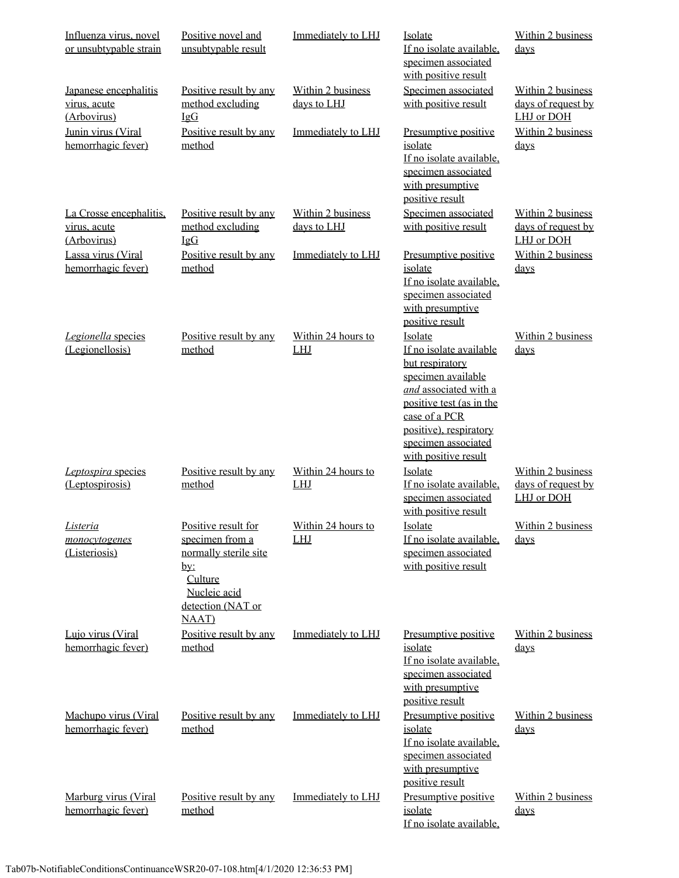| Influenza virus, novel<br>or unsubtypable strain       | Positive novel and<br>unsubtypable result                                                                                                      | Immediately to LHJ               | Isolate<br>If no isolate available,<br>specimen associated<br>with positive result                                                                                                                                         | Within 2 business<br>days                                    |
|--------------------------------------------------------|------------------------------------------------------------------------------------------------------------------------------------------------|----------------------------------|----------------------------------------------------------------------------------------------------------------------------------------------------------------------------------------------------------------------------|--------------------------------------------------------------|
| Japanese encephalitis<br>virus, acute<br>(Arbovirus)   | Positive result by any<br>method excluding<br>$I \mathfrak{g} G$                                                                               | Within 2 business<br>days to LHJ | Specimen associated<br>with positive result                                                                                                                                                                                | <b>Within 2 business</b><br>days of request by<br>LHJ or DOH |
| Junin virus (Viral<br>hemorrhagic fever)               | Positive result by any<br>method                                                                                                               | Immediately to LHJ               | Presumptive positive<br>isolate<br>If no isolate available,<br>specimen associated<br>with presumptive<br>positive result                                                                                                  | Within 2 business<br>days                                    |
| La Crosse encephalitis.<br>virus, acute<br>(Arbovirus) | Positive result by any<br>method excluding<br>$\underline{\mathop{\rm{IgG}}}$                                                                  | Within 2 business<br>days to LHJ | Specimen associated<br>with positive result                                                                                                                                                                                | Within 2 business<br>days of request by<br>LHJ or DOH        |
| Lassa virus (Viral<br>hemorrhagic fever)               | Positive result by any<br>method                                                                                                               | Immediately to LHJ               | Presumptive positive<br>isolate<br>If no isolate available,<br>specimen associated<br>with presumptive<br>positive result                                                                                                  | Within 2 business<br>$_{\rm days}$                           |
| Legionella species<br>(Legionellosis)                  | Positive result by any<br>method                                                                                                               | Within 24 hours to<br>LHJ        | Isolate<br>If no isolate available<br>but respiratory<br>specimen available<br>and associated with a<br>positive test (as in the<br>case of a PCR<br>positive), respiratory<br>specimen associated<br>with positive result | Within 2 business<br>days                                    |
| Leptospira species<br>(Leptospirosis)                  | Positive result by any<br>method                                                                                                               | Within 24 hours to<br><b>LHJ</b> | Isolate<br>If no isolate available.<br>specimen associated<br>with positive result                                                                                                                                         | Within 2 business<br>days of request by<br>LHJ or DOH        |
| <u>Listeria</u><br>monocytogenes<br>(Listeriosis)      | Positive result for<br>specimen from a<br>normally sterile site<br><u>by:</u><br>Culture<br>Nucleic acid<br>detection (NAT or<br><b>NAAT</b> ) | Within 24 hours to<br><b>LHJ</b> | <u>Isolate</u><br>If no isolate available.<br>specimen associated<br>with positive result                                                                                                                                  | Within 2 business<br>days                                    |
| Lujo virus (Viral<br>hemorrhagic fever)                | Positive result by any<br>method                                                                                                               | Immediately to LHJ               | Presumptive positive<br>isolate<br>If no isolate available,<br>specimen associated<br>with presumptive<br>positive result                                                                                                  | Within 2 business<br><u>days</u>                             |
| Machupo virus (Viral<br>hemorrhagic fever)             | Positive result by any<br>method                                                                                                               | Immediately to LHJ               | Presumptive positive<br>isolate<br>If no isolate available,<br>specimen associated<br>with presumptive<br>positive result                                                                                                  | Within 2 business<br>days                                    |
| Marburg virus (Viral<br>hemorrhagic fever)             | Positive result by any<br>method                                                                                                               | Immediately to LHJ               | Presumptive positive<br>isolate<br>If no isolate available,                                                                                                                                                                | Within 2 business<br>days                                    |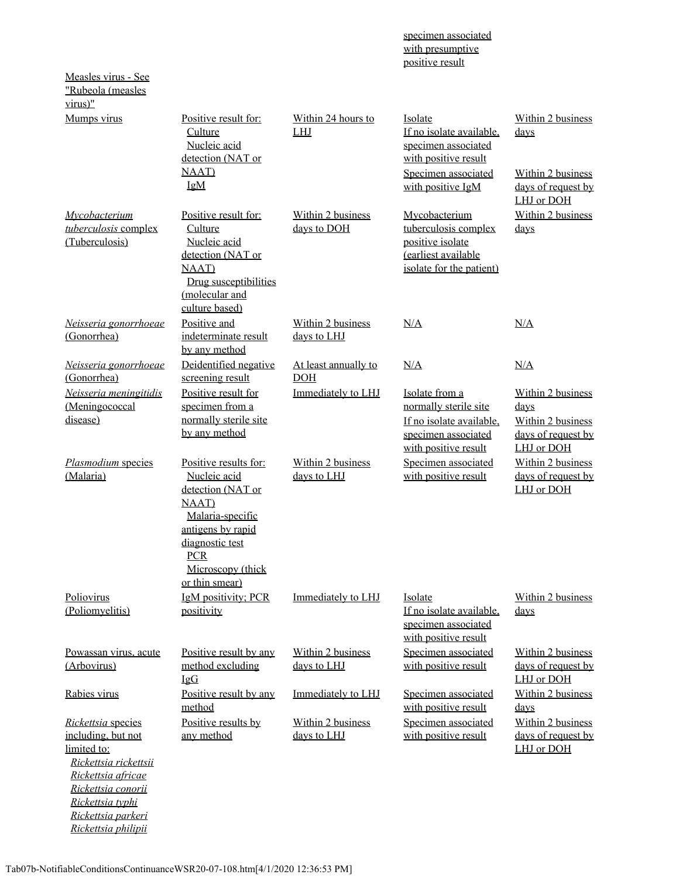|                                                                                                                                                                        |                                                                                                                                                                                                     |                                         | with presumptive<br>positive result                                                                                            |                                                                                             |
|------------------------------------------------------------------------------------------------------------------------------------------------------------------------|-----------------------------------------------------------------------------------------------------------------------------------------------------------------------------------------------------|-----------------------------------------|--------------------------------------------------------------------------------------------------------------------------------|---------------------------------------------------------------------------------------------|
| Measles virus - See<br>"Rubeola (measles<br>$virus)$ "                                                                                                                 |                                                                                                                                                                                                     |                                         |                                                                                                                                |                                                                                             |
| Mumps virus                                                                                                                                                            | Positive result for:<br>Culture<br>Nucleic acid<br>detection (NAT or<br><b>NAAT</b> )<br><b>IgM</b>                                                                                                 | Within 24 hours to<br><b>LHJ</b>        | Isolate<br>If no isolate available,<br>specimen associated<br>with positive result<br>Specimen associated<br>with positive IgM | Within 2 business<br>$_{\rm days}$<br>Within 2 business<br>days of request by<br>LHJ or DOH |
| Mycobacterium<br>tuberculosis complex<br>(Tuberculosis)                                                                                                                | Positive result for:<br>Culture<br>Nucleic acid<br>detection (NAT or<br><b>NAAT</b> )<br>Drug susceptibilities<br>(molecular and<br>culture based)                                                  | <b>Within 2 business</b><br>days to DOH | Mycobacterium<br>tuberculosis complex<br>positive isolate<br>(earliest available<br>isolate for the patient)                   | Within 2 business<br>$_{\rm days}$                                                          |
| Neisseria gonorrhoeae<br>(Gonorrhea)                                                                                                                                   | Positive and<br>indeterminate result<br>by any method                                                                                                                                               | Within 2 business<br>days to LHJ        | N/A                                                                                                                            | N/A                                                                                         |
| Neisseria gonorrhoeae<br>(Gonorrhea)                                                                                                                                   | Deidentified negative<br>screening result                                                                                                                                                           | At least annually to<br><b>DOH</b>      | N/A                                                                                                                            | N/A                                                                                         |
| Neisseria meningitidis<br>(Meningococcal<br>disease)                                                                                                                   | Positive result for<br>specimen from a<br>normally sterile site<br>by any method                                                                                                                    | Immediately to LHJ                      | Isolate from a<br>normally sterile site<br>If no isolate available.<br>specimen associated<br>with positive result             | Within 2 business<br>days<br>Within 2 business<br>days of request by<br>LHJ or DOH          |
| Plasmodium species<br>(Malaria)                                                                                                                                        | Positive results for:<br>Nucleic acid<br>detection (NAT or<br><b>NAAT</b> )<br>Malaria-specific<br>antigens by rapid<br><u>diagnostic</u> test<br><b>PCR</b><br>Microscopy (thick<br>or thin smear) | <b>Within 2 business</b><br>days to LHJ | Specimen associated<br>with positive result                                                                                    | Within 2 business<br>days of request by<br>LHJ or DOH                                       |
| Poliovirus<br>(Poliomyelitis)                                                                                                                                          | IgM positivity; PCR<br>positivity                                                                                                                                                                   | Immediately to LHJ                      | Isolate<br>If no isolate available,<br>specimen associated<br>with positive result                                             | Within 2 business<br>days                                                                   |
| Powassan virus, acute<br>(Arbovirus)                                                                                                                                   | Positive result by any<br>method excluding<br>IgG                                                                                                                                                   | Within 2 business<br>days to LHJ        | Specimen associated<br>with positive result                                                                                    | Within 2 business<br>days of request by<br>LHJ or DOH                                       |
| Rabies virus                                                                                                                                                           | Positive result by any<br>method                                                                                                                                                                    | Immediately to LHJ                      | Specimen associated<br>with positive result                                                                                    | Within 2 business<br>days                                                                   |
| Rickettsia species<br>including, but not<br>limited to:<br>Rickettsia rickettsii<br>Rickettsia africae<br>Rickettsia conorii<br>Rickettsia typhi<br>Rickettsia parkeri | Positive results by<br>any method                                                                                                                                                                   | <b>Within 2 business</b><br>days to LHJ | Specimen associated<br>with positive result                                                                                    | Within 2 business<br>days of request by<br>LHJ or DOH                                       |

specimen associated

*Rickettsia philipii*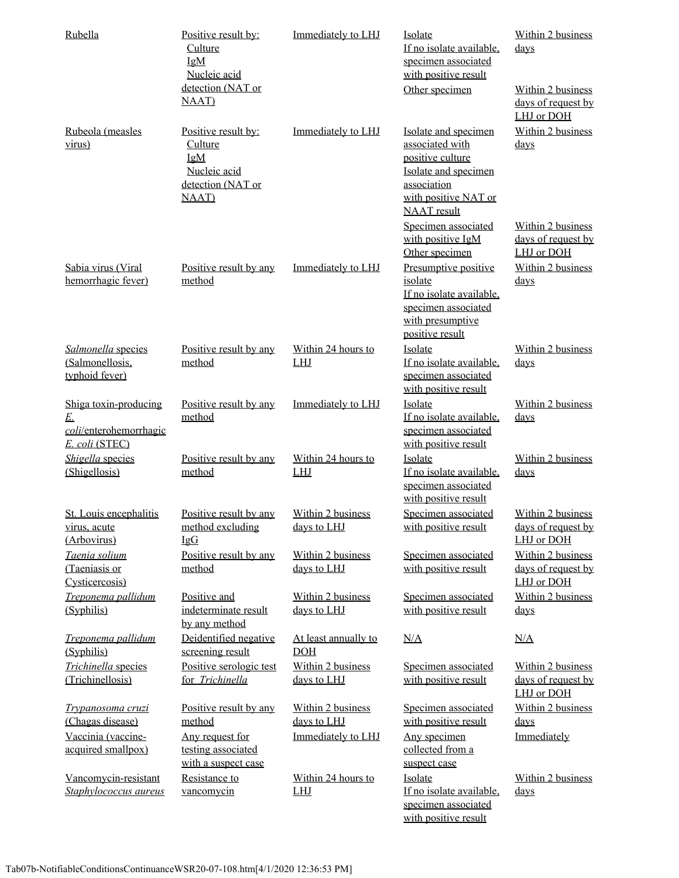| Rubella                                                                 | Positive result by:<br>Culture<br>IgM<br>Nucleic acid                                              | Immediately to LHJ                 | Isolate<br>If no isolate available.<br>specimen associated<br>with positive result                                                               | Within 2 business<br>days                             |
|-------------------------------------------------------------------------|----------------------------------------------------------------------------------------------------|------------------------------------|--------------------------------------------------------------------------------------------------------------------------------------------------|-------------------------------------------------------|
|                                                                         | detection (NAT or<br><b>NAAT</b> )                                                                 |                                    | Other specimen                                                                                                                                   | Within 2 business<br>days of request by<br>LHJ or DOH |
| Rubeola (measles<br>virus)                                              | Positive result by:<br><b>Culture</b><br>IgM<br>Nucleic acid<br>detection (NAT or<br><b>NAAT</b> ) | Immediately to LHJ                 | Isolate and specimen<br>associated with<br>positive culture<br>Isolate and specimen<br>association<br>with positive NAT or<br><b>NAAT</b> result | Within 2 business<br>days                             |
|                                                                         |                                                                                                    |                                    | Specimen associated<br>with positive IgM<br>Other specimen                                                                                       | Within 2 business<br>days of request by<br>LHJ or DOH |
| Sabia virus (Viral<br>hemorrhagic fever)                                | Positive result by any<br>method                                                                   | Immediately to LHJ                 | Presumptive positive<br>isolate<br>If no isolate available,<br>specimen associated<br>with presumptive<br>positive result                        | Within 2 business<br>days                             |
| Salmonella species<br>(Salmonellosis,<br>typhoid fever)                 | Positive result by any<br>method                                                                   | Within 24 hours to<br>LHJ          | Isolate<br>If no isolate available,<br>specimen associated<br>with positive result                                                               | Within 2 business<br>days                             |
| Shiga toxin-producing<br>E.<br>coli/enterohemorrhagic<br>E. coli (STEC) | Positive result by any<br>method                                                                   | Immediately to LHJ                 | Isolate<br>If no isolate available,<br>specimen associated<br>with positive result                                                               | Within 2 business<br><u>days</u>                      |
| Shigella species<br>(Shigellosis)                                       | Positive result by any<br>method                                                                   | Within 24 hours to<br>LHJ          | Isolate<br>If no isolate available,<br>specimen associated<br>with positive result                                                               | Within 2 business<br>days                             |
| St. Louis encephalitis<br>virus, acute<br>(Arbovirus)                   | Positive result by any<br>method excluding<br>IgG                                                  | Within 2 business<br>days to LHJ   | Specimen associated<br>with positive result                                                                                                      | Within 2 business<br>days of request by<br>LHJ or DOH |
| Taenia solium<br>(Taeniasis or<br>Cysticercosis)                        | Positive result by any<br>method                                                                   | Within 2 business<br>days to LHJ   | Specimen associated<br>with positive result                                                                                                      | Within 2 business<br>days of request by<br>LHJ or DOH |
| Treponema pallidum<br>(Syphilis)                                        | Positive and<br>indeterminate result<br>by any method                                              | Within 2 business<br>days to LHJ   | Specimen associated<br>with positive result                                                                                                      | Within 2 business<br>days                             |
| Treponema pallidum<br>(Syphilis)                                        | Deidentified negative<br>screening result                                                          | At least annually to<br><b>DOH</b> | N/A                                                                                                                                              | N/A                                                   |
| Trichinella species<br>(Trichinellosis)                                 | Positive serologic test<br>for Trichinella                                                         | Within 2 business<br>days to LHJ   | Specimen associated<br>with positive result                                                                                                      | Within 2 business<br>days of request by<br>LHJ or DOH |
| Trypanosoma cruzi<br>(Chagas disease)                                   | Positive result by any<br>method                                                                   | Within 2 business<br>days to LHJ   | Specimen associated<br>with positive result                                                                                                      | Within 2 business<br>days                             |
| Vaccinia (vaccine-<br>acquired smallpox)                                | Any request for<br>testing associated<br>with a suspect case                                       | Immediately to LHJ                 | Any specimen<br>collected from a<br>suspect case                                                                                                 | Immediately                                           |
| Vancomycin-resistant<br>Staphylococcus aureus                           | Resistance to<br>vancomycin                                                                        | Within 24 hours to<br>LHJ          | Isolate<br>If no isolate available,<br>specimen associated<br>with positive result                                                               | Within 2 business<br>days                             |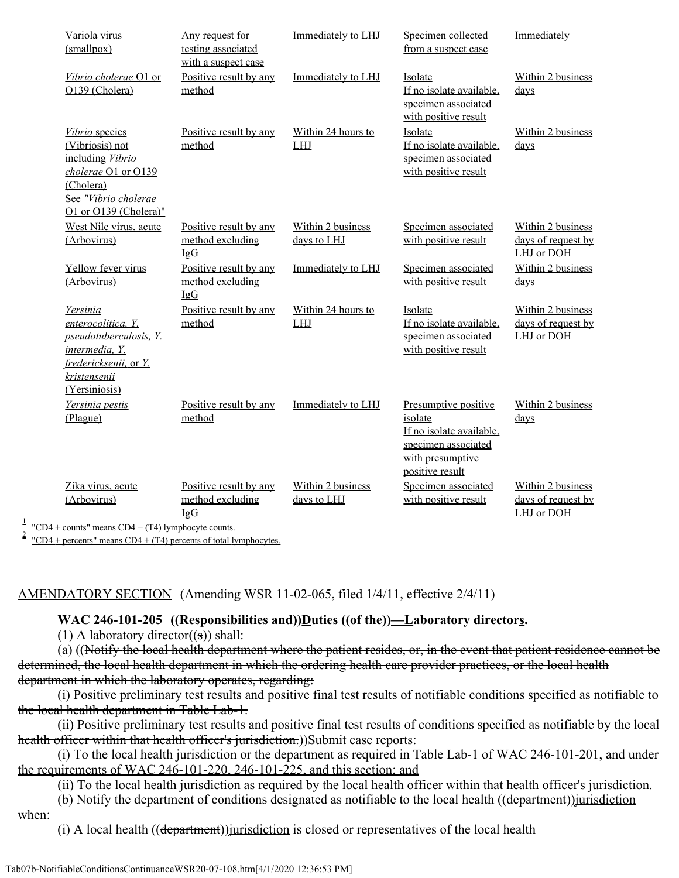| Variola virus<br>(mallpox)                                                                                                                                                                                                                                                                                                                                             | Any request for<br>testing associated<br>with a suspect case   | Immediately to LHJ               | Specimen collected<br>from a suspect case                                                                                 | Immediately                                           |
|------------------------------------------------------------------------------------------------------------------------------------------------------------------------------------------------------------------------------------------------------------------------------------------------------------------------------------------------------------------------|----------------------------------------------------------------|----------------------------------|---------------------------------------------------------------------------------------------------------------------------|-------------------------------------------------------|
| Vibrio cholerae O1 or<br>O139 (Cholera)                                                                                                                                                                                                                                                                                                                                | Positive result by any<br>method                               | Immediately to LHJ               | Isolate<br>If no isolate available,<br>specimen associated<br>with positive result                                        | Within 2 business<br>days                             |
| Vibrio species<br>(Vibriosis) not<br>including Vibrio<br>cholerae O1 or O139<br>(Cholera)<br>See "Vibrio cholerae<br>O1 or O139 (Cholera)"                                                                                                                                                                                                                             | Positive result by any<br>method                               | Within 24 hours to<br>LHJ        | Isolate<br>If no isolate available,<br>specimen associated<br>with positive result                                        | Within 2 business<br>$_{\rm days}$                    |
| West Nile virus, acute<br>(Arbovirus)                                                                                                                                                                                                                                                                                                                                  | Positive result by any<br>method excluding<br>$I \nsubseteq G$ | Within 2 business<br>days to LHJ | Specimen associated<br>with positive result                                                                               | Within 2 business<br>days of request by<br>LHJ or DOH |
| Yellow fever virus<br>(Arbovirus)                                                                                                                                                                                                                                                                                                                                      | Positive result by any<br>method excluding<br>IgG              | Immediately to LHJ               | Specimen associated<br>with positive result                                                                               | Within 2 business<br>days                             |
| Yersinia<br>enterocolitica, Y.<br>pseudotuberculosis, Y.<br>intermedia, Y.<br>fredericksenii, or Y.<br>kristensenii<br>(Yersiniosis)                                                                                                                                                                                                                                   | Positive result by any<br>method                               | Within 24 hours to<br>LHJ        | Isolate<br>If no isolate available,<br>specimen associated<br>with positive result                                        | Within 2 business<br>days of request by<br>LHJ or DOH |
| Yersinia pestis<br>(Plague)                                                                                                                                                                                                                                                                                                                                            | Positive result by any<br>method                               | Immediately to LHJ               | Presumptive positive<br>isolate<br>If no isolate available,<br>specimen associated<br>with presumptive<br>positive result | Within 2 business<br>$_{\rm days}$                    |
| Zika virus, acute<br>(Arbovirus)<br>$\mathbf{C}$ $\mathbf{D}$ $\mathbf{A}$ $\mathbf{C}$ $\mathbf{D}$ $\mathbf{A}$ $\mathbf{C}$ $\mathbf{D}$ $\mathbf{A}$ $\mathbf{I}$ $\mathbf{I}$ $\mathbf{I}$ $\mathbf{I}$ $\mathbf{I}$ $\mathbf{I}$ $\mathbf{I}$ $\mathbf{I}$ $\mathbf{I}$ $\mathbf{I}$ $\mathbf{I}$ $\mathbf{I}$ $\mathbf{I}$ $\mathbf{I}$ $\mathbf{I}$ $\mathbf{$ | Positive result by any<br>method excluding<br>$I \nsubseteq G$ | Within 2 business<br>days to LHJ | Specimen associated<br>with positive result                                                                               | Within 2 business<br>days of request by<br>LHJ or DOH |

 $\frac{1}{2}$  "CD4 + counts" means CD4 + (T4) lymphocyte counts.

 $\frac{1}{2}$  "CD4 + percents" means CD4 + (T4) percents of total lymphocytes.

#### AMENDATORY SECTION (Amending WSR 11-02-065, filed 1/4/11, effective 2/4/11)

#### **WAC 246-101-205 ((Responsibilities and))Duties ((of the))—Laboratory directors.**

(1) A laboratory director $(\circledast)$  shall:

(a) ((Notify the local health department where the patient resides, or, in the event that patient residence cannot be determined, the local health department in which the ordering health care provider practices, or the local health department in which the laboratory operates, regarding:

(i) Positive preliminary test results and positive final test results of notifiable conditions specified as notifiable to the local health department in Table Lab-1.

(ii) Positive preliminary test results and positive final test results of conditions specified as notifiable by the local health officer within that health officer's jurisdiction.))Submit case reports:

(i) To the local health jurisdiction or the department as required in Table Lab-1 of WAC 246-101-201, and under the requirements of WAC 246-101-220, 246-101-225, and this section; and

(ii) To the local health jurisdiction as required by the local health officer within that health officer's jurisdiction.

(b) Notify the department of conditions designated as notifiable to the local health ((department))jurisdiction when:

(i) A local health  $((\text{department}))$  initial department) in closed or representatives of the local health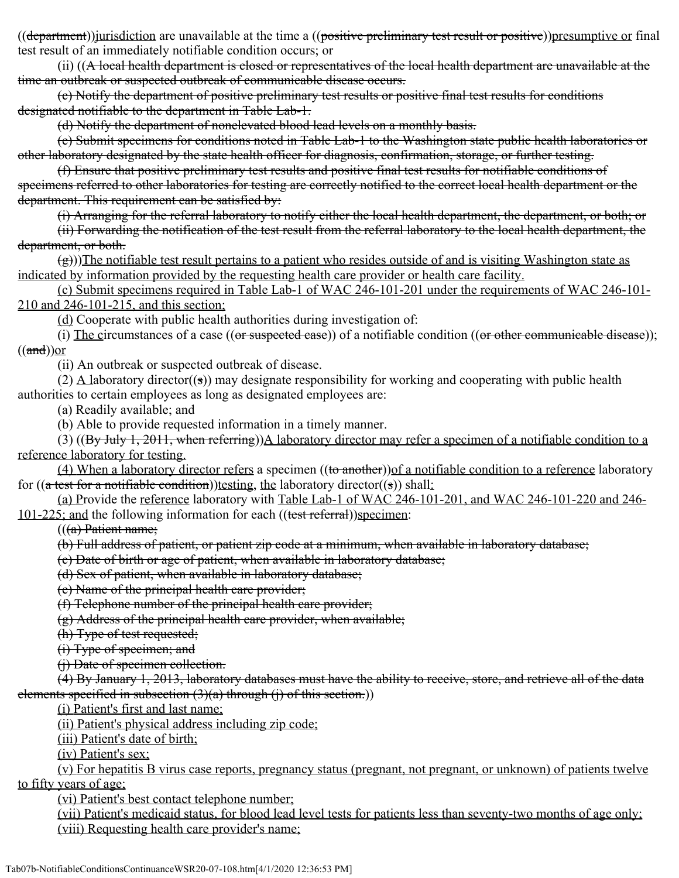((department))*jurisdiction* are unavailable at the time a ((positive preliminary test result or positive))presumptive or final test result of an immediately notifiable condition occurs; or

(ii) ((A local health department is closed or representatives of the local health department are unavailable at the time an outbreak or suspected outbreak of communicable disease occurs.

(c) Notify the department of positive preliminary test results or positive final test results for conditions designated notifiable to the department in Table Lab-1.

(d) Notify the department of nonelevated blood lead levels on a monthly basis.

(e) Submit specimens for conditions noted in Table Lab-1 to the Washington state public health laboratories or other laboratory designated by the state health officer for diagnosis, confirmation, storage, or further testing.

(f) Ensure that positive preliminary test results and positive final test results for notifiable conditions of specimens referred to other laboratories for testing are correctly notified to the correct local health department or the department. This requirement can be satisfied by:

(i) Arranging for the referral laboratory to notify either the local health department, the department, or both; or

(ii) Forwarding the notification of the test result from the referral laboratory to the local health department, the department, or both.

 $(\frac{g}{g})$ ))The notifiable test result pertains to a patient who resides outside of and is visiting Washington state as indicated by information provided by the requesting health care provider or health care facility.

(c) Submit specimens required in Table Lab-1 of WAC 246-101-201 under the requirements of WAC 246-101- 210 and 246-101-215, and this section;

(d) Cooperate with public health authorities during investigation of:

(i) The circumstances of a case  $((or$  suspected ease)) of a notifiable condition  $((or$  other communicable disease));  $((\text{and}))$ or

(ii) An outbreak or suspected outbreak of disease.

(2)  $\Delta$  laboratory director((s)) may designate responsibility for working and cooperating with public health authorities to certain employees as long as designated employees are:

(a) Readily available; and

(b) Able to provide requested information in a timely manner.

(3)  $((By July 1, 2011, when referring)$ )A laboratory director may refer a specimen of a notifiable condition to a reference laboratory for testing.

(4) When a laboratory director refers a specimen ((to another)) of a notifiable condition to a reference laboratory for  $((a \text{ test for a notifiable condition}))$ testing, the laboratory director $((s))$  shall:

(a) Provide the reference laboratory with Table Lab-1 of WAC 246-101-201, and WAC 246-101-220 and 246- 101-225; and the following information for each ((test referral))specimen:

 $((a)$  Patient name;

(b) Full address of patient, or patient zip code at a minimum, when available in laboratory database;

(c) Date of birth or age of patient, when available in laboratory database;

(d) Sex of patient, when available in laboratory database;

(e) Name of the principal health care provider;

(f) Telephone number of the principal health care provider;

(g) Address of the principal health care provider, when available;

(h) Type of test requested;

(i) Type of specimen; and

(j) Date of specimen collection.

(4) By January 1, 2013, laboratory databases must have the ability to receive, store, and retrieve all of the data elements specified in subsection  $(3)(a)$  through  $(i)$  of this section.)

(i) Patient's first and last name;

(ii) Patient's physical address including zip code;

(iii) Patient's date of birth;

(iv) Patient's sex;

(v) For hepatitis B virus case reports, pregnancy status (pregnant, not pregnant, or unknown) of patients twelve to fifty years of age;

(vi) Patient's best contact telephone number;

(vii) Patient's medicaid status, for blood lead level tests for patients less than seventy-two months of age only; (viii) Requesting health care provider's name;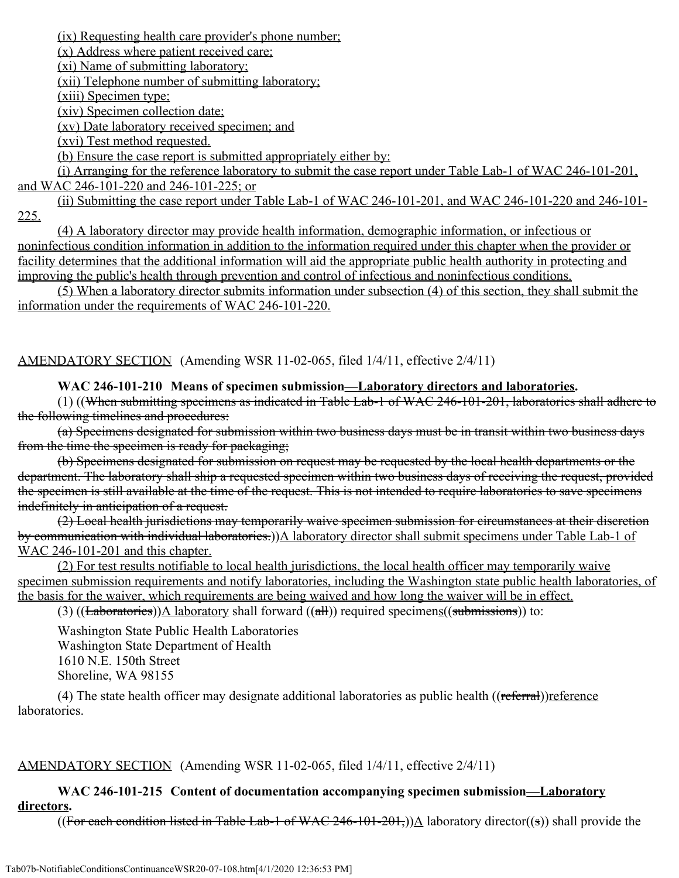(ix) Requesting health care provider's phone number;

(x) Address where patient received care;

(xi) Name of submitting laboratory;

(xii) Telephone number of submitting laboratory;

(xiii) Specimen type;

(xiv) Specimen collection date;

(xv) Date laboratory received specimen; and

(xvi) Test method requested.

(b) Ensure the case report is submitted appropriately either by:

(i) Arranging for the reference laboratory to submit the case report under Table Lab-1 of WAC 246-101-201, and WAC 246-101-220 and 246-101-225; or

(ii) Submitting the case report under Table Lab-1 of WAC 246-101-201, and WAC 246-101-220 and 246-101- 225.

(4) A laboratory director may provide health information, demographic information, or infectious or noninfectious condition information in addition to the information required under this chapter when the provider or facility determines that the additional information will aid the appropriate public health authority in protecting and improving the public's health through prevention and control of infectious and noninfectious conditions.

(5) When a laboratory director submits information under subsection (4) of this section, they shall submit the information under the requirements of WAC 246-101-220.

# AMENDATORY SECTION (Amending WSR 11-02-065, filed 1/4/11, effective 2/4/11)

# **WAC 246-101-210 Means of specimen submission—Laboratory directors and laboratories.**

(1) ((When submitting specimens as indicated in Table Lab-1 of WAC 246-101-201, laboratories shall adhere to the following timelines and procedures:

(a) Specimens designated for submission within two business days must be in transit within two business days from the time the specimen is ready for packaging;

(b) Specimens designated for submission on request may be requested by the local health departments or the department. The laboratory shall ship a requested specimen within two business days of receiving the request, provided the specimen is still available at the time of the request. This is not intended to require laboratories to save specimens indefinitely in anticipation of a request.

(2) Local health jurisdictions may temporarily waive specimen submission for circumstances at their discretion by communication with individual laboratories.))A laboratory director shall submit specimens under Table Lab-1 of WAC 246-101-201 and this chapter.

(2) For test results notifiable to local health jurisdictions, the local health officer may temporarily waive specimen submission requirements and notify laboratories, including the Washington state public health laboratories, of the basis for the waiver, which requirements are being waived and how long the waiver will be in effect.

(3) ((Laboratories))A laboratory shall forward  $((\text{all}))$  required specimens((submissions)) to:

Washington State Public Health Laboratories Washington State Department of Health 1610 N.E. 150th Street Shoreline, WA 98155

(4) The state health officer may designate additional laboratories as public health ((referral))reference laboratories.

# AMENDATORY SECTION (Amending WSR 11-02-065, filed 1/4/11, effective 2/4/11)

# **WAC 246-101-215 Content of documentation accompanying specimen submission—Laboratory directors.**

((For each condition listed in Table Lab-1 of WAC 246-101-201,)) $\Delta$  laboratory director((s)) shall provide the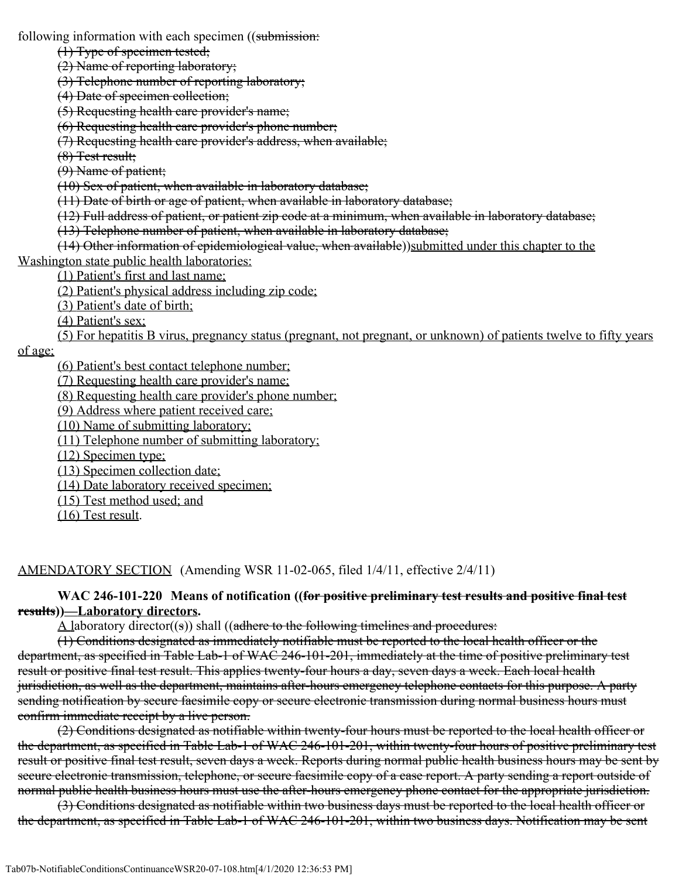following information with each specimen ((submission:

(1) Type of specimen tested;

(2) Name of reporting laboratory;

(3) Telephone number of reporting laboratory;

(4) Date of specimen collection;

(5) Requesting health care provider's name;

(6) Requesting health care provider's phone number;

(7) Requesting health care provider's address, when available;

(8) Test result;

(9) Name of patient;

(10) Sex of patient, when available in laboratory database;

(11) Date of birth or age of patient, when available in laboratory database;

(12) Full address of patient, or patient zip code at a minimum, when available in laboratory database;

(13) Telephone number of patient, when available in laboratory database;

(14) Other information of epidemiological value, when available))submitted under this chapter to the Washington state public health laboratories:

(1) Patient's first and last name;

(2) Patient's physical address including zip code;

(3) Patient's date of birth;

(4) Patient's sex;

(5) For hepatitis B virus, pregnancy status (pregnant, not pregnant, or unknown) of patients twelve to fifty years

of age;

(6) Patient's best contact telephone number;

(7) Requesting health care provider's name;

(8) Requesting health care provider's phone number;

(9) Address where patient received care;

(10) Name of submitting laboratory;

(11) Telephone number of submitting laboratory;

(12) Specimen type;

(13) Specimen collection date;

(14) Date laboratory received specimen;

(15) Test method used; and

(16) Test result.

AMENDATORY SECTION (Amending WSR 11-02-065, filed 1/4/11, effective 2/4/11)

#### **WAC 246-101-220 Means of notification ((for positive preliminary test results and positive final test results))—Laboratory directors.**

 $\Delta$  laboratory director((s)) shall ((adhere to the following timelines and procedures:

(1) Conditions designated as immediately notifiable must be reported to the local health officer or the department, as specified in Table Lab-1 of WAC 246-101-201, immediately at the time of positive preliminary test result or positive final test result. This applies twenty-four hours a day, seven days a week. Each local health jurisdiction, as well as the department, maintains after-hours emergency telephone contacts for this purpose. A party sending notification by secure facsimile copy or secure electronic transmission during normal business hours must confirm immediate receipt by a live person.

(2) Conditions designated as notifiable within twenty-four hours must be reported to the local health officer or the department, as specified in Table Lab-1 of WAC 246-101-201, within twenty-four hours of positive preliminary test result or positive final test result, seven days a week. Reports during normal public health business hours may be sent by secure electronic transmission, telephone, or secure facsimile copy of a case report. A party sending a report outside of normal public health business hours must use the after-hours emergency phone contact for the appropriate jurisdiction.

(3) Conditions designated as notifiable within two business days must be reported to the local health officer or the department, as specified in Table Lab-1 of WAC 246-101-201, within two business days. Notification may be sent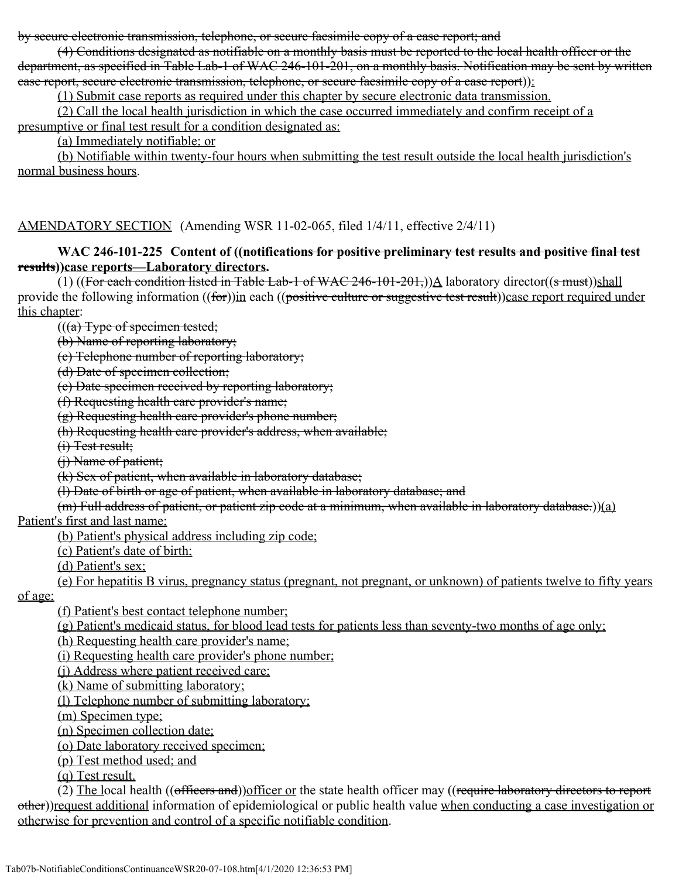by secure electronic transmission, telephone, or secure facsimile copy of a case report; and

(4) Conditions designated as notifiable on a monthly basis must be reported to the local health officer or the department, as specified in Table Lab-1 of WAC 246-101-201, on a monthly basis. Notification may be sent by written case report, secure electronic transmission, telephone, or secure facsimile copy of a case report)):

(1) Submit case reports as required under this chapter by secure electronic data transmission.

(2) Call the local health jurisdiction in which the case occurred immediately and confirm receipt of a presumptive or final test result for a condition designated as:

(a) Immediately notifiable; or

(b) Notifiable within twenty-four hours when submitting the test result outside the local health jurisdiction's normal business hours.

AMENDATORY SECTION (Amending WSR 11-02-065, filed 1/4/11, effective 2/4/11)

#### **WAC 246-101-225 Content of ((notifications for positive preliminary test results and positive final test results))case reports—Laboratory directors.**

(1) ((For each condition listed in Table Lab-1 of WAC 246-101-201,)) $\Delta$  laboratory director((s must))shall provide the following information ((for))in each ((positive culture or suggestive test result))case report required under this chapter:

 $((a)$  Type of specimen tested;

(b) Name of reporting laboratory;

(c) Telephone number of reporting laboratory;

(d) Date of specimen collection;

(e) Date specimen received by reporting laboratory;

(f) Requesting health care provider's name;

(g) Requesting health care provider's phone number;

(h) Requesting health care provider's address, when available;

(i) Test result;

(j) Name of patient;

(k) Sex of patient, when available in laboratory database;

(l) Date of birth or age of patient, when available in laboratory database; and

 $(m)$  Full address of patient, or patient zip code at a minimum, when available in laboratory database.))(a)

Patient's first and last name;

(b) Patient's physical address including zip code;

(c) Patient's date of birth;

(d) Patient's sex;

(e) For hepatitis B virus, pregnancy status (pregnant, not pregnant, or unknown) of patients twelve to fifty years

of age;

(f) Patient's best contact telephone number;

(g) Patient's medicaid status, for blood lead tests for patients less than seventy-two months of age only;

(h) Requesting health care provider's name;

(i) Requesting health care provider's phone number;

(j) Address where patient received care;

(k) Name of submitting laboratory;

(l) Telephone number of submitting laboratory;

(m) Specimen type;

(n) Specimen collection date;

(o) Date laboratory received specimen;

(p) Test method used; and

(q) Test result.

(2) The local health ((officers and))officer or the state health officer may ((require laboratory directors to report other))request additional information of epidemiological or public health value when conducting a case investigation or otherwise for prevention and control of a specific notifiable condition.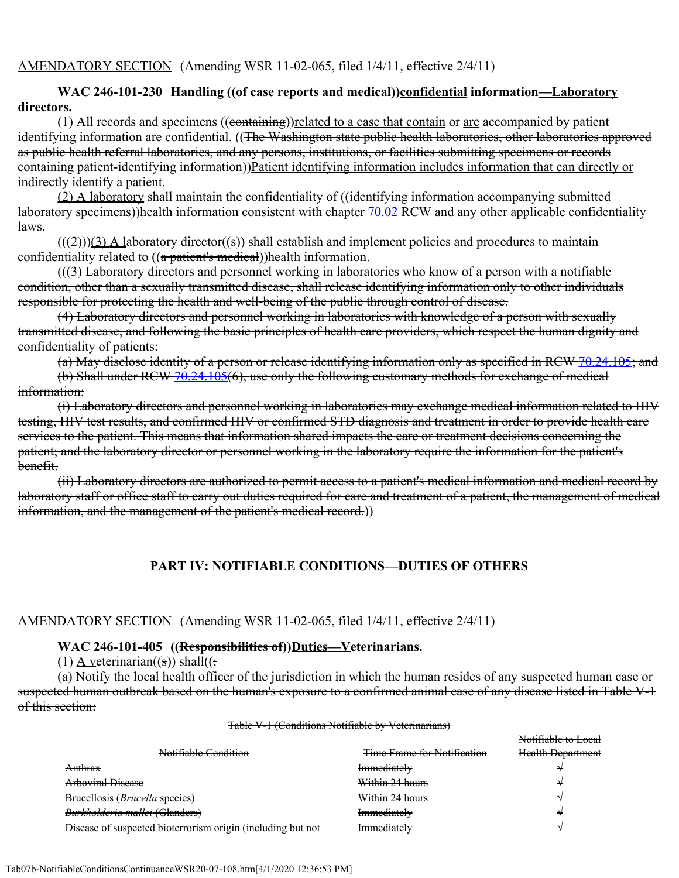## **WAC 246-101-230 Handling ((of case reports and medical))confidential information—Laboratory directors.**

(1) All records and specimens  $((\text{containing}))$ related to a case that contain or are accompanied by patient identifying information are confidential. ((The Washington state public health laboratories, other laboratories approved as public health referral laboratories, and any persons, institutions, or facilities submitting specimens or records containing patient-identifying information))Patient identifying information includes information that can directly or indirectly identify a patient.

(2) A laboratory shall maintain the confidentiality of ((identifying information accompanying submitted laboratory specimens))health information consistent with chapter [70.02](http://app.leg.wa.gov/RCW/default.aspx?cite=70.02) RCW and any other applicable confidentiality laws.

 $(((2)))(3)$  A laboratory director((s)) shall establish and implement policies and procedures to maintain confidentiality related to ((a patient's medical))health information.

 $((3)$  Laboratory directors and personnel working in laboratories who know of a person with a notifiable condition, other than a sexually transmitted disease, shall release identifying information only to other individuals responsible for protecting the health and well-being of the public through control of disease.

(4) Laboratory directors and personnel working in laboratories with knowledge of a person with sexually transmitted disease, and following the basic principles of health care providers, which respect the human dignity and confidentiality of patients:

(a) May disclose identity of a person or release identifying information only as specified in RCW [70.24.105;](http://app.leg.wa.gov/RCW/default.aspx?cite=70.24.105) and

(b) Shall under RCW [70.24.105](http://app.leg.wa.gov/RCW/default.aspx?cite=70.24.105)(6), use only the following customary methods for exchange of medical information:

(i) Laboratory directors and personnel working in laboratories may exchange medical information related to HIV testing, HIV test results, and confirmed HIV or confirmed STD diagnosis and treatment in order to provide health care services to the patient. This means that information shared impacts the care or treatment decisions concerning the patient; and the laboratory director or personnel working in the laboratory require the information for the patient's benefit.

(ii) Laboratory directors are authorized to permit access to a patient's medical information and medical record by laboratory staff or office staff to carry out duties required for care and treatment of a patient, the management of medical information, and the management of the patient's medical record.))

# **PART IV: NOTIFIABLE CONDITIONS—DUTIES OF OTHERS**

#### AMENDATORY SECTION (Amending WSR 11-02-065, filed 1/4/11, effective 2/4/11)

#### **WAC 246-101-405 ((Responsibilities of))Duties—Veterinarians.**

(1)  $\Delta$  veterinarian((s)) shall((:

(a) Notify the local health officer of the jurisdiction in which the human resides of any suspected human case or suspected human outbreak based on the human's exposure to a confirmed animal case of any disease listed in Table V-1 of this section:

#### Table V-1 (Conditions Notifiable by Veterinarians)

|                                                             |                                    | Notifiable to Local      |
|-------------------------------------------------------------|------------------------------------|--------------------------|
| Notifiable Condition                                        | <b>Time Frame for Notification</b> | <b>Health Department</b> |
| <b>Anthrax</b>                                              | Immediately                        |                          |
| Arboviral Disease                                           | Within 24 hours                    |                          |
| Brueellosis (Brucella species)                              | Within 24 hours                    |                          |
| Burkholderia mallei (Glanders)                              | Immediately                        |                          |
| Disease of suspected bioterrorism origin (including but not | Immadiataku<br>ncurator            |                          |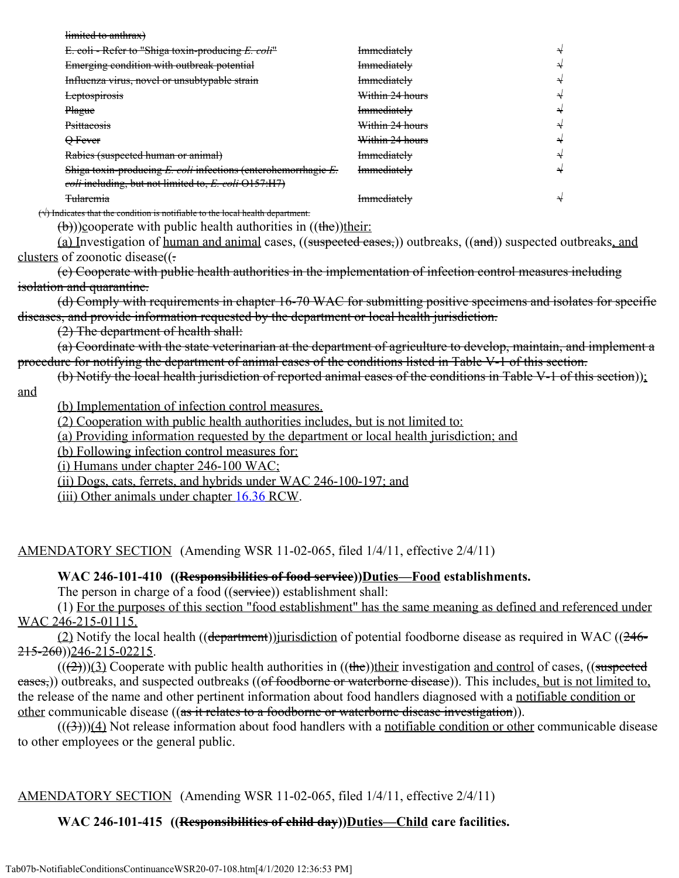| limited to anthrax)                                                                    |                    |  |
|----------------------------------------------------------------------------------------|--------------------|--|
| E. coli - Refer to "Shiga toxin-producing E. coli"                                     | <b>Immediately</b> |  |
| Emerging condition with outbreak potential                                             | <b>Immediately</b> |  |
| Influenza virus, novel or unsubtypable strain                                          | <b>Immediately</b> |  |
| <b>Leptospirosis</b>                                                                   | Within 24 hours    |  |
| <b>Plague</b>                                                                          | <b>Immediately</b> |  |
| <b>Psittacosis</b>                                                                     | Within 24 hours    |  |
| $\Theta$ Fever                                                                         | Within 24 hours    |  |
| Rabies (suspected human or animal)                                                     | <b>Immediately</b> |  |
| Shiga toxin-producing $E$ . coli infections (enterohemorrhagie $E$ .                   | <b>Immediately</b> |  |
| coli including, but not limited to, E. coli O157:H7)                                   |                    |  |
| <b>Tularemia</b>                                                                       | <b>Immediately</b> |  |
| $(\sqrt{})$ Indicates that the condition is notifiable to the local health department. |                    |  |

 $(\theta)$ ))cooperate with public health authorities in  $((\theta))$ their:

(a) Investigation of human and animal cases, ((suspected cases,)) outbreaks, ((and)) suspected outbreaks, and clusters of zoonotic disease((.

(c) Cooperate with public health authorities in the implementation of infection control measures including isolation and quarantine.

(d) Comply with requirements in chapter 16-70 WAC for submitting positive specimens and isolates for specific diseases, and provide information requested by the department or local health jurisdiction.

(2) The department of health shall:

(a) Coordinate with the state veterinarian at the department of agriculture to develop, maintain, and implement a procedure for notifying the department of animal cases of the conditions listed in Table V-1 of this section.

(b) Notify the local health jurisdiction of reported animal cases of the conditions in Table V-1 of this section));

and

(b) Implementation of infection control measures.

(2) Cooperation with public health authorities includes, but is not limited to:

(a) Providing information requested by the department or local health jurisdiction; and

(b) Following infection control measures for:

(i) Humans under chapter 246-100 WAC;

(ii) Dogs, cats, ferrets, and hybrids under WAC 246-100-197; and

(iii) Other animals under chapter [16.36](http://app.leg.wa.gov/RCW/default.aspx?cite=16.36) RCW.

AMENDATORY SECTION (Amending WSR 11-02-065, filed 1/4/11, effective 2/4/11)

#### WAC 246-101-410 ((Responsibilities of food service))Duties—Food establishments.

The person in charge of a food ((service)) establishment shall:

(1) For the purposes of this section "food establishment" has the same meaning as defined and referenced under WAC 246-215-01115.

(2) Notify the local health ((department))*jurisdiction* of potential foodborne disease as required in WAC ((246- $215 - 260$ ))246-215-02215.

 $((2))$ (3) Cooperate with public health authorities in  $((the))$ their investigation and control of cases, ((suspected eases,)) outbreaks, and suspected outbreaks ((of foodborne or waterborne disease)). This includes, but is not limited to, the release of the name and other pertinent information about food handlers diagnosed with a notifiable condition or other communicable disease ((<del>as it relates to a foodborne or waterborne disease investigation</del>)).

 $((3))$ (4) Not release information about food handlers with a notifiable condition or other communicable disease to other employees or the general public.

AMENDATORY SECTION (Amending WSR 11-02-065, filed 1/4/11, effective 2/4/11)

### WAC 246-101-415 ((Responsibilities of child day))Duties—Child care facilities.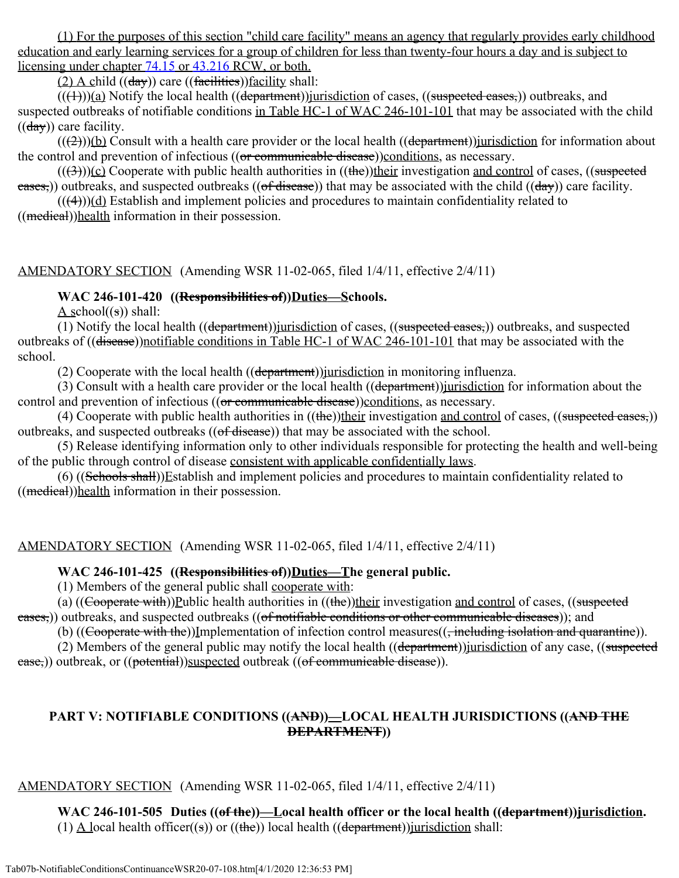(1) For the purposes of this section "child care facility" means an agency that regularly provides early childhood education and early learning services for a group of children for less than twenty-four hours a day and is subject to licensing under chapter [74.15](http://app.leg.wa.gov/RCW/default.aspx?cite=74.15) or [43.216](http://app.leg.wa.gov/RCW/default.aspx?cite=43.216) RCW, or both.

(2) A child  $((\frac{day}{})$  care  $((\frac{facilities}{})$ facility shall:

 $(((+)))(a)$  Notify the local health  $((department))$ jurisdiction of cases,  $((suspected cases,))$  outbreaks, and suspected outbreaks of notifiable conditions in Table HC-1 of WAC 246-101-101 that may be associated with the child  $((\frac{day}{})$  care facility.

 $((2))$ (b) Consult with a health care provider or the local health ((department))jurisdiction for information about the control and prevention of infectious  $((or communizable disease))$ conditions, as necessary.

 $((3))$ (c) Cooperate with public health authorities in  $((the))$ their investigation and control of cases,  $((subspected$  $\frac{1}{\text{cases}}$ ) outbreaks, and suspected outbreaks ((of disease)) that may be associated with the child (( $\frac{1}{\text{day}}$ ) care facility.

 $(((4)))(d)$  Establish and implement policies and procedures to maintain confidentiality related to ((medical))health information in their possession.

AMENDATORY SECTION (Amending WSR 11-02-065, filed 1/4/11, effective 2/4/11)

## WAC 246-101-420 ((Responsibilities of))Duties—Schools.

A school $((s))$  shall:

(1) Notify the local health ((department))jurisdiction of cases, ((suspected cases,)) outbreaks, and suspected outbreaks of ((disease))notifiable conditions in Table HC-1 of WAC 246-101-101 that may be associated with the school.

(2) Cooperate with the local health  $((\text{department}))$ *jurisdiction* in monitoring influenza.

(3) Consult with a health care provider or the local health ((department))jurisdiction for information about the control and prevention of infectious ((or communicable disease))conditions, as necessary.

(4) Cooperate with public health authorities in  $((the))$ their investigation and control of cases,  $((suspected cases))$ outbreaks, and suspected outbreaks  $((of disease))$  that may be associated with the school.

(5) Release identifying information only to other individuals responsible for protecting the health and well-being of the public through control of disease consistent with applicable confidentially laws.

(6) ((Schools shall))Establish and implement policies and procedures to maintain confidentiality related to ((medical))health information in their possession.

AMENDATORY SECTION (Amending WSR 11-02-065, filed 1/4/11, effective 2/4/11)

### **WAC 246-101-425 ((Responsibilities of))Duties—The general public.**

(1) Members of the general public shall cooperate with:

(a)  $((\text{Cooperate with}))$ Public health authorities in  $((\text{the}))$ their investigation and control of cases,  $((\text{subpected})$ eases,)) outbreaks, and suspected outbreaks ((of notifiable conditions or other communicable diseases)); and

(b) ((Cooperate with the))Implementation of infection control measures((, including isolation and quarantine)).

(2) Members of the general public may notify the local health ((department))jurisdiction of any case, ((suspected ease,)) outbreak, or ((potential))suspected outbreak ((of communicable disease)).

### **PART V: NOTIFIABLE CONDITIONS ((AND))—LOCAL HEALTH JURISDICTIONS ((AND THE DEPARTMENT))**

AMENDATORY SECTION (Amending WSR 11-02-065, filed 1/4/11, effective 2/4/11)

WAC 246-101-505 Duties ((of the))—Local health officer or the local health ((department))jurisdiction. (1)  $\Delta$  local health officer((s)) or ((the)) local health ((department)) jurisdiction shall: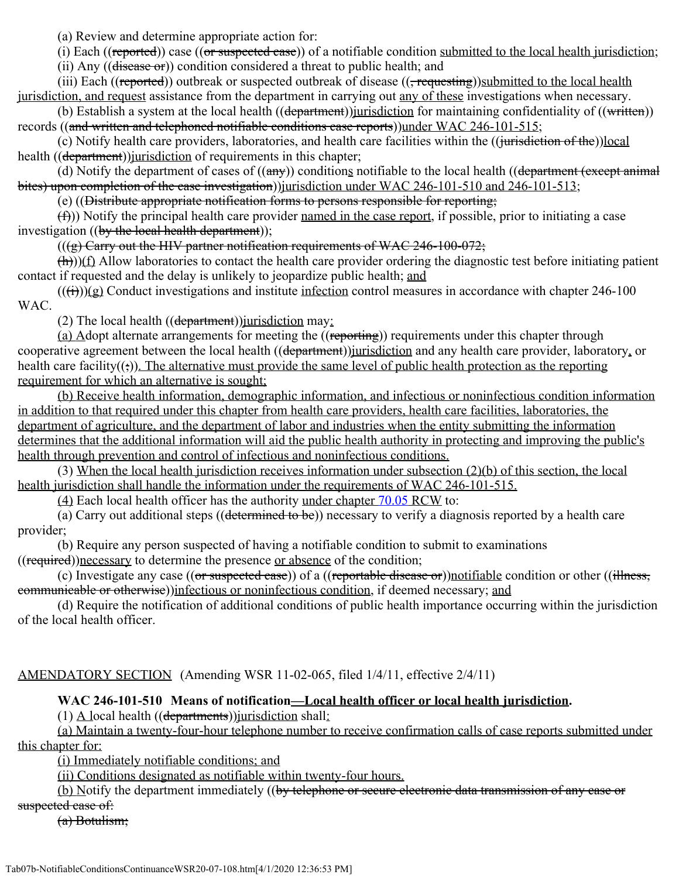(a) Review and determine appropriate action for:

(i) Each ((reported)) case ((or suspected case)) of a notifiable condition submitted to the local health jurisdiction;

(ii) Any ( $(d \overline{\text{iscase of}})$ ) condition considered a threat to public health; and

(iii) Each ((reported)) outbreak or suspected outbreak of disease  $((,$  requesting))submitted to the local health jurisdiction, and request assistance from the department in carrying out any of these investigations when necessary.

(b) Establish a system at the local health  $((\text{department}))$  iurisdiction for maintaining confidentiality of  $((\text{written}))$ records ((and written and telephoned notifiable conditions case reports))under WAC 246-101-515;

(c) Notify health care providers, laboratories, and health care facilities within the ((jurisdiction of the))local health ((department))*jurisdiction* of requirements in this chapter;

(d) Notify the department of cases of  $((a\eta y))$  conditions notifiable to the local health  $((de$ <sub>partment</sub>  $(except\ animal$ bites) upon completion of the case investigation))*jurisdiction under WAC 246-101-510 and 246-101-513*;

(e) ((Distribute appropriate notification forms to persons responsible for reporting;

 $(f)$ )) Notify the principal health care provider named in the case report, if possible, prior to initiating a case investigation ((by the local health department));

 $((g)$  Carry out the HIV partner notification requirements of WAC 246-100-072;

 $(\hat{h})$ )(f) Allow laboratories to contact the health care provider ordering the diagnostic test before initiating patient contact if requested and the delay is unlikely to jeopardize public health; and

 $((\text{ii}))$ (g) Conduct investigations and institute infection control measures in accordance with chapter 246-100 WAC.

(2) The local health  $((\text{department}))$  iurisdiction may:

(a) Adopt alternate arrangements for meeting the ((reporting)) requirements under this chapter through cooperative agreement between the local health ((department))*jurisdiction* and any health care provider, laboratory, or health care facility $((\cdot))$ . The alternative must provide the same level of public health protection as the reporting requirement for which an alternative is sought;

(b) Receive health information, demographic information, and infectious or noninfectious condition information in addition to that required under this chapter from health care providers, health care facilities, laboratories, the department of agriculture, and the department of labor and industries when the entity submitting the information determines that the additional information will aid the public health authority in protecting and improving the public's health through prevention and control of infectious and noninfectious conditions.

(3) When the local health jurisdiction receives information under subsection (2)(b) of this section, the local health jurisdiction shall handle the information under the requirements of WAC 246-101-515.

(4) Each local health officer has the authority under chapter [70.05](http://app.leg.wa.gov/RCW/default.aspx?cite=70.05) RCW to:

(a) Carry out additional steps ((determined to be)) necessary to verify a diagnosis reported by a health care provider;

(b) Require any person suspected of having a notifiable condition to submit to examinations

((required))necessary to determine the presence or absence of the condition;

(c) Investigate any case ((or suspected case)) of a ((reportable disease or))notifiable condition or other ((illness, communicable or otherwise))infectious or noninfectious condition, if deemed necessary; and

(d) Require the notification of additional conditions of public health importance occurring within the jurisdiction of the local health officer.

AMENDATORY SECTION (Amending WSR 11-02-065, filed 1/4/11, effective 2/4/11)

# **WAC 246-101-510 Means of notification—Local health officer or local health jurisdiction.**

(1) A local health  $((\text{departments}))$  jurisdiction shall:

(a) Maintain a twenty-four-hour telephone number to receive confirmation calls of case reports submitted under this chapter for:

(i) Immediately notifiable conditions; and

(ii) Conditions designated as notifiable within twenty-four hours.

(b) Notify the department immediately ((by telephone or secure electronic data transmission of any case or suspected case of:

(a) Botulism;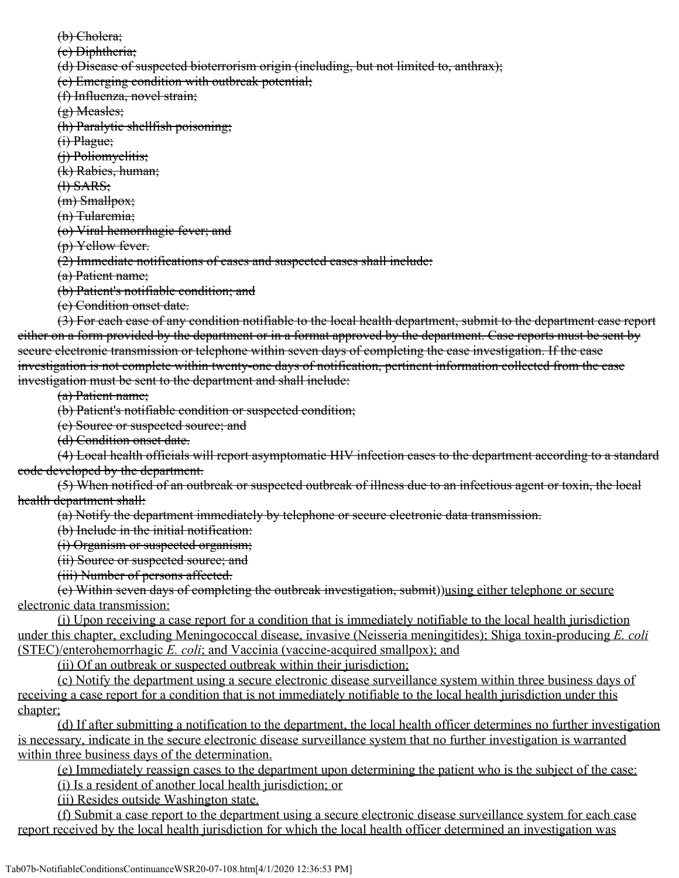(b) Cholera;

(c) Diphtheria;

(d) Disease of suspected bioterrorism origin (including, but not limited to, anthrax);

(e) Emerging condition with outbreak potential;

(f) Influenza, novel strain;

(g) Measles;

(h) Paralytic shellfish poisoning;

(i) Plague;

(j) Poliomyelitis;

(k) Rabies, human;

(l) SARS;

(m) Smallpox;

(n) Tularemia;

(o) Viral hemorrhagic fever; and

(p) Yellow fever.

(2) Immediate notifications of cases and suspected cases shall include:

(a) Patient name;

(b) Patient's notifiable condition; and

(c) Condition onset date.

(3) For each case of any condition notifiable to the local health department, submit to the department case report either on a form provided by the department or in a format approved by the department. Case reports must be sent by secure electronic transmission or telephone within seven days of completing the case investigation. If the case investigation is not complete within twenty-one days of notification, pertinent information collected from the case investigation must be sent to the department and shall include:

(a) Patient name;

(b) Patient's notifiable condition or suspected condition;

(c) Source or suspected source; and

(d) Condition onset date.

(4) Local health officials will report asymptomatic HIV infection cases to the department according to a standard code developed by the department.

(5) When notified of an outbreak or suspected outbreak of illness due to an infectious agent or toxin, the local health department shall:

(a) Notify the department immediately by telephone or secure electronic data transmission.

(b) Include in the initial notification:

(i) Organism or suspected organism;

(ii) Source or suspected source; and

(iii) Number of persons affected.

(c) Within seven days of completing the outbreak investigation, submit))using either telephone or secure electronic data transmission:

(i) Upon receiving a case report for a condition that is immediately notifiable to the local health jurisdiction under this chapter, excluding Meningococcal disease, invasive (Neisseria meningitides); Shiga toxin-producing *E. coli* (STEC)/enterohemorrhagic *E. coli*; and Vaccinia (vaccine-acquired smallpox); and

(ii) Of an outbreak or suspected outbreak within their jurisdiction;

(c) Notify the department using a secure electronic disease surveillance system within three business days of receiving a case report for a condition that is not immediately notifiable to the local health jurisdiction under this chapter;

(d) If after submitting a notification to the department, the local health officer determines no further investigation is necessary, indicate in the secure electronic disease surveillance system that no further investigation is warranted within three business days of the determination.

(e) Immediately reassign cases to the department upon determining the patient who is the subject of the case: (i) Is a resident of another local health jurisdiction; or

(ii) Resides outside Washington state.

(f) Submit a case report to the department using a secure electronic disease surveillance system for each case report received by the local health jurisdiction for which the local health officer determined an investigation was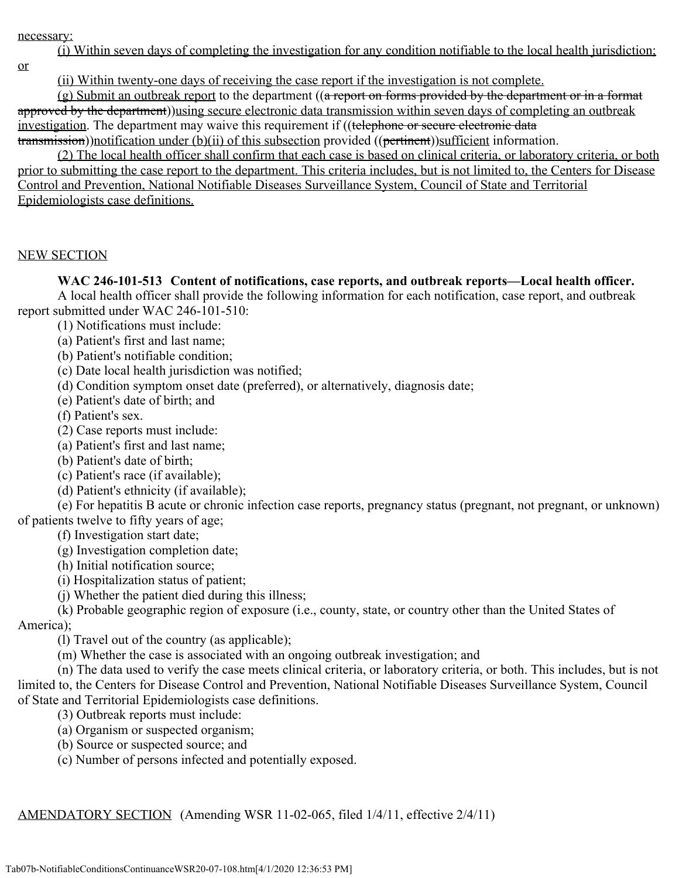necessary:

(i) Within seven days of completing the investigation for any condition notifiable to the local health jurisdiction;

or

(ii) Within twenty-one days of receiving the case report if the investigation is not complete.

(g) Submit an outbreak report to the department ((a report on forms provided by the department or in a format approved by the department))using secure electronic data transmission within seven days of completing an outbreak investigation. The department may waive this requirement if ((telephone or secure electronic data transmission))notification under (b)(ii) of this subsection provided ((pertinent))sufficient information.

(2) The local health officer shall confirm that each case is based on clinical criteria, or laboratory criteria, or both prior to submitting the case report to the department. This criteria includes, but is not limited to, the Centers for Disease Control and Prevention, National Notifiable Diseases Surveillance System, Council of State and Territorial Epidemiologists case definitions.

#### NEW SECTION

### **WAC 246-101-513 Content of notifications, case reports, and outbreak reports—Local health officer.**

A local health officer shall provide the following information for each notification, case report, and outbreak report submitted under WAC 246-101-510:

- (1) Notifications must include:
- (a) Patient's first and last name;
- (b) Patient's notifiable condition;
- (c) Date local health jurisdiction was notified;
- (d) Condition symptom onset date (preferred), or alternatively, diagnosis date;
- (e) Patient's date of birth; and
- (f) Patient's sex.
- (2) Case reports must include:
- (a) Patient's first and last name;
- (b) Patient's date of birth;
- (c) Patient's race (if available);
- (d) Patient's ethnicity (if available);

(e) For hepatitis B acute or chronic infection case reports, pregnancy status (pregnant, not pregnant, or unknown) of patients twelve to fifty years of age;

- (f) Investigation start date;
- (g) Investigation completion date;
- (h) Initial notification source;
- (i) Hospitalization status of patient;
- (j) Whether the patient died during this illness;

(k) Probable geographic region of exposure (i.e., county, state, or country other than the United States of America);

(l) Travel out of the country (as applicable);

(m) Whether the case is associated with an ongoing outbreak investigation; and

(n) The data used to verify the case meets clinical criteria, or laboratory criteria, or both. This includes, but is not limited to, the Centers for Disease Control and Prevention, National Notifiable Diseases Surveillance System, Council of State and Territorial Epidemiologists case definitions.

- (3) Outbreak reports must include:
- (a) Organism or suspected organism;
- (b) Source or suspected source; and
- (c) Number of persons infected and potentially exposed.

AMENDATORY SECTION (Amending WSR 11-02-065, filed 1/4/11, effective 2/4/11)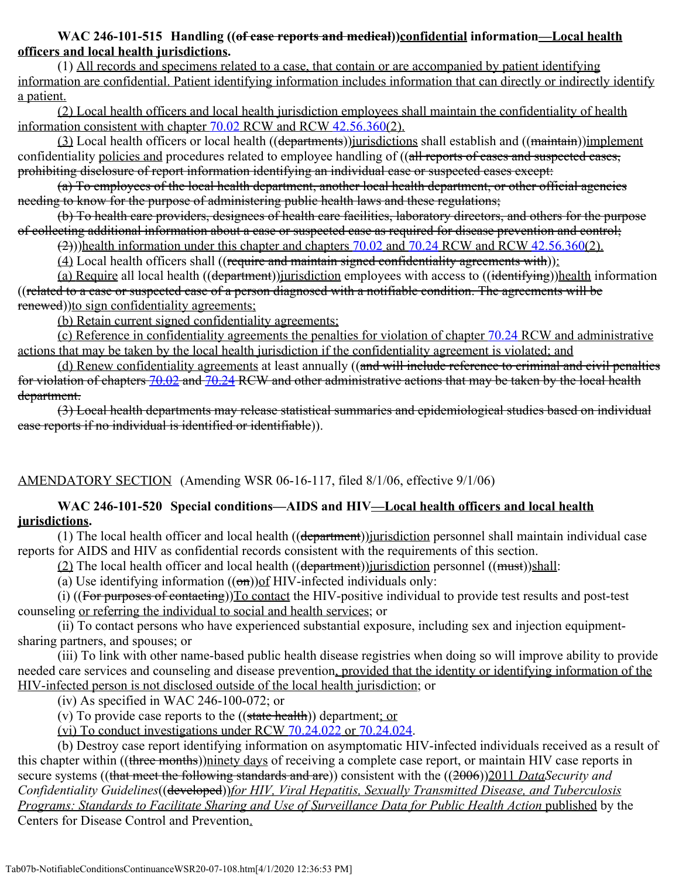### **WAC 246-101-515 Handling ((of case reports and medical))confidential information—Local health officers and local health jurisdictions.**

(1) All records and specimens related to a case, that contain or are accompanied by patient identifying information are confidential. Patient identifying information includes information that can directly or indirectly identify a patient.

(2) Local health officers and local health jurisdiction employees shall maintain the confidentiality of health information consistent with chapter [70.02](http://app.leg.wa.gov/RCW/default.aspx?cite=70.02) RCW and RCW [42.56.360](http://app.leg.wa.gov/RCW/default.aspx?cite=42.56.360)(2).

(3) Local health officers or local health ((departments))*jurisdictions* shall establish and ((maintain))*implement* confidentiality policies and procedures related to employee handling of ((all reports of cases and suspected cases, prohibiting disclosure of report information identifying an individual case or suspected cases except:

(a) To employees of the local health department, another local health department, or other official agencies needing to know for the purpose of administering public health laws and these regulations;

(b) To health care providers, designees of health care facilities, laboratory directors, and others for the purpose of collecting additional information about a case or suspected case as required for disease prevention and control;

(2)))health information under this chapter and chapters [70.02](http://app.leg.wa.gov/RCW/default.aspx?cite=70.02) and [70.24](http://app.leg.wa.gov/RCW/default.aspx?cite=70.24) RCW and RCW [42.56.360\(](http://app.leg.wa.gov/RCW/default.aspx?cite=42.56.360)2).

 $(4)$  Local health officers shall ((require and maintain signed confidentiality agreements with)):

(a) Require all local health ((department))jurisdiction employees with access to ((identifying))health information ((related to a case or suspected case of a person diagnosed with a notifiable condition. The agreements will be renewed))to sign confidentiality agreements;

(b) Retain current signed confidentiality agreements;

(c) Reference in confidentiality agreements the penalties for violation of chapter [70.24](http://app.leg.wa.gov/RCW/default.aspx?cite=70.24) RCW and administrative actions that may be taken by the local health jurisdiction if the confidentiality agreement is violated; and

(d) Renew confidentiality agreements at least annually ((and will include reference to criminal and civil penalties for violation of chapters [70.02](http://app.leg.wa.gov/RCW/default.aspx?cite=70.02) and [70.24](http://app.leg.wa.gov/RCW/default.aspx?cite=70.24) RCW and other administrative actions that may be taken by the local health department.

(3) Local health departments may release statistical summaries and epidemiological studies based on individual case reports if no individual is identified or identifiable)).

# AMENDATORY SECTION (Amending WSR 06-16-117, filed 8/1/06, effective 9/1/06)

# **WAC 246-101-520 Special conditions—AIDS and HIV—Local health officers and local health jurisdictions.**

(1) The local health officer and local health  $((\text{department}))$ *jurisdiction* personnel shall maintain individual case reports for AIDS and HIV as confidential records consistent with the requirements of this section.

(2) The local health officer and local health ((department)) jurisdiction personnel ((must)) shall:

(a) Use identifying information  $((\theta n))$  of HIV-infected individuals only:

(i) ((For purposes of contacting)) To contact the HIV-positive individual to provide test results and post-test counseling or referring the individual to social and health services; or

(ii) To contact persons who have experienced substantial exposure, including sex and injection equipmentsharing partners, and spouses; or

(iii) To link with other name-based public health disease registries when doing so will improve ability to provide needed care services and counseling and disease prevention, provided that the identity or identifying information of the HIV-infected person is not disclosed outside of the local health jurisdiction; or

(iv) As specified in WAC 246-100-072; or

(v) To provide case reports to the  $((state health))$  department; or

(vi) To conduct investigations under RCW [70.24.022](http://app.leg.wa.gov/RCW/default.aspx?cite=70.24.022) or [70.24.024.](http://app.leg.wa.gov/RCW/default.aspx?cite=70.24.024)

(b) Destroy case report identifying information on asymptomatic HIV-infected individuals received as a result of this chapter within ((three months))ninety days of receiving a complete case report, or maintain HIV case reports in secure systems ((that meet the following standards and are)) consistent with the ((2006))2011 *DataSecurity and Confidentiality Guidelines*((developed))*for HIV, Viral Hepatitis, Sexually Transmitted Disease, and Tuberculosis Programs: Standards to Facilitate Sharing and Use of Surveillance Data for Public Health Action* published by the Centers for Disease Control and Prevention.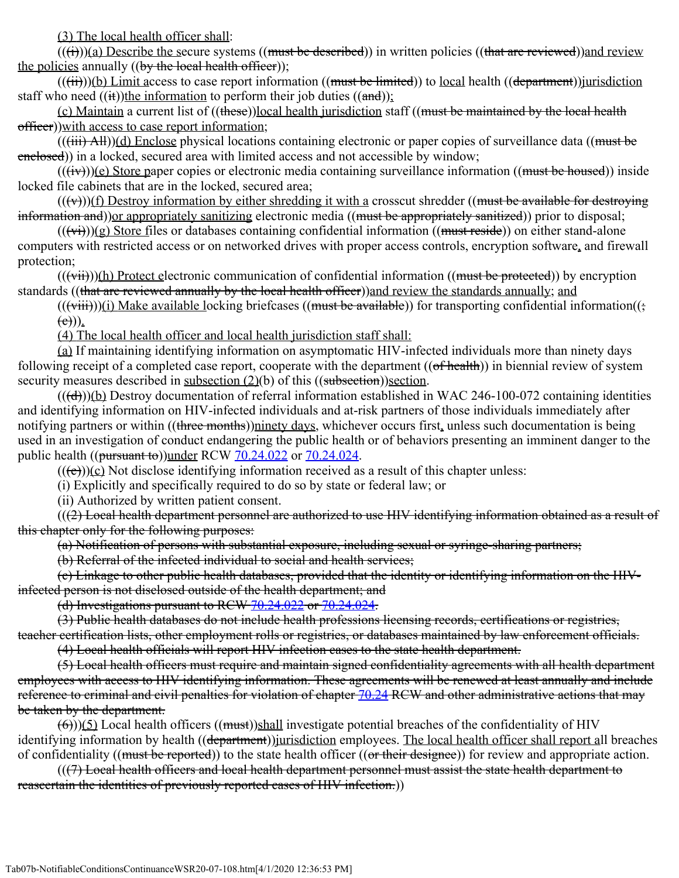(3) The local health officer shall:

 $((\overrightarrow{t}))$ (a) Describe the secure systems ((must be described)) in written policies ((that are reviewed)) and review the policies annually  $((by the local health officer));$ 

 $(((*ii*)))(*b*) Limit access to case report information ((must be limited)) to local health ((department))<sub>junction</sub>$ staff who need  $((**it**))$ the information to perform their job duties  $((**and**))$ :

(c) Maintain a current list of ((these))local health jurisdiction staff ((must be maintained by the local health officer))with access to case report information;

 $((iii)$  All))(d) Enclose physical locations containing electronic or paper copies of surveillance data ((must be enclosed)) in a locked, secured area with limited access and not accessible by window;

 $((iv))$ (e) Store paper copies or electronic media containing surveillance information ((must be housed)) inside locked file cabinets that are in the locked, secured area;

 $((\forall \forall))$ (f) Destroy information by either shredding it with a crosscut shredder ((must be available for destroying information and)) or appropriately sanitizing electronic media ((must be appropriately sanitized)) prior to disposal;

 $((\overrightarrow{v_i}))$ (g) Store files or databases containing confidential information ((must reside)) on either stand-alone computers with restricted access or on networked drives with proper access controls, encryption software, and firewall protection;

 $((\overrightarrow{vii}))(h)$  Protect electronic communication of confidential information ((must be protected)) by encryption standards ((that are reviewed annually by the local health officer)) and review the standards annually; and

 $((\overrightarrow{viii}))$ (i) Make available locking briefcases ((must be available)) for transporting confidential information((;  $(e))$ .

(4) The local health officer and local health jurisdiction staff shall:

(a) If maintaining identifying information on asymptomatic HIV-infected individuals more than ninety days following receipt of a completed case report, cooperate with the department ((of health)) in biennial review of system security measures described in subsection (2)(b) of this ((subsection))section.

 $((\text{(d}))$ (b) Destroy documentation of referral information established in WAC 246-100-072 containing identities and identifying information on HIV-infected individuals and at-risk partners of those individuals immediately after notifying partners or within ((three months))ninety days, whichever occurs first, unless such documentation is being used in an investigation of conduct endangering the public health or of behaviors presenting an imminent danger to the public health  $((\frac{\text{pursuant to}}{\text{t}}))$ under RCW  $70.24.022$  or  $70.24.024$ .

 $((\overline{(e)})(c)$  Not disclose identifying information received as a result of this chapter unless:

(i) Explicitly and specifically required to do so by state or federal law; or

(ii) Authorized by written patient consent.

 $((2)$  Local health department personnel are authorized to use HIV identifying information obtained as a result of this chapter only for the following purposes:

(a) Notification of persons with substantial exposure, including sexual or syringe-sharing partners;

(b) Referral of the infected individual to social and health services;

(c) Linkage to other public health databases, provided that the identity or identifying information on the HIVinfected person is not disclosed outside of the health department; and

(d) Investigations pursuant to RCW [70.24.022](http://app.leg.wa.gov/RCW/default.aspx?cite=70.24.022) or [70.24.024](http://app.leg.wa.gov/RCW/default.aspx?cite=70.24.024).

(3) Public health databases do not include health professions licensing records, certifications or registries, teacher certification lists, other employment rolls or registries, or databases maintained by law enforcement officials.

(4) Local health officials will report HIV infection cases to the state health department.

(5) Local health officers must require and maintain signed confidentiality agreements with all health department employees with access to HIV identifying information. These agreements will be renewed at least annually and include reference to criminal and civil penalties for violation of chapter [70.24](http://app.leg.wa.gov/RCW/default.aspx?cite=70.24) RCW and other administrative actions that may be taken by the department.

 $(\theta)$ ))(5) Local health officers ((must))shall investigate potential breaches of the confidentiality of HIV identifying information by health ((<del>department</del>))*jurisdiction* employees. The local health officer shall report all breaches of confidentiality ((must be reported)) to the state health officer ((or their designee)) for review and appropriate action.

(((7) Local health officers and local health department personnel must assist the state health department to reascertain the identities of previously reported cases of HIV infection.)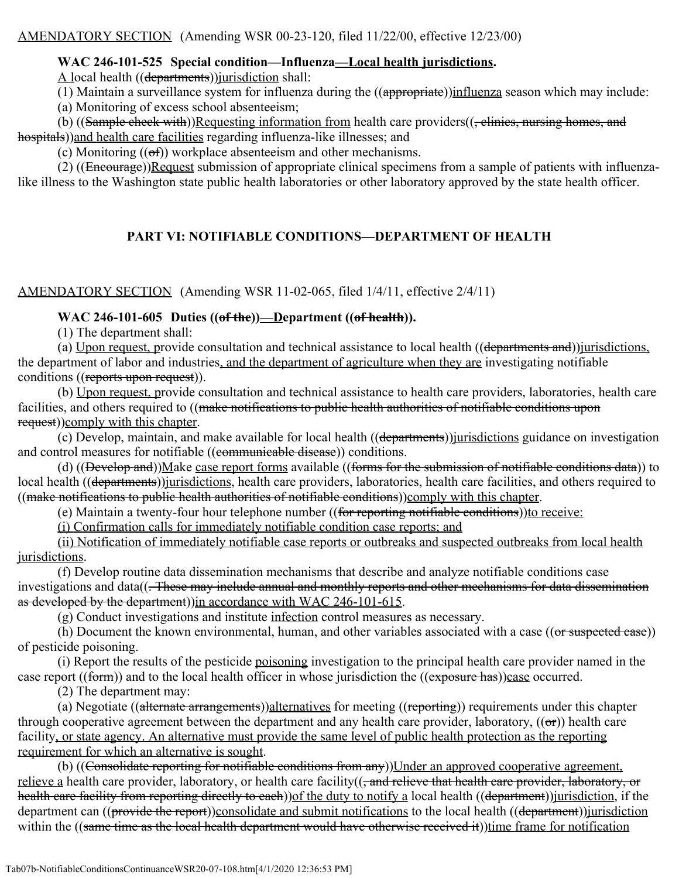## **WAC 246-101-525 Special condition—Influenza—Local health jurisdictions.**

A local health ((departments)) jurisdiction shall:

(1) Maintain a surveillance system for influenza during the ((appropriate))influenza season which may include:

(a) Monitoring of excess school absenteeism;

(b) ((Sample check with))Requesting information from health care providers((, clinics, nursing homes, and hospitals))and health care facilities regarding influenza-like illnesses; and

(c) Monitoring  $((ef))$  workplace absenteeism and other mechanisms.

(2) ((Encourage))Request submission of appropriate clinical specimens from a sample of patients with influenzalike illness to the Washington state public health laboratories or other laboratory approved by the state health officer.

# **PART VI: NOTIFIABLE CONDITIONS—DEPARTMENT OF HEALTH**

## AMENDATORY SECTION (Amending WSR 11-02-065, filed 1/4/11, effective 2/4/11)

## **WAC 246-101-605 Duties ((of the))—Department ((of health)).**

(1) The department shall:

(a) Upon request, provide consultation and technical assistance to local health ((departments and)) jurisdictions, the department of labor and industries, and the department of agriculture when they are investigating notifiable conditions ((reports upon request)).

(b) Upon request, provide consultation and technical assistance to health care providers, laboratories, health care facilities, and others required to ((make notifications to public health authorities of notifiable conditions upon request))comply with this chapter.

(c) Develop, maintain, and make available for local health ((departments))jurisdictions guidance on investigation and control measures for notifiable ((communicable disease)) conditions.

(d) ((Develop and))Make case report forms available ((forms for the submission of notifiable conditions data)) to local health ((departments))*jurisdictions*, health care providers, laboratories, health care facilities, and others required to ((make notifications to public health authorities of notifiable conditions))comply with this chapter.

(e) Maintain a twenty-four hour telephone number ((for reporting notifiable conditions)) to receive:

(i) Confirmation calls for immediately notifiable condition case reports; and

(ii) Notification of immediately notifiable case reports or outbreaks and suspected outbreaks from local health jurisdictions.

(f) Develop routine data dissemination mechanisms that describe and analyze notifiable conditions case investigations and data((. These may include annual and monthly reports and other mechanisms for data dissemination as developed by the department)) in accordance with WAC 246-101-615.

(g) Conduct investigations and institute infection control measures as necessary.

(h) Document the known environmental, human, and other variables associated with a case  $((or$  suspected case)) of pesticide poisoning.

(i) Report the results of the pesticide poisoning investigation to the principal health care provider named in the case report ((form)) and to the local health officer in whose jurisdiction the ((exposure has))case occurred.

(2) The department may:

(a) Negotiate ((alternate arrangements))alternatives for meeting ((reporting)) requirements under this chapter through cooperative agreement between the department and any health care provider, laboratory,  $((\sigma r))$  health care facility, or state agency. An alternative must provide the same level of public health protection as the reporting requirement for which an alternative is sought.

(b) ((Consolidate reporting for notifiable conditions from any)) Under an approved cooperative agreement, relieve a health care provider, laboratory, or health care facility((, and relieve that health care provider, laboratory, or health care facility from reporting directly to each)) of the duty to notify a local health ((department)) jurisdiction, if the department can ((provide the report))consolidate and submit notifications to the local health ((department))jurisdiction within the ((same time as the local health department would have otherwise received it))time frame for notification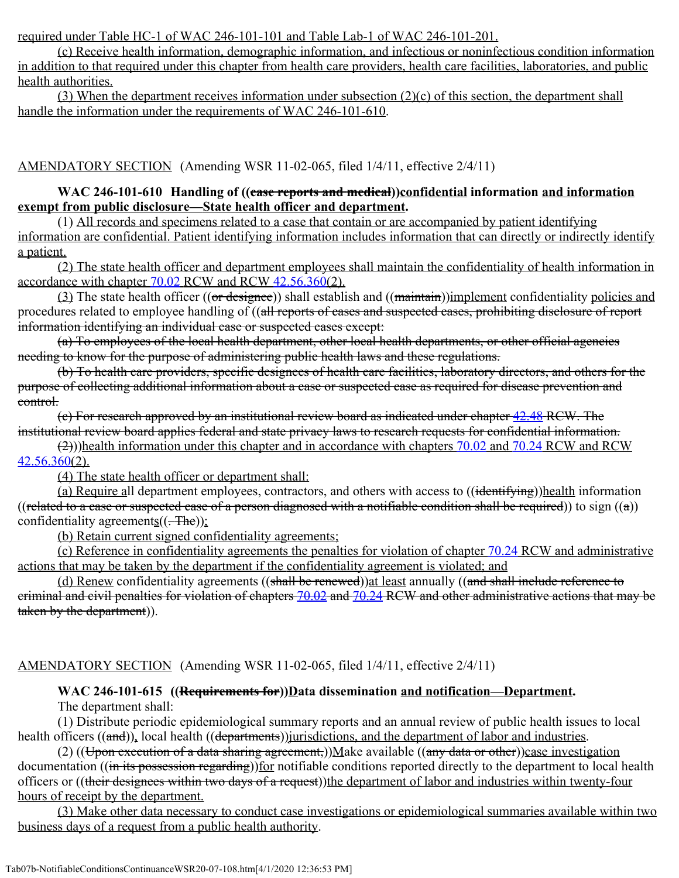required under Table HC-1 of WAC 246-101-101 and Table Lab-1 of WAC 246-101-201.

(c) Receive health information, demographic information, and infectious or noninfectious condition information in addition to that required under this chapter from health care providers, health care facilities, laboratories, and public health authorities.

(3) When the department receives information under subsection  $(2)(c)$  of this section, the department shall handle the information under the requirements of WAC 246-101-610.

AMENDATORY SECTION (Amending WSR 11-02-065, filed 1/4/11, effective 2/4/11)

### **WAC 246-101-610 Handling of ((case reports and medical))confidential information and information exempt from public disclosure—State health officer and department.**

(1) All records and specimens related to a case that contain or are accompanied by patient identifying information are confidential. Patient identifying information includes information that can directly or indirectly identify a patient.

(2) The state health officer and department employees shall maintain the confidentiality of health information in accordance with chapter [70.02](http://app.leg.wa.gov/RCW/default.aspx?cite=70.02) RCW and RCW [42.56.360](http://app.leg.wa.gov/RCW/default.aspx?cite=42.56.360)(2).

(3) The state health officer ((or designee)) shall establish and ((maintain))implement confidentiality policies and procedures related to employee handling of ((all reports of cases and suspected cases, prohibiting disclosure of report information identifying an individual case or suspected cases except:

(a) To employees of the local health department, other local health departments, or other official agencies needing to know for the purpose of administering public health laws and these regulations.

(b) To health care providers, specific designees of health care facilities, laboratory directors, and others for the purpose of collecting additional information about a case or suspected case as required for disease prevention and control.

(c) For research approved by an institutional review board as indicated under chapter [42.48](http://app.leg.wa.gov/RCW/default.aspx?cite=42.48) RCW. The institutional review board applies federal and state privacy laws to research requests for confidential information.

(2)))health information under this chapter and in accordance with chapters [70.02](http://app.leg.wa.gov/RCW/default.aspx?cite=70.02) and [70.24](http://app.leg.wa.gov/RCW/default.aspx?cite=70.24) RCW and RCW  $42.56.360(2)$  $42.56.360(2)$ .

(4) The state health officer or department shall:

(a) Require all department employees, contractors, and others with access to ((identifying))health information ((related to a case or suspected case of a person diagnosed with a notifiable condition shall be required)) to sign  $((a))$ confidentiality agreements $((.-The))$ ;

(b) Retain current signed confidentiality agreements;

(c) Reference in confidentiality agreements the penalties for violation of chapter [70.24](http://app.leg.wa.gov/RCW/default.aspx?cite=70.24) RCW and administrative actions that may be taken by the department if the confidentiality agreement is violated; and

(d) Renew confidentiality agreements ((shall be renewed)) at least annually ((and shall include reference to criminal and civil penalties for violation of chapters [70.02](http://app.leg.wa.gov/RCW/default.aspx?cite=70.02) and [70.24](http://app.leg.wa.gov/RCW/default.aspx?cite=70.24) RCW and other administrative actions that may be taken by the department)).

### AMENDATORY SECTION (Amending WSR 11-02-065, filed 1/4/11, effective 2/4/11)

#### WAC 246-101-615 ((Requirements for))Data dissemination and notification—Department. The department shall:

(1) Distribute periodic epidemiological summary reports and an annual review of public health issues to local health officers ((and)), local health ((departments)) jurisdictions, and the department of labor and industries.

(2) ((Upon execution of a data sharing agreement,))Make available ((any data or other))case investigation documentation ((in its possession regarding)) for notifiable conditions reported directly to the department to local health officers or ((their designees within two days of a request))the department of labor and industries within twenty-four hours of receipt by the department.

(3) Make other data necessary to conduct case investigations or epidemiological summaries available within two business days of a request from a public health authority.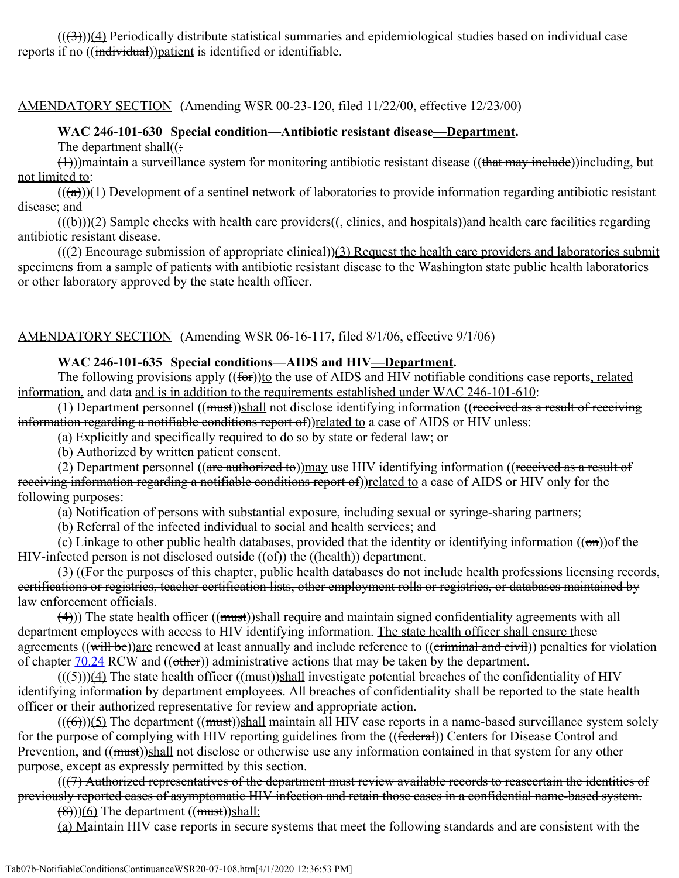$((3))$ (4) Periodically distribute statistical summaries and epidemiological studies based on individual case reports if no ((individual))patient is identified or identifiable.

AMENDATORY SECTION (Amending WSR 00-23-120, filed 11/22/00, effective 12/23/00)

### **WAC 246-101-630 Special condition—Antibiotic resistant disease—Department.**

The department shall $((\cdot))$ 

 $(1)$ ))maintain a surveillance system for monitoring antibiotic resistant disease ((that may including, but) including, but not limited to:

 $((a))$ (1) Development of a sentinel network of laboratories to provide information regarding antibiotic resistant disease; and

 $((a + b))(2)$  Sample checks with health care providers( $(-\overline{\text{e}^t} \cdot \overline{\text{e}^t})$  and hospitals)) and health care facilities regarding antibiotic resistant disease.

 $((2)$  Encourage submission of appropriate clinical))(3) Request the health care providers and laboratories submit specimens from a sample of patients with antibiotic resistant disease to the Washington state public health laboratories or other laboratory approved by the state health officer.

AMENDATORY SECTION (Amending WSR 06-16-117, filed 8/1/06, effective 9/1/06)

### **WAC 246-101-635 Special conditions—AIDS and HIV—Department.**

The following provisions apply ((for))to the use of AIDS and HIV notifiable conditions case reports, related information, and data and is in addition to the requirements established under WAC 246-101-610:

(1) Department personnel  $((must))$ shall not disclose identifying information  $((received as a result of receiving$ information regarding a notifiable conditions report of)) related to a case of AIDS or HIV unless:

(a) Explicitly and specifically required to do so by state or federal law; or

(b) Authorized by written patient consent.

(2) Department personnel (( $\arctan\left(\frac{1}{\arctan\theta}\right)$ ) may use HIV identifying information (( $\arctan\theta$ ) as a result of receiving information regarding a notifiable conditions report of)) related to a case of AIDS or HIV only for the following purposes:

(a) Notification of persons with substantial exposure, including sexual or syringe-sharing partners;

(b) Referral of the infected individual to social and health services; and

(c) Linkage to other public health databases, provided that the identity or identifying information  $((\theta n))$  of the HIV-infected person is not disclosed outside  $((of))$  the  $((heath))$  department.

(3) ((For the purposes of this chapter, public health databases do not include health professions licensing records, certifications or registries, teacher certification lists, other employment rolls or registries, or databases maintained by law enforcement officials.

 $(\rightarrow)$ ) The state health officer (( $\rightarrow$ ))shall require and maintain signed confidentiality agreements with all department employees with access to HIV identifying information. The state health officer shall ensure these agreements ((will be))are renewed at least annually and include reference to ((criminal and civil)) penalties for violation of chapter  $70.24$  RCW and ((other)) administrative actions that may be taken by the department.

 $(( (5)))(4)$  The state health officer  $((must))$ shall investigate potential breaches of the confidentiality of HIV identifying information by department employees. All breaches of confidentiality shall be reported to the state health officer or their authorized representative for review and appropriate action.

 $((\leftarrow)(5))$  The department  $((\text{must}))$ shall maintain all HIV case reports in a name-based surveillance system solely for the purpose of complying with HIV reporting guidelines from the ((federal)) Centers for Disease Control and Prevention, and ((must))shall not disclose or otherwise use any information contained in that system for any other purpose, except as expressly permitted by this section.

 $((7)$  Authorized representatives of the department must review available records to reascertain the identities of previously reported cases of asymptomatic HIV infection and retain those cases in a confidential name-based system.

 $(\frac{8}{6})$ )(6) The department ((must))shall:

(a) Maintain HIV case reports in secure systems that meet the following standards and are consistent with the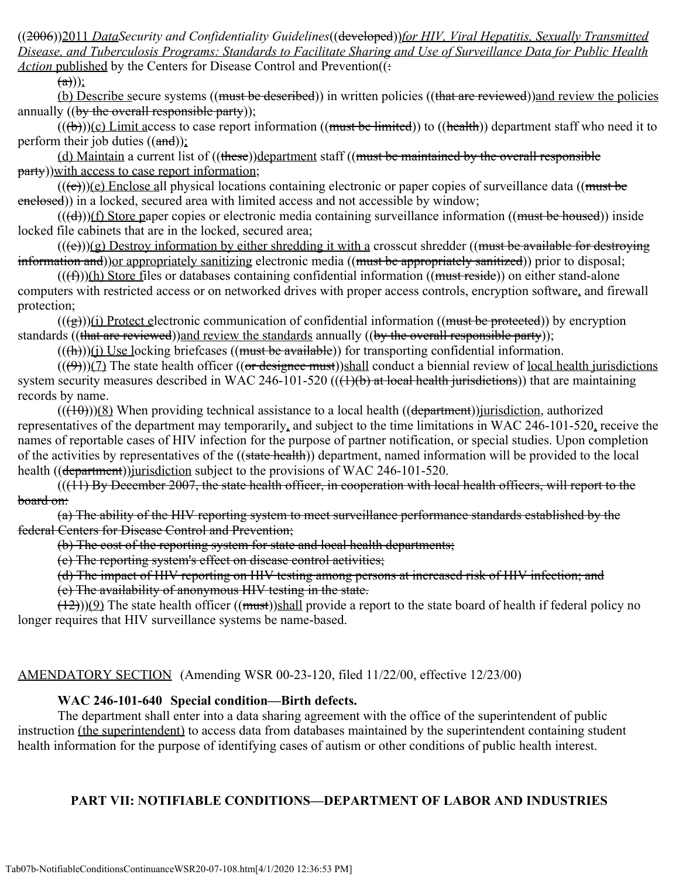((2006))2011 *DataSecurity and Confidentiality Guidelines*((developed))*for HIV, Viral Hepatitis, Sexually Transmitted Disease, and Tuberculosis Programs: Standards to Facilitate Sharing and Use of Surveillance Data for Public Health Action* published by the Centers for Disease Control and Prevention((:

 $(a))$ ;

(b) Describe secure systems ((must be described)) in written policies ((that are reviewed)) and review the policies annually ((by the overall responsible party));

 $((**(b)**))$ (c) Limit access to case report information ((must be limited)) to ((health)) department staff who need it to perform their job duties  $((\text{and}))$ ;

(d) Maintain a current list of ((these))department staff ((must be maintained by the overall responsible party))with access to case report information;

 $((e))$ (e) Enclose all physical locations containing electronic or paper copies of surveillance data ((must be enclosed)) in a locked, secured area with limited access and not accessible by window;

 $((\text{(d)}))$ (f) Store paper copies or electronic media containing surveillance information ((must be housed)) inside locked file cabinets that are in the locked, secured area;

 $((e))$ (g) Destroy information by either shredding it with a crosscut shredder ((must be available for destroying information and)) or appropriately sanitizing electronic media ((must be appropriately sanitized)) prior to disposal;

 $((f))$ (h) Store files or databases containing confidential information ((must reside)) on either stand-alone computers with restricted access or on networked drives with proper access controls, encryption software, and firewall protection;

 $((\leftrightarrow))$ (i) Protect electronic communication of confidential information ((must be protected)) by encryption standards ((that are reviewed))and review the standards annually ((by the overall responsible party));

 $((\text{ft}))(i)$  Use locking briefcases ((must be available)) for transporting confidential information.

 $(((\theta)))(7)$  The state health officer  $((\theta \cdot \theta \cdot \theta))$ shall conduct a biennial review of <u>local health jurisdictions</u> system security measures described in WAC 246-101-520  $((1)(b)$  at local health jurisdictions)) that are maintaining records by name.

 $((+10))$ (8) When providing technical assistance to a local health ((department))*jurisdiction*, authorized representatives of the department may temporarily, and subject to the time limitations in WAC 246-101-520, receive the names of reportable cases of HIV infection for the purpose of partner notification, or special studies. Upon completion of the activities by representatives of the ((state health)) department, named information will be provided to the local health ((department))*jurisdiction* subject to the provisions of WAC 246-101-520.

 $((11)$  By December 2007, the state health officer, in cooperation with local health officers, will report to the board on:

(a) The ability of the HIV reporting system to meet surveillance performance standards established by the federal Centers for Disease Control and Prevention;

(b) The cost of the reporting system for state and local health departments;

(c) The reporting system's effect on disease control activities;

(d) The impact of HIV reporting on HIV testing among persons at increased risk of HIV infection; and

(e) The availability of anonymous HIV testing in the state.

 $(12))$ (9) The state health officer ((must))shall provide a report to the state board of health if federal policy no longer requires that HIV surveillance systems be name-based.

### AMENDATORY SECTION (Amending WSR 00-23-120, filed 11/22/00, effective 12/23/00)

### **WAC 246-101-640 Special condition—Birth defects.**

The department shall enter into a data sharing agreement with the office of the superintendent of public instruction (the superintendent) to access data from databases maintained by the superintendent containing student health information for the purpose of identifying cases of autism or other conditions of public health interest.

### **PART VII: NOTIFIABLE CONDITIONS—DEPARTMENT OF LABOR AND INDUSTRIES**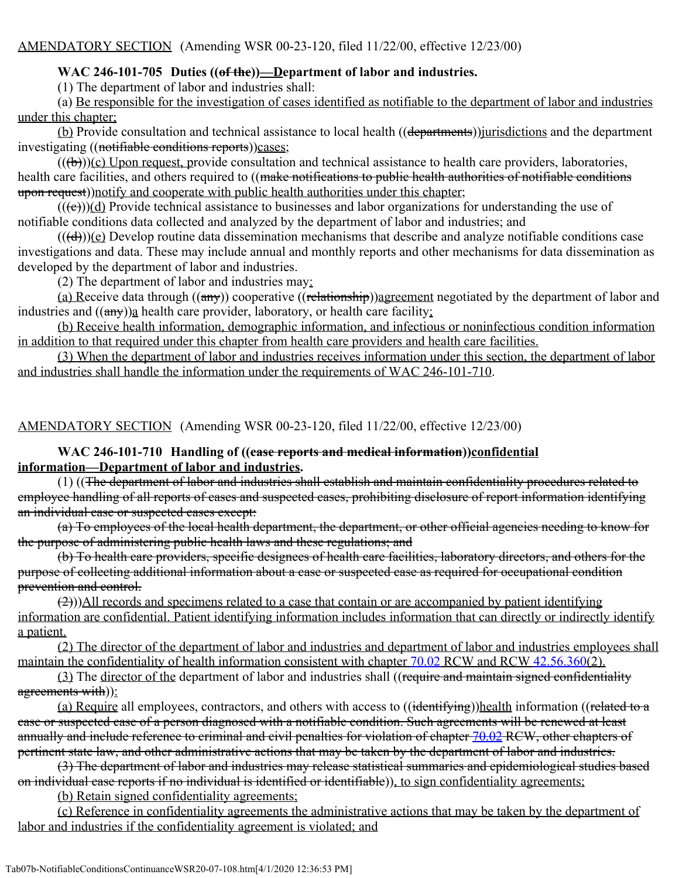# **WAC 246-101-705 Duties ((of the))—Department of labor and industries.**

(1) The department of labor and industries shall:

(a) Be responsible for the investigation of cases identified as notifiable to the department of labor and industries under this chapter;

(b) Provide consultation and technical assistance to local health ((departments)) jurisdictions and the department investigating ((notifiable conditions reports))cases;

 $((a + b))$ (c) Upon request, provide consultation and technical assistance to health care providers, laboratories, health care facilities, and others required to ((make notifications to public health authorities of notifiable conditions upon request))notify and cooperate with public health authorities under this chapter;

 $(( (e)))(d)$  Provide technical assistance to businesses and labor organizations for understanding the use of notifiable conditions data collected and analyzed by the department of labor and industries; and

 $((\text{(**d**)))(\text{e})$  Develop routine data dissemination mechanisms that describe and analyze notifiable conditions case investigations and data. These may include annual and monthly reports and other mechanisms for data dissemination as developed by the department of labor and industries.

(2) The department of labor and industries may:

(a) Receive data through  $((a\rightarrow y))$  cooperative  $((\text{relationship}))$ agreement negotiated by the department of labor and industries and  $((a\pi y))_2$  health care provider, laboratory, or health care facility;

(b) Receive health information, demographic information, and infectious or noninfectious condition information in addition to that required under this chapter from health care providers and health care facilities.

(3) When the department of labor and industries receives information under this section, the department of labor and industries shall handle the information under the requirements of WAC 246-101-710.

AMENDATORY SECTION (Amending WSR 00-23-120, filed 11/22/00, effective 12/23/00)

### **WAC 246-101-710 Handling of ((case reports and medical information))confidential information—Department of labor and industries.**

(1) ((The department of labor and industries shall establish and maintain confidentiality procedures related to employee handling of all reports of cases and suspected cases, prohibiting disclosure of report information identifying an individual case or suspected cases except:

(a) To employees of the local health department, the department, or other official agencies needing to know for the purpose of administering public health laws and these regulations; and

(b) To health care providers, specific designees of health care facilities, laboratory directors, and others for the purpose of collecting additional information about a case or suspected case as required for occupational condition prevention and control.

(2)))All records and specimens related to a case that contain or are accompanied by patient identifying information are confidential. Patient identifying information includes information that can directly or indirectly identify a patient.

(2) The director of the department of labor and industries and department of labor and industries employees shall maintain the confidentiality of health information consistent with chapter [70.02](http://app.leg.wa.gov/RCW/default.aspx?cite=70.02) RCW and RCW [42.56.360](http://app.leg.wa.gov/RCW/default.aspx?cite=42.56.360)(2).

(3) The director of the department of labor and industries shall ((require and maintain signed confidentiality agreements with)):

(a) Require all employees, contractors, and others with access to ((identifying))health information ((related to a case or suspected case of a person diagnosed with a notifiable condition. Such agreements will be renewed at least annually and include reference to criminal and civil penalties for violation of chapter [70.02](http://app.leg.wa.gov/RCW/default.aspx?cite=70.02) RCW, other chapters of pertinent state law, and other administrative actions that may be taken by the department of labor and industries.

(3) The department of labor and industries may release statistical summaries and epidemiological studies based on individual case reports if no individual is identified or identifiable)), to sign confidentiality agreements;

(b) Retain signed confidentiality agreements;

(c) Reference in confidentiality agreements the administrative actions that may be taken by the department of labor and industries if the confidentiality agreement is violated; and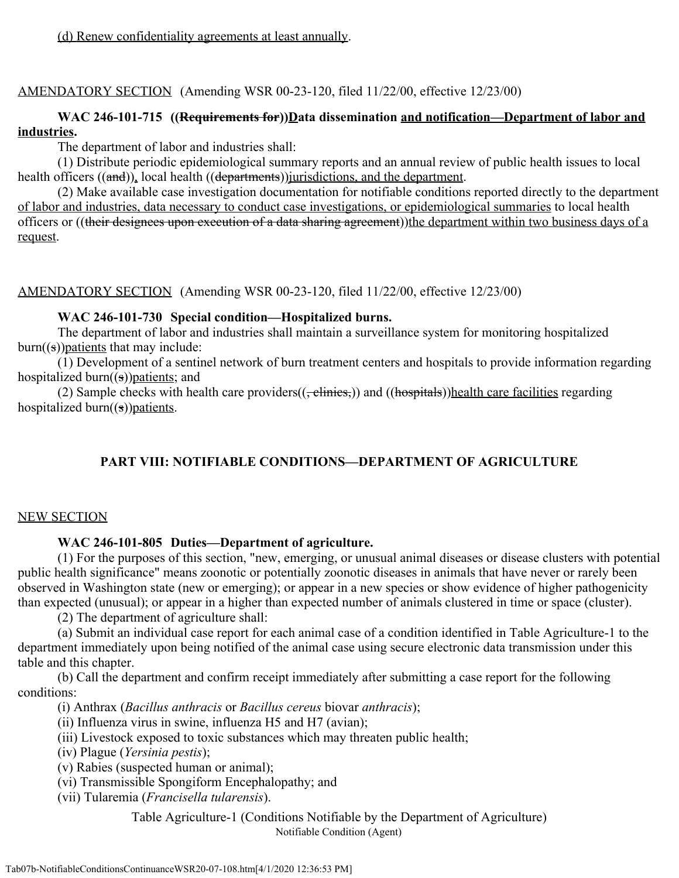(d) Renew confidentiality agreements at least annually.

AMENDATORY SECTION (Amending WSR 00-23-120, filed 11/22/00, effective 12/23/00)

## **WAC 246-101-715 ((Requirements for))Data dissemination and notification—Department of labor and industries.**

The department of labor and industries shall:

(1) Distribute periodic epidemiological summary reports and an annual review of public health issues to local health officers ((and)), local health ((departments)) jurisdictions, and the department.

(2) Make available case investigation documentation for notifiable conditions reported directly to the department of labor and industries, data necessary to conduct case investigations, or epidemiological summaries to local health officers or ((their designees upon execution of a data sharing agreement))the department within two business days of a request.

AMENDATORY SECTION (Amending WSR 00-23-120, filed 11/22/00, effective 12/23/00)

#### **WAC 246-101-730 Special condition—Hospitalized burns.**

The department of labor and industries shall maintain a surveillance system for monitoring hospitalized  $burn((s))$  patients that may include:

(1) Development of a sentinel network of burn treatment centers and hospitals to provide information regarding hospitalized burn $((s))$  patients; and

(2) Sample checks with health care providers $((,$  clinics,)) and  $(($ hospitals))health care facilities regarding hospitalized burn $((s))$  patients.

# **PART VIII: NOTIFIABLE CONDITIONS—DEPARTMENT OF AGRICULTURE**

### NEW SECTION

#### **WAC 246-101-805 Duties—Department of agriculture.**

(1) For the purposes of this section, "new, emerging, or unusual animal diseases or disease clusters with potential public health significance" means zoonotic or potentially zoonotic diseases in animals that have never or rarely been observed in Washington state (new or emerging); or appear in a new species or show evidence of higher pathogenicity than expected (unusual); or appear in a higher than expected number of animals clustered in time or space (cluster).

(2) The department of agriculture shall:

(a) Submit an individual case report for each animal case of a condition identified in Table Agriculture-1 to the department immediately upon being notified of the animal case using secure electronic data transmission under this table and this chapter.

(b) Call the department and confirm receipt immediately after submitting a case report for the following conditions:

(i) Anthrax (*Bacillus anthracis* or *Bacillus cereus* biovar *anthracis*);

(ii) Influenza virus in swine, influenza H5 and H7 (avian);

(iii) Livestock exposed to toxic substances which may threaten public health;

(iv) Plague (*Yersinia pestis*);

(v) Rabies (suspected human or animal);

(vi) Transmissible Spongiform Encephalopathy; and

(vii) Tularemia (*Francisella tularensis*).

Table Agriculture-1 (Conditions Notifiable by the Department of Agriculture) Notifiable Condition (Agent)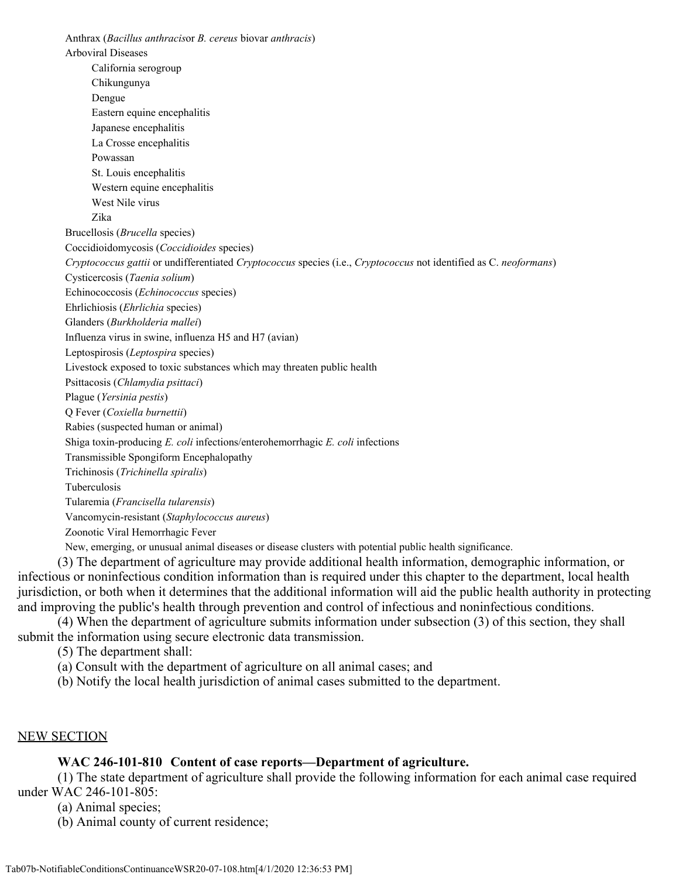Anthrax (*Bacillus anthracis*or *B. cereus* biovar *anthracis*) Arboviral Diseases California serogroup Chikungunya Dengue Eastern equine encephalitis Japanese encephalitis La Crosse encephalitis Powassan St. Louis encephalitis Western equine encephalitis West Nile virus Zika Brucellosis (*Brucella* species) Coccidioidomycosis (*Coccidioides* species) *Cryptococcus gattii* or undifferentiated *Cryptococcus* species (i.e., *Cryptococcus* not identified as C. *neoformans*) Cysticercosis (*Taenia solium*) Echinococcosis (*Echinococcus* species) Ehrlichiosis (*Ehrlichia* species) Glanders (*Burkholderia mallei*) Influenza virus in swine, influenza H5 and H7 (avian) Leptospirosis (*Leptospira* species) Livestock exposed to toxic substances which may threaten public health Psittacosis (*Chlamydia psittaci*) Plague (*Yersinia pestis*) Q Fever (*Coxiella burnettii*) Rabies (suspected human or animal) Shiga toxin-producing *E. coli* infections/enterohemorrhagic *E. coli* infections Transmissible Spongiform Encephalopathy Trichinosis (*Trichinella spiralis*) Tuberculosis Tularemia (*Francisella tularensis*) Vancomycin-resistant (*Staphylococcus aureus*) Zoonotic Viral Hemorrhagic Fever New, emerging, or unusual animal diseases or disease clusters with potential public health significance.

(3) The department of agriculture may provide additional health information, demographic information, or infectious or noninfectious condition information than is required under this chapter to the department, local health jurisdiction, or both when it determines that the additional information will aid the public health authority in protecting and improving the public's health through prevention and control of infectious and noninfectious conditions.

(4) When the department of agriculture submits information under subsection (3) of this section, they shall submit the information using secure electronic data transmission.

(5) The department shall:

(a) Consult with the department of agriculture on all animal cases; and

(b) Notify the local health jurisdiction of animal cases submitted to the department.

#### NEW SECTION

#### **WAC 246-101-810 Content of case reports—Department of agriculture.**

(1) The state department of agriculture shall provide the following information for each animal case required under WAC 246-101-805:

(a) Animal species;

(b) Animal county of current residence;